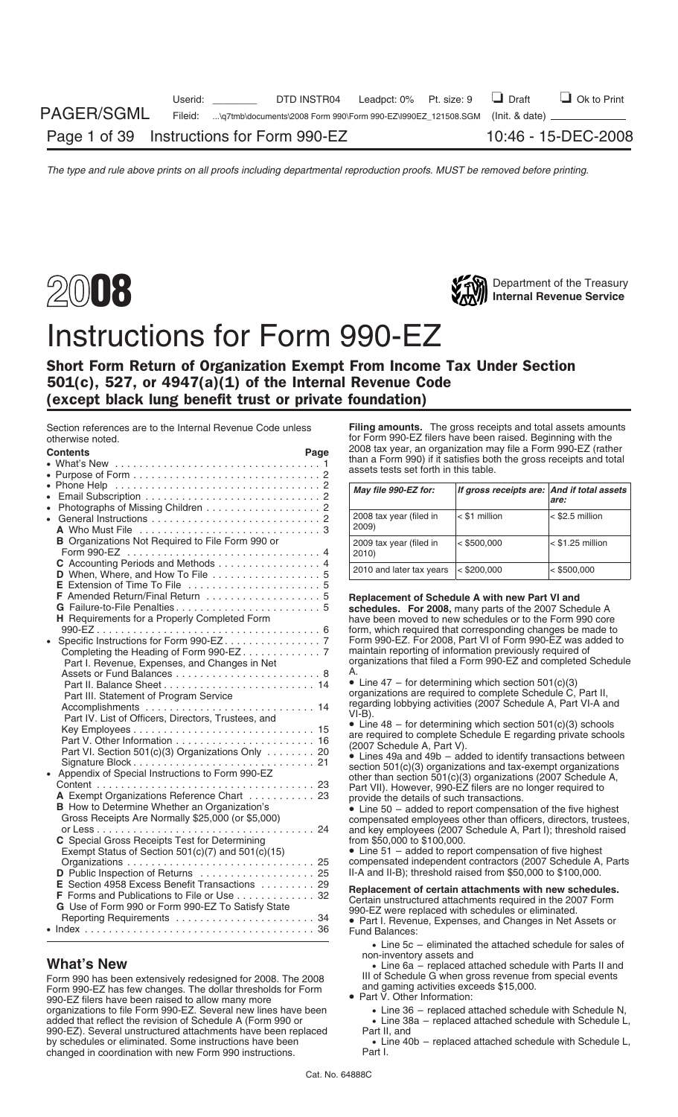



# Instructions for Form 990-EZ

## Short Form Return of Organization Exempt From Income Tax Under Section 501(c), 527, or 4947(a)(1) of the Internal Revenue Code (except black lung benefit trust or private foundation)

| ULIEIWISE HULEU.                                      |      | $101$ T office the contract increased. Degitimity with the                                                             |                                            |                    |
|-------------------------------------------------------|------|------------------------------------------------------------------------------------------------------------------------|--------------------------------------------|--------------------|
| <b>Contents</b>                                       | Page | 2008 tax year, an organization may file a Form 990-EZ (rather                                                          |                                            |                    |
|                                                       |      | than a Form 990) if it satisfies both the gross receipts and total                                                     |                                            |                    |
|                                                       |      | assets tests set forth in this table.                                                                                  |                                            |                    |
|                                                       |      | May file 990-EZ for:                                                                                                   | If gross receipts are: And if total assets |                    |
|                                                       |      |                                                                                                                        |                                            | are:               |
| • Photographs of Missing Children 2                   |      |                                                                                                                        |                                            |                    |
|                                                       |      | 2008 tax year (filed in                                                                                                | < \$1 million                              | $<$ \$2.5 million  |
|                                                       |      | 2009)                                                                                                                  |                                            |                    |
| B Organizations Not Required to File Form 990 or      |      |                                                                                                                        | $<$ \$500,000                              | $<$ \$1.25 million |
|                                                       |      | 2009 tax year (filed in<br>2010)                                                                                       |                                            |                    |
| C Accounting Periods and Methods 4                    |      |                                                                                                                        |                                            |                    |
| D When, Where, and How To File 5                      |      | 2010 and later tax years                                                                                               | $<$ \$200,000                              | $ $ < \$500,000    |
|                                                       |      |                                                                                                                        |                                            |                    |
| F Amended Return/Final Return  5                      |      |                                                                                                                        |                                            |                    |
|                                                       |      | Replacement of Schedule A with new Part VI and                                                                         |                                            |                    |
|                                                       |      | schedules. For 2008, many parts of the 2007 Schedule A                                                                 |                                            |                    |
| H Requirements for a Properly Completed Form          |      | have been moved to new schedules or to the Form 990 core                                                               |                                            |                    |
|                                                       |      | form, which required that corresponding changes be made to                                                             |                                            |                    |
|                                                       |      | Form 990-EZ. For 2008, Part VI of Form 990-EZ was added to                                                             |                                            |                    |
|                                                       |      | maintain reporting of information previously required of                                                               |                                            |                    |
| Part I. Revenue, Expenses, and Changes in Net         |      | organizations that filed a Form 990-EZ and completed Schedule                                                          |                                            |                    |
|                                                       |      | А.                                                                                                                     |                                            |                    |
|                                                       |      | • Line $47$ – for determining which section $501(c)(3)$<br>organizations are required to complete Schedule C, Part II, |                                            |                    |
| Part III. Statement of Program Service                |      | regarding lobbying activities (2007 Schedule A, Part VI-A and                                                          |                                            |                    |
|                                                       |      | $VI-B$ ).                                                                                                              |                                            |                    |
| Part IV. List of Officers, Directors, Trustees, and   |      | • Line $48$ – for determining which section $501(c)(3)$ schools                                                        |                                            |                    |
|                                                       |      | are required to complete Schedule E regarding private schools                                                          |                                            |                    |
|                                                       |      | (2007 Schedule A, Part V).                                                                                             |                                            |                    |
| Part VI. Section 501(c)(3) Organizations Only 20      |      | • Lines 49a and 49b - added to identify transactions between                                                           |                                            |                    |
|                                                       |      | section 501(c)(3) organizations and tax-exempt organizations                                                           |                                            |                    |
| • Appendix of Special Instructions to Form 990-EZ     |      | other than section 501(c)(3) organizations (2007 Schedule A,                                                           |                                            |                    |
|                                                       |      | Part VII). However, 990-EZ filers are no longer required to                                                            |                                            |                    |
| A Exempt Organizations Reference Chart 23             |      | provide the details of such transactions.                                                                              |                                            |                    |
| <b>B</b> How to Determine Whether an Organization's   |      | $\bullet$ Line 50 – added to report compensation of the five highest                                                   |                                            |                    |
| Gross Receipts Are Normally \$25,000 (or \$5,000)     |      | compensated employees other than officers, directors, trustees,                                                        |                                            |                    |
|                                                       |      | and key employees (2007 Schedule A, Part I); threshold raised                                                          |                                            |                    |
| C Special Gross Receipts Test for Determining         |      | from \$50,000 to \$100,000.                                                                                            |                                            |                    |
| Exempt Status of Section $501(c)(7)$ and $501(c)(15)$ |      | • Line 51 - added to report compensation of five highest                                                               |                                            |                    |
|                                                       |      | compensated independent contractors (2007 Schedule A, Parts                                                            |                                            |                    |
| D Public Inspection of Returns  25                    |      | II-A and II-B); threshold raised from \$50,000 to \$100,000.                                                           |                                            |                    |
| E Section 4958 Excess Benefit Transactions 29         |      |                                                                                                                        |                                            |                    |
| F Forms and Publications to File or Use 32            |      | Replacement of certain attachments with new schedules.                                                                 |                                            |                    |
| G Use of Form 990 or Form 990-EZ To Satisfy State     |      | Certain unstructured attachments required in the 2007 Form                                                             |                                            |                    |
|                                                       |      | 990-EZ were replaced with schedules or eliminated.                                                                     |                                            |                    |
|                                                       |      | • Part I. Revenue, Expenses, and Changes in Net Assets or                                                              |                                            |                    |
|                                                       |      | Fund Balances:                                                                                                         |                                            |                    |

Form 990 has been extensively redesigned for 2008. The 2008 III of Schedule G when gross revenue from Form special events of the comparation of the Comparison compared to Form special events for the dollar thresholds for F Form 990-EZ has few changes. The dollar thresholds for Form and gaming activities exceeds to all and panicular thresholds  $\bullet$  Part V. Other Information: 990-EZ filers have been raised to allow many more organizations to file Form 990-EZ. Several new lines have been • Line 36 – replaced attached schedule with Schedule N, added that reflect the revision of Schedule A (Form 990 or 990-EZ). Several unstructured attachments have been replaced by schedules or eliminated. Some instructions have been changed in coordination with new Form 990 instructions. Part I.

Section references are to the Internal Revenue Code unless **Filing amounts.** The gross receipts and total assets amounts<br>
for Form 990-F7 filers have been raised. Beginning with the for Form 990-EZ filers have been raised. Beginning with the<br>2008 tax year, an organization may file a Form 990-EZ (rather than a Form 990) if it satisfies both the gross receipts and total assets tests set forth in this table.

| May file 990-EZ for:             | If gross receipts are: And if total assets | are:               |
|----------------------------------|--------------------------------------------|--------------------|
| 2008 tax year (filed in<br>2009) | $<$ \$1 million                            | $<$ \$2.5 million  |
| 2009 tax year (filed in<br>2010) | $<$ \$500,000                              | $<$ \$1.25 million |
| 2010 and later tax years         | $<$ \$200,000                              | $<$ \$500,000      |

- Line 5c eliminated the attached schedule for sales of non-inventory assets and
- **What's New**<br>Form 990 has been extensively redesigned for 2008. The 2008 III of Schedule G when gross revenue from special events
	- -
		- Line 38a replaced attached schedule with Schedule L, Part II, and

• Line 40b – replaced attached schedule with Schedule L,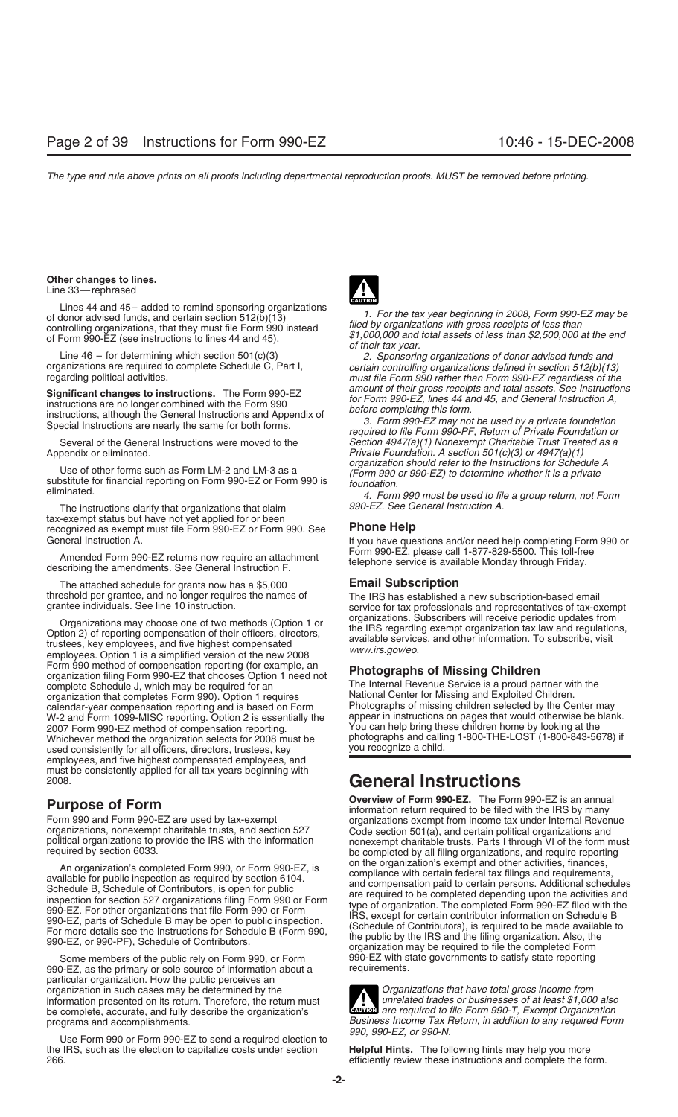## **Other changes to lines.** Line 33—rephrased

**Significant changes to instructions.** The Form 990-EZ<br>instructions are no longer combined with the Form 990<br>instructions, although the General Instructions and Appendix of<br>Special Instructions are nearly the same for both

Use of other forms such as Form LM-2 and LM-3 as a<br>substitute for financial reporting on Form 990-EZ or Form 990 is<br>substitute for financial reporting on Form 990-EZ or Form 990 is<br>foundation.<br>A. Form 990 must be used to f

The instructions clarify that organizations that claim tax-exempt status but have not yet applied for or been recognized as exempt must file Form 990-EZ or Form 990. See **Phone Help**

Form 990-EZ, please call 1-877-829-5500. This toll-free Amended Form 990-EZ returns now require an attachment telephone service is available Monday through Friday. describing the amendments. See General Instruction F.

The attached schedule for grants now has a \$5,000 **Email Subscription**

Organizations may choose one of two methods (Option 1 or<br>Option 2) of reporting compensation of their officers, directors,<br>trustees, key employees, and five highest compensated<br>employees. Option 1 is a simplified version o Form 990 method of compensation reporting (for example, an **Photographs of Missing Children**<br>
organization filing Form 990-EZ that chooses Option 1 need not<br>
The Internal Revenue Service is a proud pa organization that completes Form 990). Option 1 requires National Center for Missing and Exploited Children.<br>Calendar-year compensation reporting and is based on Form Photographs of missing children selected by the Center calendar-year compensation reporting and is based on Form Photographs of missing children selected by the Center may<br>W-2 and Form 1099-MISC reporting. Option 2 is essentially the appear in instructions on pages that would W-2 and Form 1099-MISC reporting. Option 2 is essentially the appear in instructions on pages that would otherwise be b<br>2007 Form 990-EZ method of compensation reporting. You can help bring these children home by looking a 2007 Form 990-EZ method of compensation reporting.<br>Whichever method the organization selects for 2008 must be photographs and calling 1-800-THE-LOST (1-800-843-5678) if Whichever method the organization selects for 2008 must be photographs and calling 1-800-THE-LOST (1-800-8) in<br>1-900-THE-LOST (1-800-843-5678) in the consistently for all officers, directors, trustees, key used consistently for all officers, directors, trustees, key employees, and five highest compensated employees, and must be consistently applied for all tax years beginning with

Some members of the public rely on Form 990, or Form 990-EZ with state governments to satisfy state reporting<br>0-EZ as the primary or sole source of information about a requirements. 990-EZ, as the primary or sole source of information about a particular organization. How the public perceives an organization in such cases may be determined by the *Organizations that have total gross income from*<br>information presented on its return. Therefore, the return must<br>and *Dreanizations that have total gross income from* information presented on its return. Therefore, the return must *unrelated trades or businesses of at least \$1,000 also* be complete, accurate, and fully describe the organization's **CAUTION** *are required to file Form 990-T, Exempt Organization*<br>be complete, accurate, and fully describe the organization's *are required to file Form 990-T, E* 

Use Form 990 or Form 990-EZ to send a required election to<br>IRS, such as the election to capitalize costs under section **Helpful Hints.** The following hints may help you more the IRS, such as the election to capitalize costs under section 266. efficiently review these instructions and complete the form.



Lines 44 and 45- added to remind sponsoring organizations<br>of donor advised funds, and certain section 512(b)(13)<br>controlling organizations, that they must file Form 990 instead<br>of Form 990-EZ (see instructions to lines 44

Line 46 – for determining which section 501(c)(3) *2. Sponsoring organizations of donor advised funds and* organizations are required to complete Schedule C, Part I, *certain controlling organizations defined in section 512(b)(13)* must file Form 990 rather than Form 990-EZ regardless of the

Several of the General Instructions were moved to the *Section 4947(a)(1) Nonexempt Charitable Trust Treated as a* Private Foundation. A section 501(c)(3) or 4947(a)(1) organization should refer to the Instructions for Schedule A

If you have questions and/or need help completing Form 990 or

threshold per grantee, and no longer requires the names of The IRS has established a new subscription-based email grantee individuals. See line 10 instruction. service for tax professionals and representatives of tax-exemp

The Internal Revenue Service is a proud partner with the National Center for Missing and Exploited Children.

## **General Instructions**

**Purpose of Form**<br> **Purpose of Form**<br>
Form 990 and Form 990-EZ are used by tax-exempt<br> **Property or All property of Form** required to be filed with the IRS by many<br>
organizations exempt from income tax under Internal Reven Form 990 and Form 990-EZ are used by tax-exempt<br>organizations exempt from income tax under Internal Revenue<br>organizations, nonexempt charitable trusts, and section 527<br>political organizations to provide the IRS with the in An organization's completed Form 990, or Form 990-EZ, is<br>available for public inspection as required by section 6104.<br>Schedule B, Schedule of Contributors, is open for public<br>inspection for section 527 organizations filing

programs and accomplishments.<br>**Business Income Tax Return, in addition to any required Form**<br> $\frac{990,990 - EZ, or 990 - N.$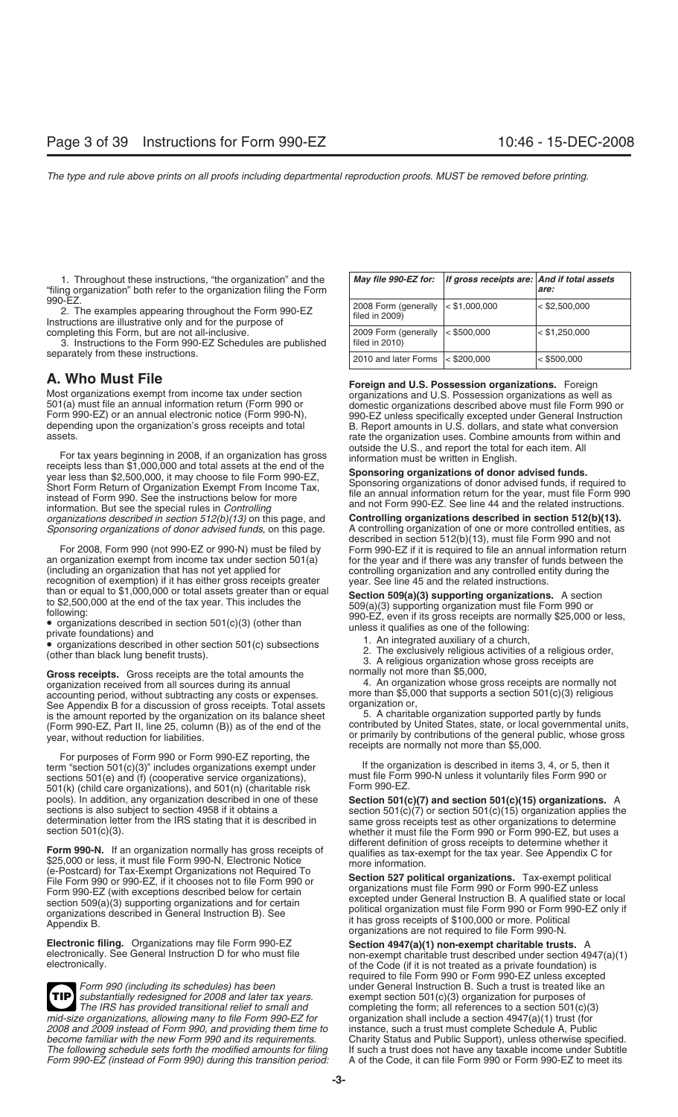1. Throughout these instructions, "the organization" and the "filing organization" both refer to the organization filing the Form *are:*

2. The examples appearing throughout the Form 990-EZ Instructions are illustrative only and for the purpose of completing this Form, but are not all-inclusive.

3. Instructions to the Form 990-EZ Schedules are published separately from these instructions.

For tax years beginning in 2008, if an organization has gross<br>receipts less than \$1,000,000 and total assets at the end of the<br>year less than \$2,500,000, it may choose to file Form 990-EZ,<br>Short Form Return of Organizatio *organizations described in section 512(b)(13)* on this page, and **Controlling organizations described in section 512(b)(13).** *Sponsoring organizations of donor advised funds*, on this page.

For 2008, Form 990 (not 990-EZ or 990-N) must be filed by Form 990-EZ if it is required to file an annual information return an organization exempt from income tax under section 501(a) for the year and if there was any tra an organization exempt from income tax under section 501(a) for the year and if there was any transfer of funds between the (including an organization and any controlled entity during the recognition of exemption) if it has either gross receipts greater year. See line 45 and the related instructions.<br>than or equal to \$1,000,000 or total assets greater than or equal section 509(a)(3) supporting organizations

Gross receipts. Gross receipts are the total amounts the normally not more than \$5,000,<br>organization received from all sources during its annual and the norganization whose gross receipts are normally not organization received from all sources during its annual and the state of the organization whose gross receipts are normally not<br>accounting period without subtracting any costs or expenses more than \$5,000 that supports a accounting period, without subtracting any costs or expenses. more than \$5,000<br>See Appendix B for a discussion of gross receipts Total assets organization or, See Appendix B for a discussion of gross receipts. Total assets organization or,<br>is the amount reported by the organization on its balance sheet 5. A charitable organization supported partly by funds is the amount reported by the organization on its balance sheet 5. A charitable organization supported partly by funds<br>(Form 990-FZ, Part II, line 25, column (B)) as of the end of the contributed by United States, state, o (Form 990-EZ, Part II, line 25, column (B)) as of the end of the year, without reduction for liabilities.  $\overline{a}$  or primarily by contributions of the general public, whose gross

For purposes of Form 990 or Form 990-EZ reporting, the<br>
If the organization is described in items 3, 4, or 5, then it<br>
sections 501(e) and (f) (cooperative service organizations). Must file Form 990-N unless it voluntarily sections 501(e) and (f) (cooperative service organizations), must file Form<br>501(k) (child care organizations), and 501(n) (charitable risk Form 990-EZ.  $501(k)$  (child care organizations), and  $501(n)$  (charitable risk pools). In addition, any organization described in one of these **Section 501(c)(7) and section 501(c)(15) organizations.** A sections is also subject to section 4958 if it obtains a

Form 990-N. If an organization normally has gross receipts of<br>
\$25,000 or less, it must file Form 990-N, Electronic Notice<br>
(e-Postcard) for Tax-Exempt Organizations not Required To<br>  $\begin{array}{ccc}\n & \text{different definition of gross receives the test of the tax year. See Appendix C for more information.} \\
\text{for the$ 

**Electronic filing.** Organizations may file Form 990-EZ **Section 4947(a)(1) non-exempt charitable trusts.** A electronically. See General Instruction D for who must file non-exempt charitable trust described under section 4

*substantially redesigned for 2008 and later tax years.* exempt section 501(c)(3) organization for purposes of **TIP** *The IRS has provided transitional relief to small and* completing the form; all references to a section 501(c)(3) *mid-size organizations, allowing many to file Form 990-EZ for 2008 and 2009 instead of Form 990, and providing them time to* instance, such a trust must complete Schedule A, Public *become familiar with the new Form 990 and its requirements.* Charity Status and Public Support), unless otherwise specified. *The following schedule sets forth the modified amounts for filing* If such a trust does not have any taxable income under Subtitle *Form 990-EZ (instead of Form 990) during this transition period:* 

| May file 990-EZ for:                   | If gross receipts are: And if total assets | are:            |
|----------------------------------------|--------------------------------------------|-----------------|
| 2008 Form (generally<br>filed in 2009) | $ $ < \$1,000,000                          | $<$ \$2,500,000 |
| 2009 Form (generally<br>filed in 2010) | $<$ \$500,000                              | $<$ \$1,250,000 |
| 2010 and later Forms                   | $<$ \$200,000                              | $<$ \$500,000   |

**A. Who Must File**<br>Most organizations exempt from income tax under section<br>501(a) must file an annual information return (Form 990 or<br>Form 990-EZ) or an annual electronic notice (Form 990-N),<br>depending upon the organizatio depending upon the organization's gross receipts and total B. Report amounts in U.S. dollars, and state what conversion<br>assets.<br>assets.<br>and report the total for each item. All<br>and coutside the U.S., and report the total fo

described in section 512(b)(13), must file Form 990 and not controlling organization and any controlled entity during the

than or equal to \$1,000,000 or total assets greater than or equal<br>
to \$2,500,000 at the end of the tax year. This includes the<br>
following:<br>
• organizations described in section 501(c)(3) (other than<br>
• organizations descr

- 
- 
- 

receipts are normally not more than \$5,000.

sections is also subject to section 4958 if it obtains a<br>determination letter from the IRS stating that it is described in same gross receipts test as other organizations to determine<br>section 501(c)(3).<br>whether it must fil

(e-Postcard) for Tax-Exempt Organizations not Required To<br>
File Form 990 or 990-EZ, if it chooses not to file Form 990 or<br>
Form 990-EZ (with exceptions described below for certain<br>
section 509(a)(3) supporting organization

electronically. See General Instruction D for who must file non-exempt charitable trust described under section 4947(a)(1) electronically. required to file Form 990 or Form 990-EZ unless excepted *Form 990 (including its schedules) has been* under General Instruction B. Such a trust is treated like an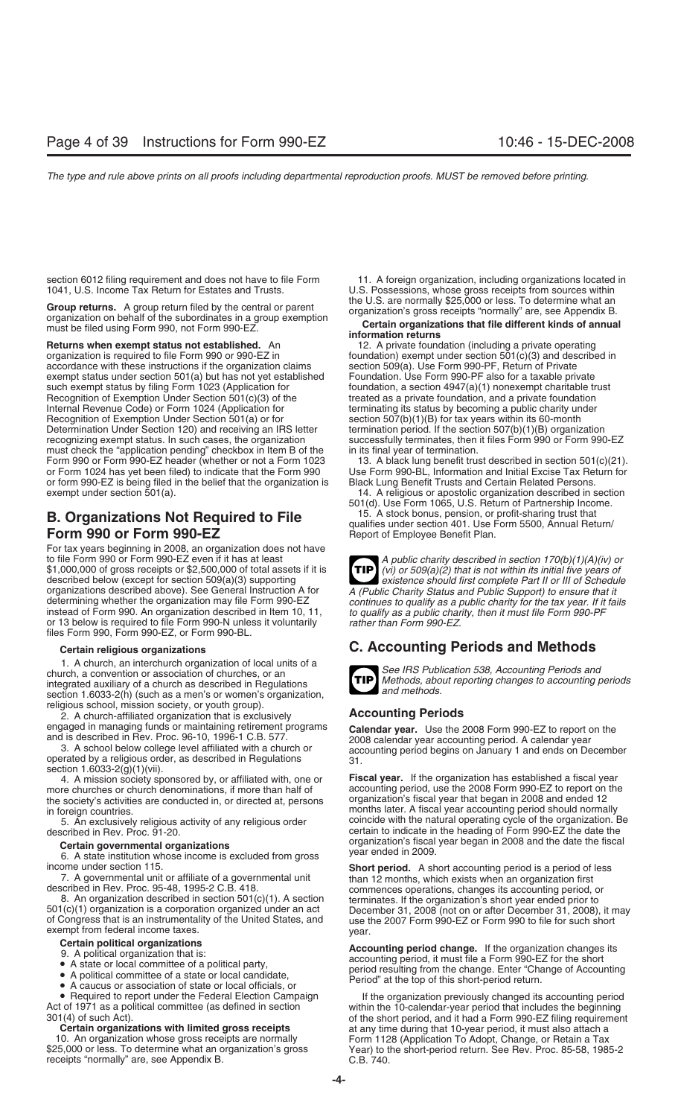Group returns. A group return filed by the central or parent<br>organization's gross receipts "normally" are, see Appendix B.<br>must be filed using Form 990, not Form 990-EZ.

**Returns when exempt status not established.** An 12. A private foundation (including a private operating organization is required to file Form 990 or 990-EZ in foundation) exempt under section 501(c)(3) and describe accordance with these instructions if the organization claims section 509(a). Use Form 990-PF, Return of Private<br>exempt status under section 501(a) but has not yet established Foundation. Use Form 990-PF also for a taxable exempt status under section 501(a) but has not yet established such exempt status by filing Form 1023 (Application for foundation, a section 4947(a)(1) nonexempt charitable trust<br>Recognition of Exemption Under Section 501(c)(3) of the freated as a private foundation, and a private fou Recognition of Exemption Under Section 501(c)(3) of the Internal Revenue Code) or Form 1024 (Application for Recognition of Exemption Under Section 501(a) or for section 507(b)(1)(B) for tax years within its 60-month<br>Determination Under Section 120) and receiving an IRS letter termination period. If the section 507(b)(1)(B) organ Determination Under Section 120) and receiving an IRS letter recognizing exempt status. In such cases, the organization successfully terminates, then it files Form 990 or Form 990-EZ<br>must check the "application pending" checkbox in Item B of the in its final year of termination. must check the "application pending" checkbox in Item B of the in its final year of termination.<br>Form 990 or Form 990-EZ header (whether or not a Form 1023 13. A black lung benefit trust described in section 501(c)(21). Form 990 or Form 990-EZ header (whether or not a Form 1023 or Form 1024 has yet been filed) to indicate that the Form 990 Use Form 990-BL, Information and Initial Excise Tax Return for or form 990-EZ is being filed in the belief that the organization is Black Lung Benefit Trusts a or form 990-EZ is being filed in the belief that the organization is exempt under section  $501(a)$ .

## **B. Organizations Not Required to File Form 990 or Form 990-EZ** Report of Employee Benefit Plan.

For tax years beginning in 2008, an organization does not have to file Form 990 or Form 990-EZ even if it has at least<br>\$1,000,000 of gross receipts or \$2,500,000 of total assets if it is<br>described below (except for section 509(a)(3) supporting<br>existence should first complete Part II described below (except for section 509(a)(3) supporting<br>organizations described above). See General Instruction A for A (Public Charity Status and Public Support) to ensure that it organizations described above). See General Instruction A for *A (Public Charity Status and Public Support) to ensure that it* instead of Form 990. An organization described in Item 10, 11, *to qualify as a public charity, then it must file Form 990-PF* or 13 below is required to file Form 990-N unless it voluntarily files Form 990, Form 990-EZ, or Form 990-BL.

1. A church, an interchurch organization of local units of a<br>church, a convention or association of churches, or an<br>integrated auxiliary of a church as described in Regulations<br>section 1.6033-2(b) (such as a men's or women section 1.6033-2(h) (such as a men's or women's organization, religious school, mission society, or youth group).

2. A church-affiliated organization that is exclusively **Accounting Periods**

section 1.6033-2(g)(1)(vii).

more churches or church denominations, if more than half of accounting period, use the 2008 Form 990-EZ to report on<br>the society's activities are conducted in, or directed at, persons organization's fiscal year that began the society's activities are conducted in, or directed at, persons

of Congress that is an instrumentality of the United States, and use the 2007 Form 990-EZ or Form 990 to file for such short exempt from federal income taxes.

- 
- 
- 
- 

10. An organization whose gross receipts are normally Form 1128 (Application To Adopt, Change, or Retain a Tax<br>1988 S25,000 or less. To determine what an organization's gross Year) to the short-period return. See Rev. Proc receipts "normally" are, see Appendix B. C.B. 740.

section 6012 filing requirement and does not have to file Form 11. A foreign organization, including organizations located in<br>1041, U.S. Income Tax Return for Estates and Trusts. U.S. Possessions, whose gross receipts from U.S. Possessions, whose gross receipts from sources within the U.S. are normally \$25,000 or less. To determine what an

## **Certain organizations that file different kinds of annual information returns**

foundation) exempt under section  $501(c)(3)$  and described in section 509(a). Use Form 990-PF, Return of Private terminating its status by becoming a public charity under

14. A religious or apostolic organization described in section

501(d). Use Form 1065, U.S. Return of Partnership Income. qualifies under section 401. Use Form 5500, Annual Return/

**TIP** continues to qualify as a public charity for the tax year. If it fails

## **Certain religious organizations C. Accounting Periods and Methods**

**TIP**

engaged in managing funds or maintaining retirement programs<br>and is described in Rev. Proc. 96-10, 1996-1 C.B. 577.<br>3. A school below college level affiliated with a church or<br>operated by a religious order, as described in

4. A mission society sponsored by, or affiliated with, one or **Fiscal year.** If the organization has established a fiscal year in foreign countries.<br>5. An exclusively religious activity of any religious order coincide with the natural operating cycle of the organization. I 5. An exclusively religious activity of any religious order coincide with the natural operating cycle of the organization. Be cortain to indicate in the heading of Form 990-EZ the date the described in Rev. Proc. 91-20. certain to indicate in the heading of Form 990-EZ the date the organization's fiscal year began in 2008 and the date the fiscal **Certain governmental organizations** year ended in 2009. 6. A state institution whose income is excluded from gross

income under section 115.<br>
7. A governmental unit or affiliate of a governmental unit<br>
described in Rev. Proc. 95-48, 1995-2 C.B. 418.<br>
8. An organization described in section 501(c)(1). A section<br>
501(c)(1) organization i

Certain political organizations<br>
9. A political organization that is:<br>
• A state or local committee of a political party,<br>
• A political committee of a state or local candidate,<br>
• A caucus or association of state or loca

If the organization previously changed its accounting period Act of 1971 as a political committee (as defined in section within the 10-calendar-year period that includes the beginning<br>301(4) of such Act). of the short period, and it had a Form 990-EZ filing requiremer 1(4) of such Act).<br> **3011** of the short period, and it had a Form 990-EZ filing requirement<br> **Certain organizations with limited gross receipts** at any time during that 10-year period, it must also attach a at any time during that 10-year period, it must also attach a Year) to the short-period return. See Rev. Proc. 85-58, 1985-2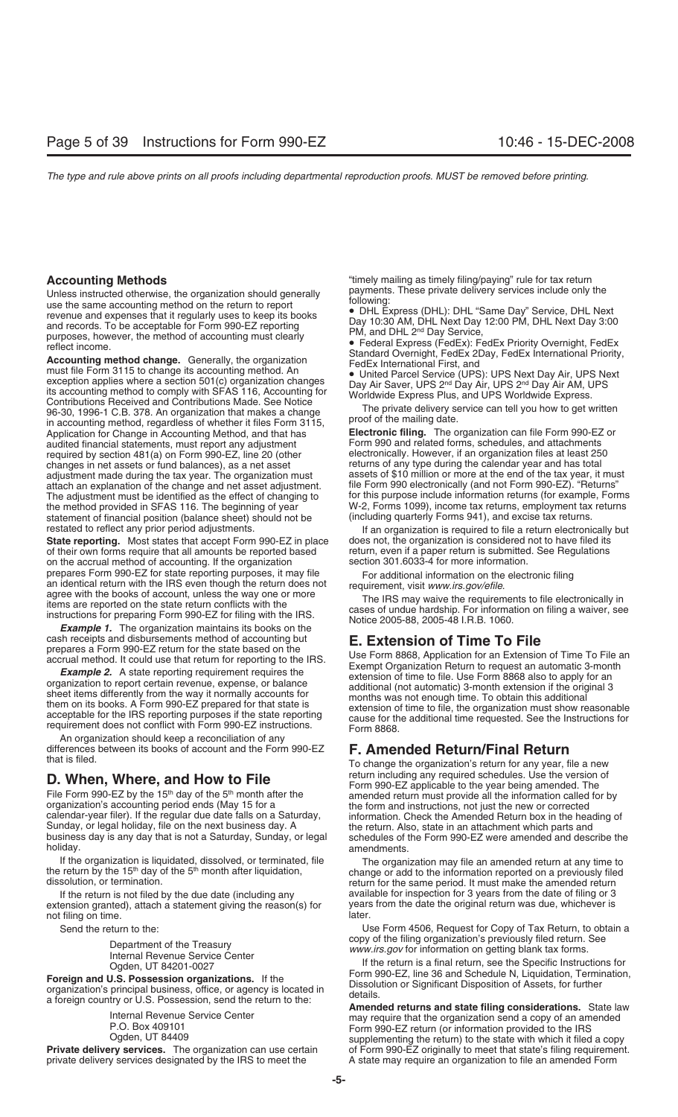Unless instructed otherwise, the organization should generally<br>
use the same accounting method on the return to report<br>
revenue and expenses that it regularly uses to keep its books<br>
and records. To be acceptable for Form in accounting method, regardless of whether it files Form 3115,<br>Application for Change in Accounting Method, and that has **Electronic filing.** The organization can file Form 990-EZ or<br>audited financial statements, must rep audited financial statements, must report any adjustment required by section 481(a) on Form 990-EZ, line 20 (other electronically. However, if an organization files at least 250<br>changes in net assets or fund balances), as a net asset returns of any type during the calendar year changes in net assets or fund balances), as a net asset returns of any type during the calendar year and has total<br>adjustment made during the tax year. The organization must assets of \$10 million or more at the end of the adjustment made during the tax year. The organization must attach an explanation of the change and net asset adjustment. file Form 990 electronically (and not Form 990-EZ). "Returns" The adjustment must be identified as the effect of changing to for this purpose include information returns (for example, Forms the method provided in SFAS 116. The beginning of year W-2, Forms 1099), income tax returns, e the method provided in SFAS 116. The beginning of year W-2, Forms 1099), income tax returns, employment tax statement of financial position (balance sheet) should not be (including quarterly Forms 941), and excise tax retu statement of financial position (balance sheet) should not be

**State reporting.** Most states that accept Form 990-EZ in place does not, the organization is considered not to have filed its of their own forms require that all amounts be reported based return, even if a paper return is on the accrual method of accounting. If the organization prepares Form 990-EZ for state reporting purposes, it may file prepares Form 990-EZ for state reporting purposes, it may file<br>an identical return with the IRS even though the return does not<br>agree with the books of account, unless the way one or more<br>items are reported on the state re

An organization should keep a reconciliation of any differences between its books of account and the Form 990-EZ **F. Amended Return/Final Return**

holiday. **Analyzing the contract of the contract of the contract of the contract of the contract of the contract of the contract of the contract of the contract of the contract of the contract of the contract of the contra** 

extension granted), attach a statement giving the reason(s) for years portion on time original return was due the original return was due the original return was due the original return was due the original return was due not filing on time.

Foreign and U.S. Possession organizations. If the<br>
organization's principal business, office, or agency is located in<br>
a foreign country or U.S. Possession, send the return to the:<br>
Internal Revenue Service Center<br>
Interna

**Accounting Methods**<br>
Linkee instructed ethenwise, the examization should generally and payments. These private delivery services include only the

restated to reflect any prior period adjustments. If an organization is required to file a return electronically but return, even if a paper return is submitted. See Regulations section 301.6033-4 for more information.

cash receipts and disbursements method of accounting but<br>prepares a Form 990-EZ return for the state based on the<br>accrual method. It could use that return for reporting to the IRS.<br>**Example 2.** A state reporting requiremen

To change the organization's return for any year, file a new return including any required schedules. Use the version of **D. When, Where, and How to File**<br>File Form 990-EZ by the 15<sup>th</sup> day of the 5<sup>th</sup> month after the<br>organization's accounting period ends (May 15 for a<br>calendar-year filer). If the regular due date falls on a Saturday,<br>Sunda

If the organization is liquidated, dissolved, or terminated, file  $\frac{1}{2}$  The organization may file an amended return at any time to the return by the 15<sup>th</sup> day of the 5<sup>th</sup> month after liquidation,  $\frac{1}{2}$  change or If the return is not filed by the due date (including any available for inspection for 3 years from the date of filing or 3<br>Itension granted), attach a statement giving the reason(s) for years from the date the original re

Send the return to the: Use Form 4506, Request for Copy of Tax Return, to obtain a Copy of the filing organization's previously filed return. See<br>Internal Revenue Service Center *www.irs.gov* for information on getting blank tax forms.

Ogden, UT 84201-0027<br>
Ogden, UT 84201-0027 If the return is a final return, see the Specific Instructions for<br>
In Person at the server instant of the Specific Instructions of the Specific Instructions of the Specific Instr

Internal Revenue Service Center<br>P.O. Box 409101 Form 990-EZ return (or information send a copy of an amended<br>Private delivery services. The organization can use certain of Form 990-EZ originally to meet that state's filing **Private delivery services.** The organization can use certain of Form 990-EZ originally to meet that state's filing requirement. private delivery services designated by the IRS to meet the A state may require an organizati A state may require an organization to file an amended Form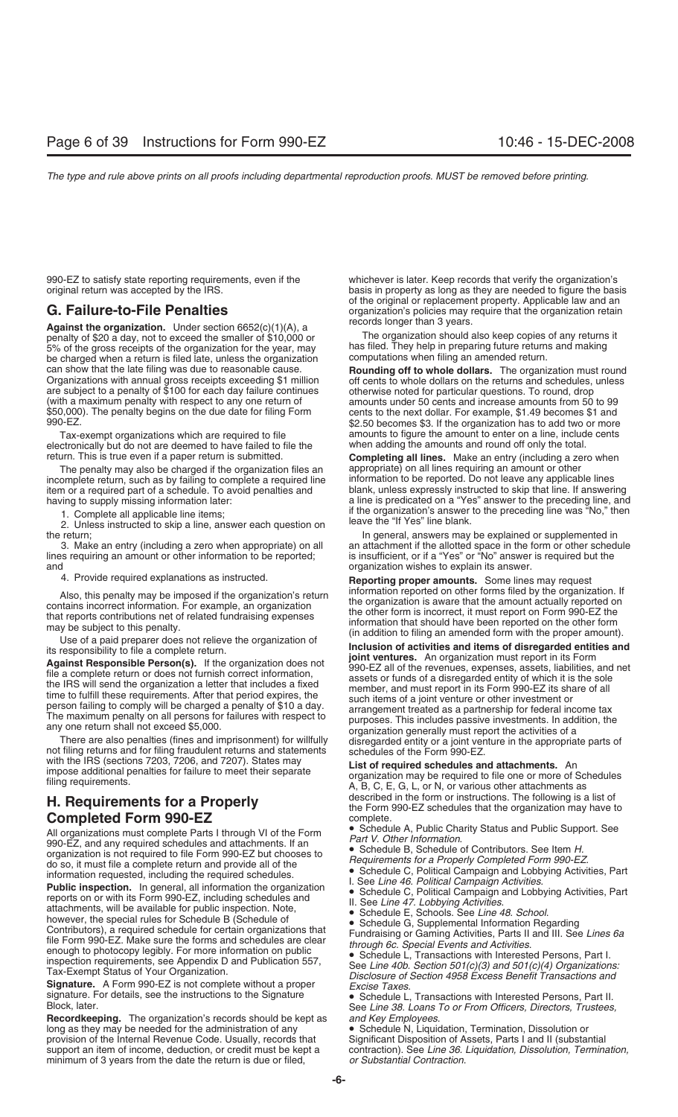Against the organization. Under section 6652(c)(1)(A), a<br>nenalty of \$20 a day, not to exceed the smaller of \$10,000 or **The organization should also keep copies** of any returns it penalty of \$20 a day, not to exceed the smaller of \$10,000 or The organization should also keep copies of any returns it and making it and the organization should also keep copies of any returns it and making it and making 5% of the gross receipts of the organization for the year, may has filed. They help in preparing future return<br>be charged when a return is filed late, unless the organization computations when filing an amended return. be charged when a return is filed late, unless the organization can show that the late filing was due to reasonable cause. are subject to a penalty of \$100 for each day failure continues<br>(with a maximum penalty with respect to any one return of (with a maximum penalty with respect to any one return of amounts under 50 cents and increase amounts from 50 to 99<br>\$50,000). The penalty begins on the due date for filing Form cents to the next dollar. For example, \$1,49 \$50,000). The penalty begins on the due date for filing Form cents to the next dollar. For example, \$1.49 becomes \$1 and

electronically but do not are deemed to have failed to file the return. This is true even if a paper return is submitted.

The penalty may also be charged if the organization files an appropriate) on all lines requiring an amount or other<br>omplete return, such as by failing to complete a required line and information to be reported. Do not leav incomplete return, such as by failing to complete a required line information to be reported. Do not leave any applicable lines<br>item or a required part of a schedule. To avoid penalties and blank, unless expressly instruct item or a required part of a schedule. To avoid penalties and

I. Complete all applicable line items;<br>2. Unless instructed to skip a line, answer each question on leave the "If Yes" line blank. the return; The return; In general, answers may be explained or supplemented in

lines requiring an amount or other information to be reported; and

All organizations must complete Parts I through VI of the Form<br>
990-EZ, and any required schedules and attachments. If an<br>
990-EZ, and any required schedules and attachments. If an<br>
do so, it must file a complete return an

Tax-Exempt Status of Your Organization.<br>
Signature. A Form 990-EZ is not complete without a proper<br>
signature Signature Schedule L, Transactions with Interested Persons, Part II.<br>
Block, later.<br>
Recordkeeping. The organiza

Recordkeeping. The organization's records should be kept as long as they may be needed for the administration of any **•** Schedule N, Liquidation, Termination, Dissolution or provision of the Internal Revenue Code. Usually, records that Significant Disposition of Assets, Parts I and provision of the Internal Revenue Code. Usually, records that support an item of income, deduction, or credit must be kept a minimum of 3 years from the date the return is due or filed, *or Substantial Contraction*.

990-EZ to satisfy state reporting requirements, even if the whichever is later. Keep records that verify the organization's original return was accepted by the IRS. basis in property as long as they are needed to figure the basis of the original or replacement property. Applicable law and an G. Failure-to-File Penalties<br>**Against the organization** Under section  $\epsilon$  ( $\epsilon$ Failure) organization's policies may require that the organization retain

can show that the late filing was due to reasonable cause.<br>Organizations with annual gross receipts exceeding \$1 million off cents to whole dollars on the returns and schedules, unless<br>are subject to a penalty of \$100 for \$2.50 becomes \$3. If the organization has to add two or more Tax-exempt organizations which are required to file amounts to figure the amount to enter on a line, include cents<br>extronically but do not are deemed to have failed to file the when adding the amounts and round off only th

**Completing all lines.** Make an entry (including a zero when having to supply missing information later:<br>
a line is predicated on a "Yes" answer to the preceding line was "No," then<br>
if the organization's answer to the preceding line was "No," then

3. Make an entry (including a zero when appropriate) on all an attachment if the allotted space in the form or other schedule<br>In an amount or other information to be reported; is insufficient, or if a "Yes" or "No" answer organization wishes to explain its answer.

4. Provide required explanations as instructed. **Reporting proper amounts.** Some lines may request<br>Also, this papelty may be impesed if the exapization's return information reported on other forms filed by the organization

Also, this penalty may be imposed if the organization's returm<br>
contains incorrect information term field by the organization<br>
the organization is aware that the mount actually reported on<br>
that reports contributions net

with the IRS (sections 7203, 7206, and 7207). States may<br>impose additional penalties for failure to meet their separate<br>filing requirements. An organization may be required to file one or more of Schedules<br>filing requireme **H. Requirements for a Properly Hermonth of the form or instructions.** The following is a list of the Form 990-EZ schedules that the organization may have to **Completed Form 990-EZ** complete.<br>All grapizations must complete Parts Librough VI of the Form **Complete** A, Public Charity Status and Public Support. See

- 
- 
- 
- 
- 

contraction). See Line 36. Liquidation, Dissolution, Termination,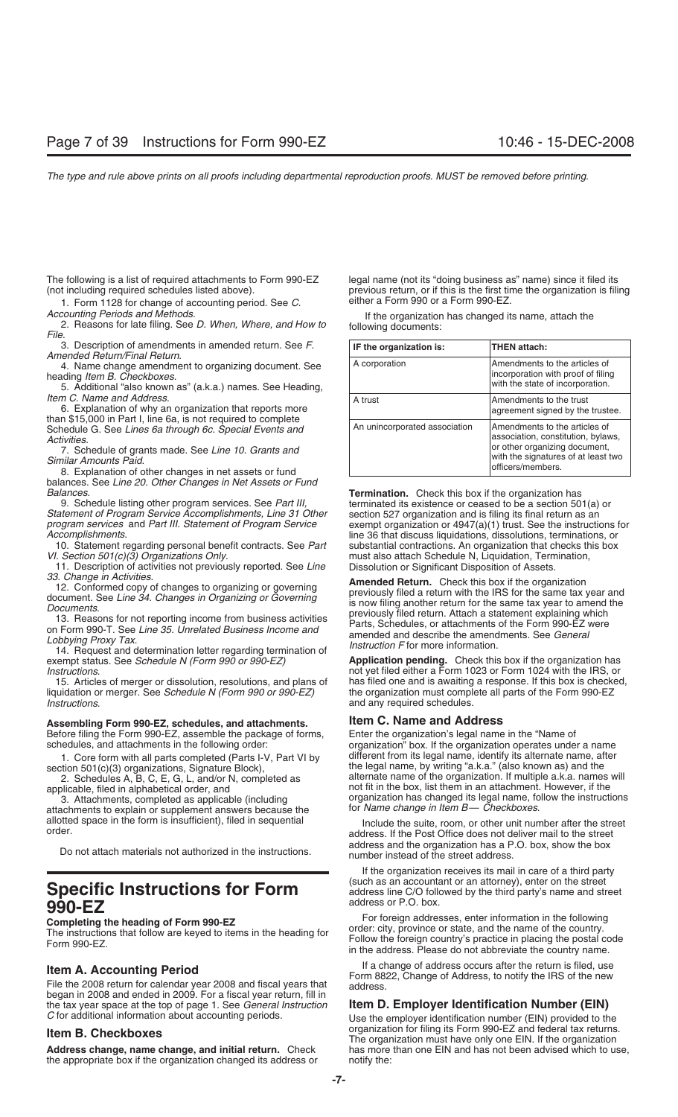The following is a list of required attachments to Form 990-EZ legal name (not its "doing business as" name) since it filed its

1. Form 1128 for change of accounting period. See C. The either a Form 990 or a Form 990-EZ.

*Accounting Periods and Methods*. If the organization has changed its name, attach the 2. Reasons for late filing. See *D. When, Where, and How to* following documents: *File*.

balances. See *Line 20. Other Changes in Net Assets or Fund*

*Statement of Program Service Accomplishments, Line 31 Other* program services and Part III. Statement of Program Service

10. Statement regarding personal benefit contracts. See *Part* VI. Section 501(c)(3) Organizations Only.

11. Description of activities not previously reported. See *Line* 33. Change in Activities.

exempt status. See *Schedule N (Form 990 or 990-EZ)* **Application pending.** Check this box if the organization has

15. Articles of merger or dissolution, resolutions, and plans of has filed one and is awaiting a response. If this box is checke<br>uidation or merger. See *Schedule N (Form 990 or 990-EZ)* the organization must complete all liquidation or merger. See Schedule N (Form 990 or 990-EZ) *Instructions*. **and any required schedules** and any required schedules.

## **Assembling Form 990-EZ, schedules, and attachments. Item C. Name and Address**

Before filing the Form 990-EZ, assemble the package of forms, Enter the organization's legal name in the "Name of schedules, and attachments in the following order: organization" box. If the organization operates under

1. Core form with all parts completed (Parts I-V, Part VI by section 501(c)(3) organizations, Signature Block),

3. Attachments, completed as applicable (including organization has changed its legal name, follow the including or<br>achments to explain or supplement answers because the for Name change in Item B— Checkboxes. attachments to explain or supplement answers because the

# **990-EZ**<br>**1990-EZ** address or P.O. box.<br>**1990-EZ** For foreign addresses, enter information in the following

began in 2008 and ended in 2009. For a fiscal year return, fill in the tax year space at the top of page 1. See General Instruction

the appropriate box if the organization changed its address or notify the:

(not including required schedules listed above). previous return, or if this is the first time the organization is filing

| 3. Description of amendments in amended return. See F.<br>Amended Return/Final Return.                                                                                                                          | IF the organization is:       | THEN attach:                                                                                                                                                      |
|-----------------------------------------------------------------------------------------------------------------------------------------------------------------------------------------------------------------|-------------------------------|-------------------------------------------------------------------------------------------------------------------------------------------------------------------|
| 4. Name change amendment to organizing document. See<br>heading Item B. Checkboxes.<br>5. Additional "also known as" (a.k.a.) names. See Heading,                                                               | A corporation                 | Amendments to the articles of<br>incorporation with proof of filing<br>with the state of incorporation.                                                           |
| Item C. Name and Address.<br>6. Explanation of why an organization that reports more<br>than \$15,000 in Part I, line 6a, is not required to complete                                                           | A trust                       | Amendments to the trust<br>agreement signed by the trustee.                                                                                                       |
| Schedule G. See Lines 6a through 6c. Special Events and<br>Activities.<br>7. Schedule of grants made. See Line 10. Grants and<br>Similar Amounts Paid.<br>8. Explanation of other changes in net assets or fund | An unincorporated association | Amendments to the articles of<br>association, constitution, bylaws,<br>or other organizing document,<br>with the signatures of at least two<br>lofficers/members. |

*Balances*. **Termination.** Check this box if the organization has terminated its existence or ceased to be a section 501(a) or section 527 organization and is filing its final return as an *program services* and *Part III. Statement of Program Service* exempt organization or 4947(a)(1) trust. See the instructions for line 36 that discuss liquidations, dissolutions, terminations, or substantial contractions. An organization that checks this box must also attach Schedule N, Liquidation, Termination, Dissolution or Significant Disposition of Assets.

33. Change in Activities.<br>
12. Conformed copy of changes to organizing or governing<br>
document. See Line 34. Changes in Organizing or Governing<br>
Documents.<br>
To Reasons for not reporting income from business activities<br>
on F

*Instructions*. not yet filed either a Form 1023 or Form 1024 with the IRS, or

organization<sup>"</sup> box. If the organization operates under a name different from its legal name, identify its alternate name, after the legal name, by writing "a.k.a." (also known as) and the 2. Schedules A, B, C, E, G, L, and/or N, completed as alternate name of the organization. If multiple a.k.a. names will applicable, filed in alphabetical order, and and the box, list them in an attachment. However, if the not fit in the box, list them in an attachment. However, if the organization has changed its legal name, follow the instructions

allotted space in the form is insufficient), filed in sequential Include the suite, room, or other unit number after the street order. Do not attach materials not authorized in the instructions. address and the organization has a P.O. box, show the box number instead of the street address.

If the organization receives its mail in care of a third party Specific Instructions for Form **Supply and Secountant or an attorney**), enter on the street **Specific Instructions for Form** address line C/O followed by the third party's name and street

**Completing the heading of Form 990-EZ**<br>The instructions that follow are keyed to items in the heading for<br>Form 990-EZ.<br>Form 990-EZ.<br>Form 990-EZ.<br>In the address. Please do not abbreviate the country name.

If a change of address occurs after the return is filed, use<br>File the 2008 return for calendar year 2008 and fiscal years that<br>address. Change of Address, to notify the IRS of the new

## **Item D. Employer Identification Number (EIN)**

*C* for additional information about accounting periods. Use the employer identification number (EIN) provided to the organization for filing its Form 990-EZ and federal tax returns.<br>The organization must have only one EIN. If the organization<br>Address change, name change, and initial return. Check has more than one EIN and has not been ad has more than one EIN and has not been advised which to use,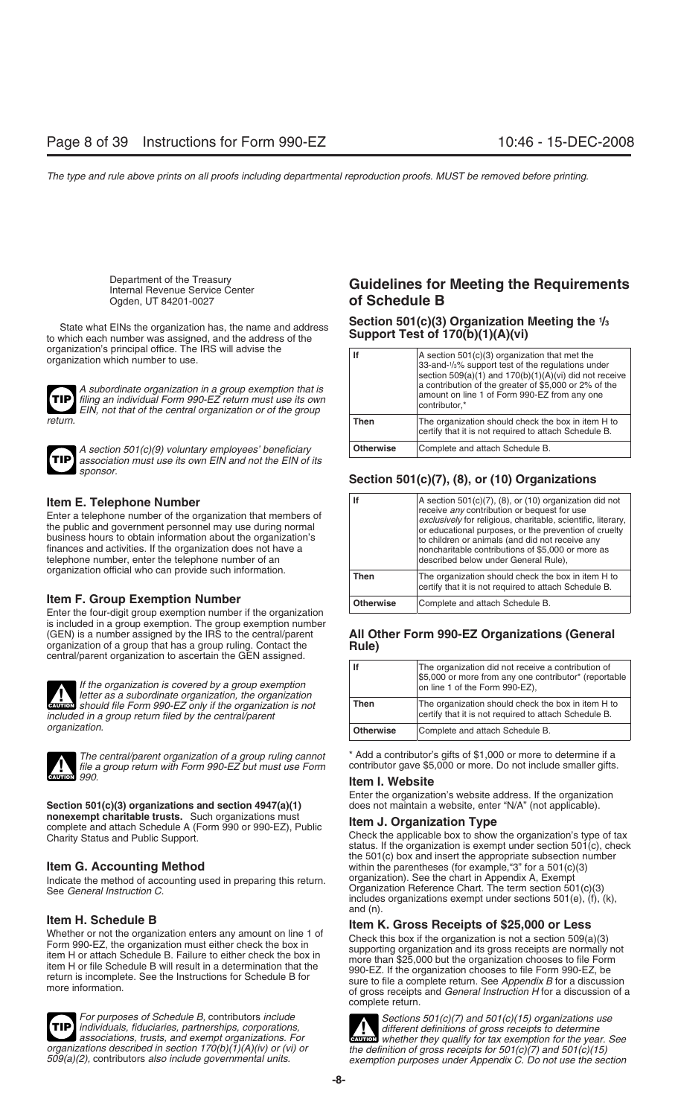organization's principal office. The IRS will advise the organization which number to use.





*A section 501(c)(9) voluntary employees' beneficiary association must use its own EIN and not the EIN of its sponsor.*

**Item E. Telephone Number**<br>Enter a telephone number of the organization that members of<br>the public and government personnel may use during normal<br>business hours to obtain information about the organization's finances and activities. If the organization does not have a telephone number, enter the telephone number of an organization official who can provide such information.

## **Item F. Group Exemption Number**

Enter the four-digit group exemption number if the organization is included in a group exemption. The group exemption number (GEN) is a number assigned by the IRS to the central/parent **All Other Form 990-EZ Organizations (General** central/parent organization to ascertain the GEN assigned.





*file a group return with Form 990-EZ but must use Form* **CAUTION** *990.*

**Section 501(c)(3) organizations and section 4947(a)(1)** nonexempt charitable trusts. Such organizations must **nonexempt charitable trusts.** Such organizations must **Item J. Organization Type** complete and attach Schedule A (Form 990 or 990-EZ), Public

Indicate the method of accounting used in preparing this return.<br>See General Instruction C.



## Department of the Treasury<br>
Internal Revenue Service Center<br>
Ogden, UT 84201-0027<br> **Of Schedule B** of Schedule B

## **Section 501(c)(3) Organization Meeting the 1 /3** State what EINs the organization has, the name and address **Support Test of 170(b)(1)(A)(vi)** to which each number was assigned, and the address of the

| organization's principal office. The IRS will advise the<br>organization which number to use.<br>A subordinate organization in a group exemption that is<br>TIP] filing an individual Form 990-EZ return must use its own<br>EIN, not that of the central organization or of the group |                  | $ A$ section 501(c)(3) organization that met the<br>33-and-1/ <sub>3</sub> % support test of the regulations under<br>section $509(a)(1)$ and $170(b)(1)(A)(vi)$ did not receive<br>a contribution of the greater of \$5,000 or 2% of the<br>amount on line 1 of Form 990-EZ from any one<br>contributor.* |
|----------------------------------------------------------------------------------------------------------------------------------------------------------------------------------------------------------------------------------------------------------------------------------------|------------------|------------------------------------------------------------------------------------------------------------------------------------------------------------------------------------------------------------------------------------------------------------------------------------------------------------|
| return.                                                                                                                                                                                                                                                                                | Then             | The organization should check the box in item H to<br>certify that it is not required to attach Schedule B.                                                                                                                                                                                                |
| $\sim$ A section $501(c)(9)$ voluntary employees' beneficiany                                                                                                                                                                                                                          | <b>Otherwise</b> | Complete and attach Schedule B.                                                                                                                                                                                                                                                                            |

## **Section 501(c)(7), (8), or (10) Organizations**

| lf               | A section $501(c)(7)$ , (8), or (10) organization did not<br>receive any contribution or bequest for use<br>exclusively for religious, charitable, scientific, literary,<br>or educational purposes, or the prevention of cruelty<br>to children or animals (and did not receive any<br>noncharitable contributions of \$5,000 or more as<br>described below under General Rule), |
|------------------|-----------------------------------------------------------------------------------------------------------------------------------------------------------------------------------------------------------------------------------------------------------------------------------------------------------------------------------------------------------------------------------|
| Then             | The organization should check the box in item H to<br>certify that it is not required to attach Schedule B.                                                                                                                                                                                                                                                                       |
| <b>Otherwise</b> | Complete and attach Schedule B.                                                                                                                                                                                                                                                                                                                                                   |

| oomal paront organization to associating the GETY assigned.                                                                                                          |                  |                                                                                                                                               |
|----------------------------------------------------------------------------------------------------------------------------------------------------------------------|------------------|-----------------------------------------------------------------------------------------------------------------------------------------------|
| If the organization is covered by a group exemption<br>If the organization is covered by a group exemption<br>letter as a subordinate organization, the organization |                  | The organization did not receive a contribution of<br>\$5,000 or more from any one contributor* (reportable<br>on line 1 of the Form 990-EZ), |
| <b>ENTION</b> should file Form 990-EZ only if the organization is not<br>included in a group return filed by the central/parent<br>organization.                     | <b>Then</b>      | The organization should check the box in item H to<br>certify that it is not required to attach Schedule B.                                   |
|                                                                                                                                                                      | <b>Otherwise</b> | Complete and attach Schedule B.                                                                                                               |

*The central/parent organization of a group ruling cannot* \* Add a contributor's gifts of \$1,000 or more to determine if a

## **Item I. Website**

Enter the organization's website address. If the organization does not maintain a website, enter "N/A" (not applicable).

Charity Status and Public Support.<br>Check the applicable box to show the organization's type of tax status. If the organization is exempt under section 501(c), check the 501(c) box and insert the appropriate subsection number **Item G. Accounting Method** within the parentheses (for example, "3" for a 501(c)(3)<br>Indicate the method of accounting used in preparing this return organization). See the chart in Appendix A, Exempt Organization Reference Chart. The term section 501(c)(3) includes organizations exempt under sections  $501(e)$ ,  $(f)$ ,  $(k)$ , and (n).

**Item K. Gross Receipts of \$25,000 or Less**<br>Whether or not the organization enters any amount on line 1 of<br>Form 990-EZ, the organization must either check the box in<br>item H or attach Schedule B. Failure to either check the complete return.

For purposes of Schedule B, contributors include<br>individuals, fiduciaries, partnerships, corporations,<br>organizations of gross receipts to determine<br>organizations, trusts, and exempt organizations. For<br>organizations descri **CAUTION !** 509(a)(2), contributors also include governmental units. exemption purposes under Appendix C. Do not use the section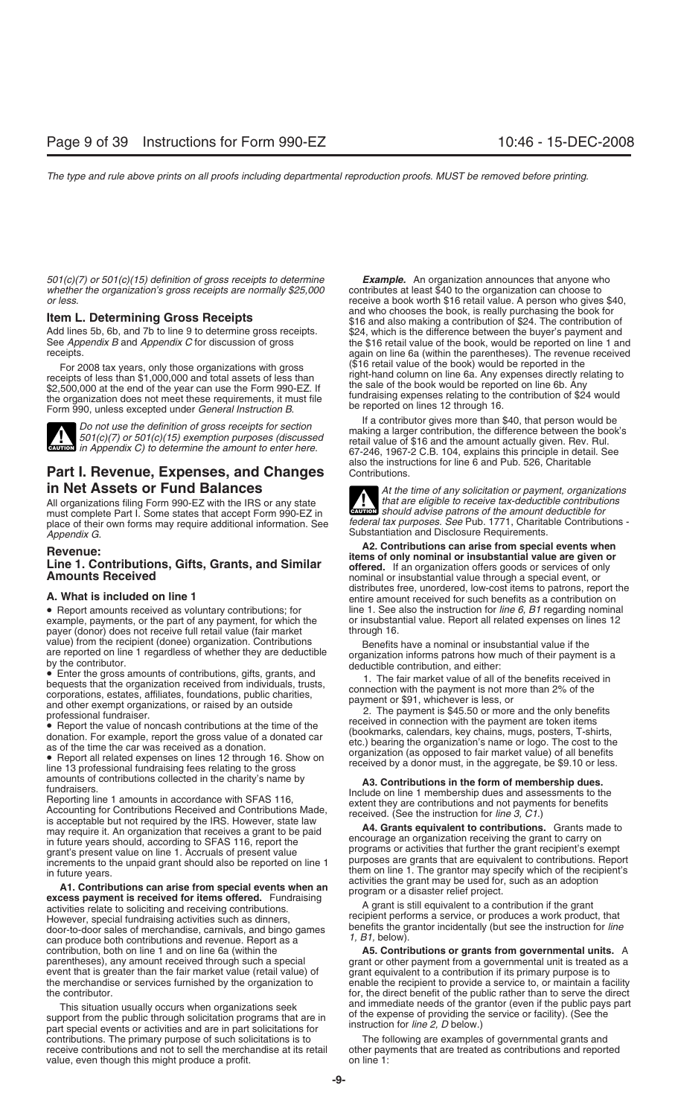*501(c)(7) or 501(c)(15) definition of gross receipts to determine Example.* An organization announces that anyone who *whether the organization's gross receipts are normally \$25,000* contributes at least \$40 to the organization can choose to receive a book worth \$16 retail value. A person who gives

For 2008 tax years, only those organizations with gross receipts of less than \$1,000,000 and total assets of less than<br>receipts of less than \$1,000,000 and total assets of less than<br>\$2,500,000 at the end of the year can us



**ENTION** in Appendix C) to determine the amount to enter here.

## **Part I. Revenue, Expenses, and Changes**

All organizations filing Form 990-EZ with the IRS or any state *that are eligible to receive tax-deductible contributic*<br>must complete Part L Some states that accent Form 990-EZ in must complete Part I. Some states that accept Form 990-EZ in<br>place of their own forms may require additional information. See federal tax purposes. See Pub. 1771, Charitable Contributions place of their own forms may require additional information. See Appendix G. **Appendix G.** Substantiation and Disclosure Requirements.

• Report amounts received as voluntary contributions; for line 1. See also the instruction for *line 6, B1* regarding nominal example, payments, or the part of any payment, for which the or insubstantial value. Report all example, payments, or the part of any payment, for which the payer (donor) does not receive full retail value (fair market through 16. value) from the recipient (donee) organization. Contributions Benefits have a nominal or insubstantial value if the<br>are reported on line 1 regardless of whether they are deductible organization informs patrons how much of

is acceptable but not required by the IRS. However, state law **A4. Grants equivalent to contributions.** Grants made to may require it. An organization that receives a grant to be paid **A4. Grants equivalent to contribution** 

activities relate to soliciting and receiving contributions.<br>However, special fundraising activities such as dinners,<br>door-to-door sales of merchandise, carnivals, and bingo games<br>door-to-door sales of merchandise, carniva door-to-door sales of merchandise, carnivals, and bingo games can produce both contributions and revenue. Report as a *1, B1, below).* contribution, both on line 1 and on line 6a (within the **A5. Contri** contribution, both on line 1 and on line 6a (within the **A5. Contributions or grants from governmental units.** A parentheses), any amount received through such a special grant or other payment from a governmental unit is t event that is greater than the fair market value (retail value) of grant equivalent to a contribution if its primary purpose is to the merchandise or services furnished by the organization to enable the recipient to provid the merchandise or services furnished by the organization to enable the recipient to provide a service to, or maintain a facility<br>for, the direct benefit of the public rather than to serve the direct

This situation usually occurs when organizations seek and immediate needs of the grantor (even if the public pays part support from the public through solicitation programs that are in the expense of providing the service contributions. The primary purpose of such solicitations is to The following are examples of governmental grants and<br>receive contributions and not to sell the merchandise at its retail other payments that are treated as co value, even though this might produce a profit. The same on line 1:

receive a book worth \$16 retail value. A person who gives \$40, **Item L. Determining Gross Receipts Item L. Determining Gross Receipts In the and who chooses the book, is really purchasing the book for set of the contribution of \$24. The contribution of \$24. The contribution of** Add lines 5b, 6b, and 7b to line 9 to determine gross receipts. \$24, which is the difference between the buyer's payment and See Appendix B and Appendix C for discussion of gross the \$16 retail value of the book, would be See *Appendix B* and *Appendix C* for discussion of gross the \$16 retail value of the book, would be reported on line 1 and received received received again on line 6a (within the parentheses). The revenue received

Do not use the definition of gross receipts for section<br>501(c)(7) or 501(c)(15) exemption purposes (discussed<br>fitall value of \$16 and the amount actually given. Rev. Rul. 67-246, 1967-2 C.B. 104, explains this principle in detail. See also the instructions for line 6 and Pub. 526, Charitable

**in Net Assets or Fund Balances**<br>All organizations filing Form 990-EZ with the IRS or any state *All organization or payment, organizations* **!**

**Revenue:**<br>
Line 1. Contributions, Gifts, Grants, and Similar<br>
Amounts Received<br>
Amounts Received<br>
Amounts Received<br>
Amounts Received<br>
Amounts Received<br>
Amounts Received<br>
Amounts Received<br>
Amounts Received<br>
Amounts Receive distributes free, unordered, low-cost items to patrons, report the **A. What is included on line 1** entire amount received for such benefits as a contribution on

are reported on line 1 regardless of whether they are deductible<br>
by the contribution, and either:<br>
by the contributions, and<br>
bequests that the organization received from individuals, trusts,<br>
bequests that the organizati

amounts of contributions collected in the charity's name by<br>fundraisers.<br>Reporting line 1 amounts in accordance with SFAS 116,<br>Accounting for Contributions Received and Contributions Made,<br>is acceptable but not required by

in future years should, according to SFAS 116, report the<br>in future years should, according to SFAS 116, report the<br>increments to the unpaid grant should also be reported on line 1<br>in future years.<br>In future years.<br>**A1. Co** 

grant or other payment from a governmental unit is treated as a for, the direct benefit of the public rather than to serve the direct

other payments that are treated as contributions and reported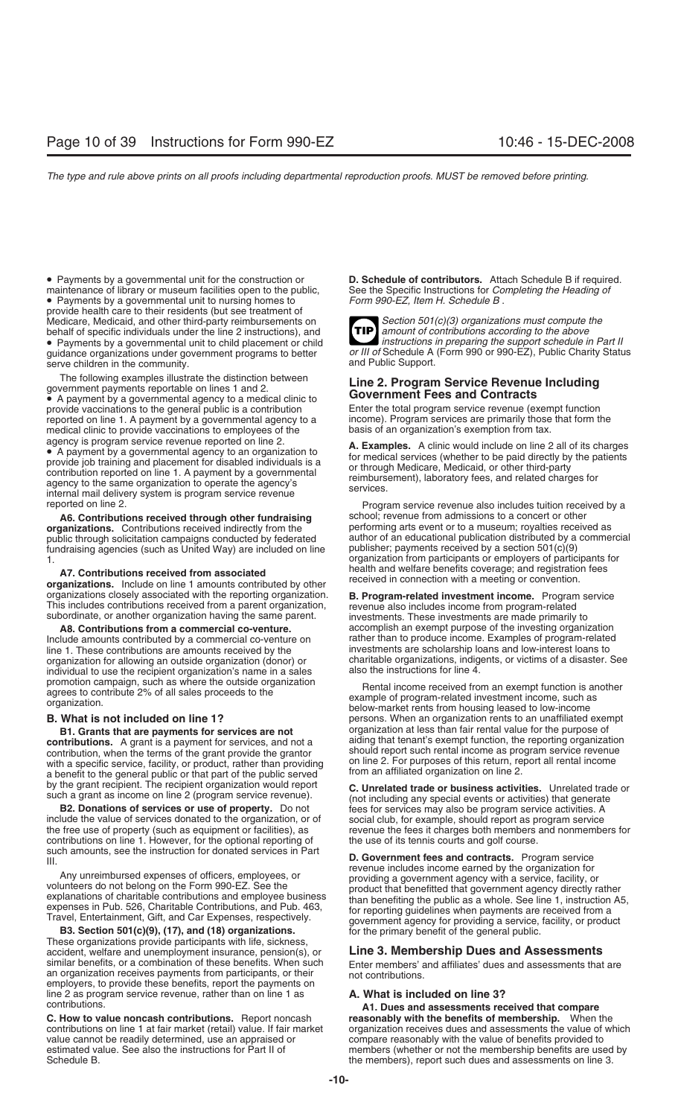• Payments by a governmental unit for the construction or **D. Schedule of contributors.** Attach Schedule B if required. maintenance of library or museum facilities open to the public, See the Specific Instructions for *Co*.<br>• Payments by a governmental unit to nursing homes to Form 990-EZ, Item H. Schedule B. • Payments by a governmental unit to nursing homes to provide health care to their residents (but see treatment of Medicare, Medicaid, and other third-party reimbursements on **Section 501(c)(3) organizations must compute the**<br>behalf of specific individuals under the line 2 instructions), and **TIP** amount of contributions according to t behalf of specific individuals under the line 2 instructions), and *amount of contributions according to the above*<br>• Payments by a governmental unit to child placement or child **and instructions in preparing the support** • Payments by a governmental unit to child placement or child *quidance organizations under government programs* to better serve children in the community.

provide vaccinations to the general public is a contribution Enter the total program service revenue (exempt function reported on line 1. A payment by a governmental agency to a income). Program services are primarily thos reported on line 1. A payment by a governmental agency to a income). Program services are primarily those medical clinic to provide vaccinations to employees of the basis of an organization's exemption from tax. medical clinic to provide vaccinations to employees of the

agency is program service revenue reported on line 2.<br>
● A payment by a governmental agency to an organization to<br>
provide job training and placement for disabled individuals is a<br>
contribution reported on line 1. A payme

**A6. Contributions received through other fundraising** school; revenue from admissions to a concert or other public through solicitation campaigns conducted by federated author of an educational publication distributed by a<br>fundraising agencies (such as United Way) are included on line publisher; payments received by a section 50 fundraising agencies (such as United Way) are included on line

organizations closely associated with the reporting organization. **B. Program-related investment income.** Program service This includes contributions received from a parent organization, revenue also includes income from p

Include amounts contributed by a commercial co-venture on line 1. These contributions are amounts received by the investments are scholarship loans and low-interest loans to organization (donor) or charitable organizations, indigents, or victims of a disaster. individual to use the recipient organization's name in a sales

contribution, when the terms of the grant provide the grantor should report such rental income as program service revenue<br>with a specific service facility or product rather than providing on line 2. For purposes of this re with a specific service, facility, or product, rather than providing on line 2. For purposes of this return, re<br>a benefit to the general public or that part of the public served from an affiliated organization on line 2. a benefit to the general public or that part of the public served

contributions on line 1. However, for the optional reporting of the use of its tennis courts and golf course.

**B3. Section 501(c)(9), (17), and (18) organizations.** For the primary benefit of the general public. These organizations provide participants with life, sickness, accident, welfare and unemployment insurance, pension(s), or **Line 3. Membership Dues and Assessments** an organization receives payments from participants, or their employers, to provide these benefits, report the payments on line 2 as program service revenue, rather than on line 1 as **A. What is included on line 3?**

value cannot be readily determined, use an appraised or compare reasonably with the value of benefits provided to<br>estimated value. See also the instructions for Part II of members (whether or not the membership benefits ar

**TIP** or III of Schedule A (Form 990 or 990-EZ), Public Charity Status and Public Support.

# The following examples illustrate the distinction between<br>government payments reportable on lines 1 and 2.<br>• A payment by a governmental agency to a medical clinic to<br>provide vaccinations to the general public is a contrib

reported on line 2. Program service revenue also includes tuition received by a **organizations.** Contributions received indirectly from the performing arts event or to a museum; royalties received as public through solicitation campaigns conducted by federated and author of an educational publication organization from participants or employers of participants for<br>health and welfare benefits coverage; and registration fees A7. Contributions received from associated<br>organizations. Include on line 1 amounts contributed by other received in connection with a meeting or convention.

**A8. Contributions from a commercial co-venture. accomplish an exempt purpose of the investing organization**<br>lude amounts contributed by a commercial co-venture on **the accomplish an** to produce income. Examples of progr charitable organizations, indigents, or victims of a disaster. See also the instructions for line 4.

promotion campaign, such as where the outside organization<br>agrees to contribute 2% of all sales proceeds to the<br>organization.<br>**B. What is not included on line 1?**<br>**B. What is not included on line 1?**<br>**B. What is not includ B. What is not included on line 1?** persons. When an organization rents to an unaffiliated exempt **B1. Grants that are payments for services are not** organization at less than fair rental value for the purpose of **contributions.** A grant is a payment for services, and not a aiding that tenant's exempt function, the reporting organization

by the grant recipient. The recipient organization would report<br>such a grant as income on line 2 (program service revenue).<br>**B2. Donations of services or use of property.** Do not frees for services may also be program serv fees for services may also be program service activities. A include the value of services donated to the organization, or of social club, for example, should report as program service<br>the free use of property (such as equipment or facilities), as revenue the fees it charges both me the free use of property (such as equipment or facilities), as revenue the fees it charges both members and nonmembers for

such amounts, see the instruction for donated services in Part<br>III. **D. Government fees and contracts**. Program service<br>Any unreimbursed expenses of officers, employees, or<br>volunteers do not belong on the Form 990-EZ. See

Enter members' and affiliates' dues and assessments that are not contributions.

contributions. **A1. Dues and assessments received that compare** reasonably with the benefits of membership. When the contributions on line 1 at fair market (retail) value. If fair market organization receives dues and assessments the value of which estimated value. See also the instructions for Part II of members (whether or not the membership benefits are used by<br>Schedule B.<br>Schedule B. the members), report such dues and assessments on line 3.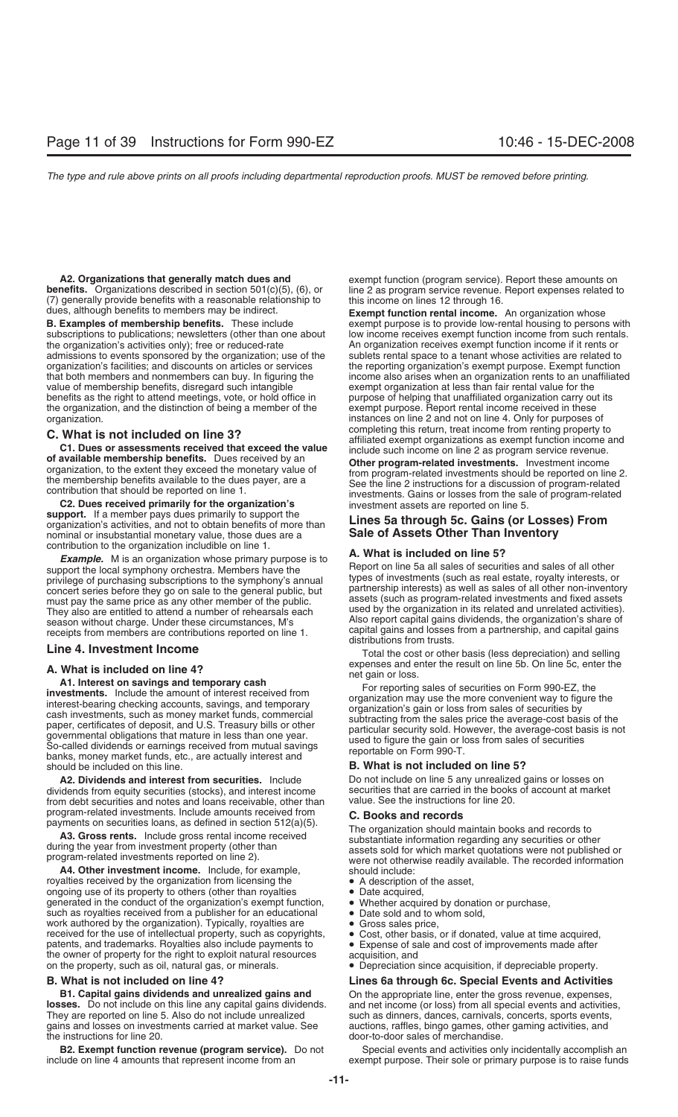**benefits.** Organizations described in section 501(c)(5), (6), or (7) generally provide benefits with a reasonable relationship to this income on lines 12 through 16.<br>dues, although benefits to members may be indirect. **Exempt function rental income**.

admissions to events sponsored by the organization; use of the organization's facilities; and discounts on articles or services the reporting organization's exempt purpose. Exempt function<br>that both members and nonmembers can buy. In figuring the income also arises when an organizatio value of membership benefits, disregard such intangible exempt organization at less than fair rental value for the<br>benefits as the right to attend meetings, vote, or hold office in purpose of helping that unaffiliated orga benefits as the right to attend meetings, vote, or hold office in purpose of helping that unaffiliated organization carry out the organization, and the distinction of being a member of the exempt purpose. Report rental inc the organization, and the distinction of being a member of the

**C. What is not included on line 3?**<br> **C1. Dues or assessments received that exceed the value**<br> **C1. Dues or assessments received that exceed the value**<br> **of available membership benefits.** Dues received by an<br>
organizati

**support.** If a member pays dues primarily to support the support: in a member pays dues primality to support the<br>organization's activities, and not to obtain benefits of more than **Lines 5a through 5c. Gains (or Losses) From**<br>nominal or insubstantial monetary value those dues ar nominal or insubstantial monetary value, those dues are a contribution to the organization includible on line 1.

contribution to the organization includible on line 1.<br> **Example.** M is an organization whose primary purpose is to<br>
support the local symphony orchestra. Members have the<br>
privilege of purchasing subscriptions to the symp concert series before they go on sale to the general public, but<br>must pay the same price as any other member of the public.<br>They also are entitled to attend a number of rehearsals each used by the organization in its relat

banks, money market funds, etc., are actually interest and<br> **B. What is not included on line 5?**<br> **B. What is not included on line 5?** 

**A2. Dividends and interest from securities.** Include Do not include on line 5 any unrealized gains or losses on dividends from equity securities (stocks), and interest income securities that are carried in the books of account at market<br>from debt securities and notes and loans receivable, other than value. See the instructions for l from debt securities and notes and loans receivable, other than program-related investments. Include amounts received from

**A4. Other investment income.** Include, for example, should include: royalties received by the organization from licensing the • A description of the asset, ongoing use of its property to others (other than royalties • Date acquired,<br>generated in the conduct of the organization's exempt function, • Whether acquired by donation or purchase, generated in the conduct of the organization's exempt function, • Whether acquired by donatio such as royalties received from a publisher for an educational • Date sold and to whom sold, such as royalties received from a publisher for an educational • Date sold and to whork authored by the organization). Typically, royalties are • Gross sales price, work authored by the organization). Typically, royalties are **•** Gross sales price,<br>received for the use of intellectual property, such as copyrights, • Cost, other basis, or if donated, value at time acquired, received for the use of intellectual property, such as copyrights, <br>  $\bullet$  Cost, other basis, or if donated, value at time acquired,<br>
patents, and trademarks. Royalties also include payments to  $\bullet$  Expense of sale and cost patents, and trademarks. Royalties also include payments to the owner of property for the right to exploit natural resources acquisition, and on the property, such as oil, natural gas, or minerals. • Depreciation since acquisition, if depreciable property.

**B1. Capital gains dividends and unrealized gains and** On the appropriate line, enter the gross revenue, expenses, losses. Do not include on this line any capital gains dividends. and net income (or loss) from all special They are reported on line 5. Also do not include unrealized such as dinners, dances, carnivals, concerts, sports events, gains and losses on investments carried at market value. See auctions, raffles, bingo games, other gaming activities, and<br>the instructions for line 20.

include on line 4 amounts that represent income from an exempt purpose. Their sole or primary purpose is to raise funds

**A2. Organizations that generally match dues and** exempt function (program service). Report these amounts on **nefits.** Organizations described in section 501(c)(5), (6), or line 2 as program service revenue. Report expense

dues, although benefits to members may be indirect. **Exempt function rental income.** An organization whose exempt purpose is to provide low-rental housing to persons with subscriptions to publications; newsletters (other than one about low income receives exempt function income from such rentals.<br>the organization's activities only); free or reduced-rate An organization receives exempt funct An organization receives exempt function income if it rents or sublets rental space to a tenant whose activities are related to income also arises when an organization rents to an unaffiliated organization.<br> **C** MIbert is not included an line 2. Only for purposes of completing this return, treat income from renting property to

They also are entitled to attend a number of rehearsals each<br>season without charge. Under these circumstances, M's<br>receipts from members are contributions reported on line 1.<br>Line 4. Investment Income<br>Line 4. Investment In

Total the cost or other basis (less depreciation) and selling expenses and enter the result on line 5b. On line 5c, enter the

**A. What is included on line 4?**<br> **A. What is included on line 4?**<br> **A. Interest on savings and temporary cash**<br> **investments.** Include the amount of interest received from<br>
interest-bearing checking accounts, savings, and

program-related investments. Include amounts received from<br>
payments on securities loans, as defined in section 512(a)(5).<br> **A3. Gross rents.** Include gross rental income received<br>
during the year from investment property

- 
- 
- 
- 
- 
- 
- 
- 

## **B. What is not included on line 4? Lines 6a through 6c. Special Events and Activities**

and net income (or loss) from all special events and activities, door-to-door sales of merchandise.

**B2. Exempt function revenue (program service).** Do not Special events and activities only incidentally accomplish an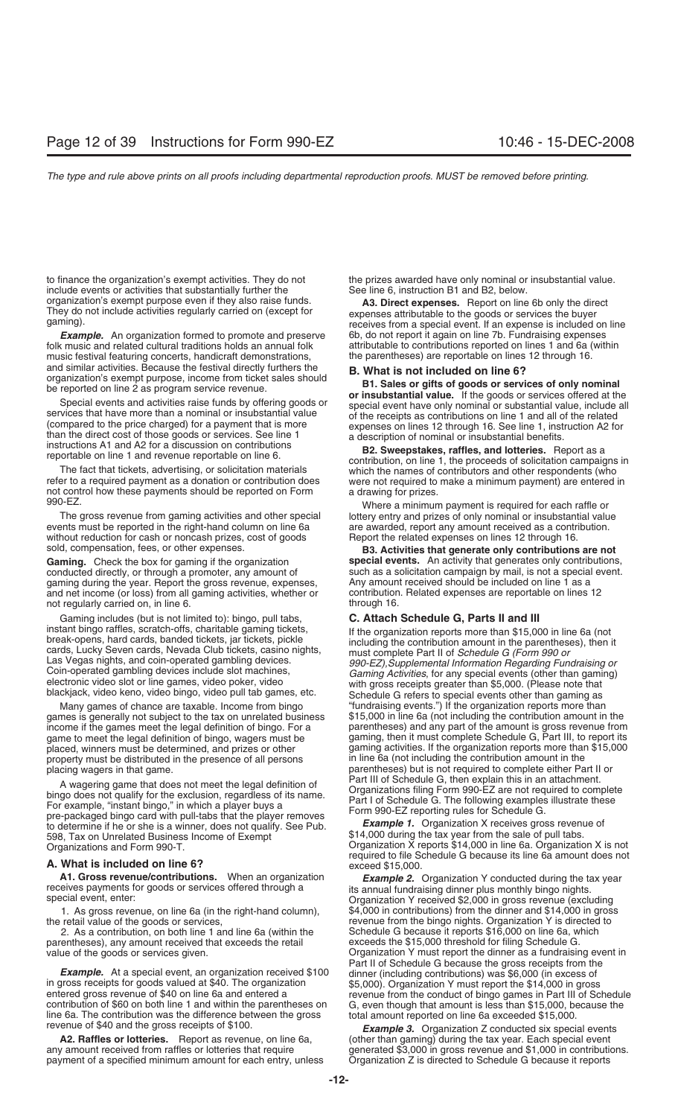to finance the organization's exempt activities. They do not the prizes awarded have only nominal or insubstantial value.<br>include events or activities that substantially further the See line 6, instruction B1 and B2, below include events or activities that substantially further the

folk music and related cultural traditions holds an annual folk attributable to contributions reported on lines 1 and 6a (music festival featuring concerts, handicraft demonstrations, the parentheses) are reportable on lin music festival featuring concerts, handicraft demonstrations, and similar activities. Because the festival directly furthers the

and similar activities. Because the festival directly furthers the<br>
be reported on line 2 as program service revenue.<br>
Special events and activities raise funds by offering goods or<br>
Special events and activities raise fun

not control how these payments should be reported on Form a drawing for prizes.<br>990-EZ.

events must be reported in the right-hand column on line 6a without reduction for cash or noncash prizes, cost of goods Report the related expenses on lines 12 through 16.

**Gaming.** Check the box for gaming if the organization gaming during the year. Report the gross revenue, expenses, a cany amount received should be included on line 1 as a<br>and net income (or loss) from all gaming activities, whether or contribution. Related expenses are report and net income (or loss) from all gaming activities, whether or contribution<br>not requiarly carried on. in line 6. not regularly carried on, in line 6.

Gaming includes (but is not limited to): bingo, pull tabs, **C. Attach Schedule G, Parts II and III**<br>instant bingo raffles, scratch-offs, charitable gaming tickets, **C. Attach Schedule G, Parts II and III** instant bingo raffles, scratch-offs, charitable gaming tickets,<br>
break-opens, hard cards, banded tickets, jar tickets, pickle<br>
cards, Lucky Seven cards, Nevada Club tickets, casino nights,<br>
Las Vegas nights, and coin-opera

games is generally not subject to the tax on unrelated business property must be distributed in the presence of all persons

A wagering game that does not meet the legal definition of<br>bingo does not qualify for the exclusion, regardless of its name.<br>For example, "instant bingo," in which a player buys a<br>pre-packaged bingo card with pull-tabs tha to determine if he or she is a winner, does not qualify. See Pub.<br>598, Tax on Unrelated Business Income of Exempt \$14,000 during the tax year from the sale of pull tabs.

**A1. Gross revenue/contributions.** When an organization<br>receives payments for goods or services offered through a<br>special event, enter:<br>Special event, enter:<br>Special event, enter:<br>Special event, enter:<br>Special event, enter

2. As a contribution, on both line 1 and line 6a (within the parentheses), any amount received that exceeds the retail exceeds the \$15,000 threshold for filing Schedule G.<br>value of the goods or services given. Container as a fundraisin

**Example.** At a special event, an organization received \$100 dinner (including contributions) was \$6,000 (in excess of in gross receipts for goods valued at \$40. The organization  $$5,000$ ). Organization Y must report the \$ line 6a. The contribution was the difference between the gross total amount reported on line 6a exceeded \$15,000.<br>**Fxample 3.** Organization Z conducted six special events

**A2. Raffles or lotteries.** Beport as revenue, on line 6a, (other than gaming) during the tax year. Each special event any amount received from raffles or lotteries that require generated \$3,000 in gross revenue and \$1,000 payment of a specified minimum amount for each entry, unless

organization's exempt purpose even if they also raise funds.<br>
They do not include activities regularly carried on (except for<br>
gaming).<br> **A3. Direct expenses.** Report on line 6b only the direct<br>
expenses attributable to th *Example.* An organization formed to promote and preserve 6b, do not report it again on line 7b. Fundraising expenses

The fact that tickets, advertising, or solicitation materials which the names of contributors and other respondents (who refer to a required payment as a donation or contribution does were not required to make a minimum pa

Where a minimum payment is required for each raffle or The gross revenue from gaming activities and other special lottery entry and prizes of only nominal or insubstantial value<br>ents must be reported in the right-hand column on line 6a lackera are awarded, report any amount re

sold, compensation, fees, or other expenses.<br> **B3. Activities that generate only contributions are not**<br> **Gaming.** Check the box for gaming if the organization<br> **B3. Activities that generate only contributions,** conducted directly, or through a promoter, any amount of such as a solicitation campaign by mail, is not a special event.<br>
gaming during the year. Report the gross revenue, expenses. Any amount received should be included

Many games of chance are taxable. Income from bingo "fundraising events.") If the organization reports more than<br>mes is generally not subject to the tax on unrelated business \$15,000 in line 6a (not including the contribut income if the games meet the legal definition of bingo. For a parentheses) and any part of the amount is gross revenue from game to meet the legal definition of bingo, wagers must be gaming, then it must complete Schedule G, Part III, to report its gaming activities. If the organization reports more than \$15,000 gaming activities. If the organization reports more than \$15,000 in line 6a (not including the contribution amount in the placing wagers in that game.<br>A wagers in that does not moot the logal definition of Part III of Schedule G, then explain this in an attachment.

Organizations and Form 990-T.<br>Organization X reports \$14,000 in line 6a. Organization X is not required to file Schedule G because its line 6a amount does not **A. What is included on line 6?** exceed \$15,000.

1. As gross revenue, on line 6a (in the right-hand column), \$4,000 in contributions) from the dinner and \$14,000 in gross the retail value of the goods or services, exergentions, the retail value of the goods or services, revenue from the bingo nights. Organization Y is directed to Schedule G because it reports \$16,000 on line 6a, which Organization Y must report the dinner as a fundraising event in Part II of Schedule G because the gross receipts from the dinner (including contributions) was \$6,000 (in excess of

generated \$3,000 in gross revenue and \$1,000 in contributions.<br>Organization Z is directed to Schedule G because it reports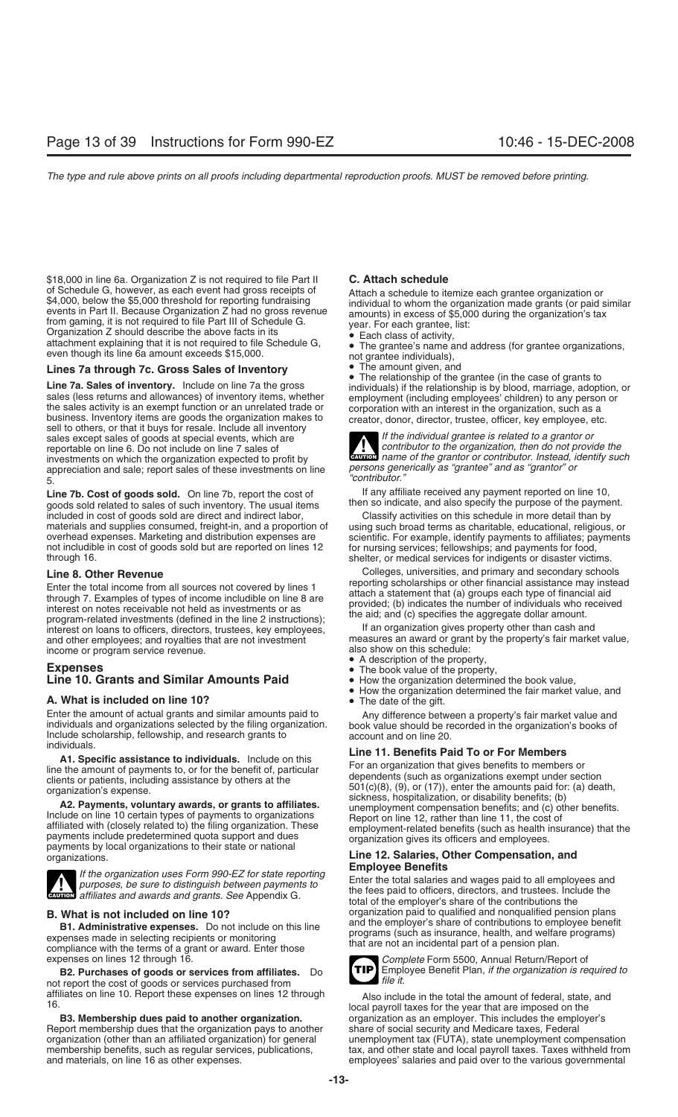\$18,000 in line 6a. Organization Z is not required to file Part II **C. Attach schedule**<br>of Schedule G, however, as each event had gross receipts of **Attach a schedule to ite** of Schedule G, however, as each event had gross receipts of<br>
\$4,000, below the \$5,000 threshold for reporting fundraising<br>
events in Part II. Because Organization Z had no gross revenue<br>
from gaming, it is not required to

## **Lines 7a through 7c. Gross Sales of Inventory** • The amount given, and **Fig. 2** The amount given, and **Fig. 2** The relationship of the grantee (in the case of grants to

**Exercise 2. Sales of inventory.** Include on line 7a the gross<br> **Line 7a. Sales of inventory.** Include on line 7a the gross<br>
sales (less returns and allowances) of inventory items, whether<br>
the sales activity is an exempt sales except sales of goods at special events, which are **If the individual grantee is related to a grantor or**<br>**If the individual grantee is related to a grantor or** reportable on line 6. Do not include on line 7 sales of *contributor to the organization, then do not provide the* investments on which the organization expected to profit by **CAUTON** *name of the grantor or contributor. Instead, identify as "grantor" or* and as "grantor" or contributor. Instead, identify as "grantor" or contributor. appreciation and sale; report sales of these investments on line <sup>"</sup>contributor."<br>5. **I ine 7h Cost of goods sold** On line 7h report the cost of lany affiliate received any payment reported on line 10,

Line 7b. Cost of goods sold. On line 7b, report the cost of If any affiliate received any payment reported on line 10,<br>goods sold related to sales of such inventory. The usual items then so indicate, and also specify the p goods sold related to sales of such inventory. The usual items included in cost of goods sold are direct and indirect labor, Classify activities on this schedule in more detail than by materials and supplies consumed, freight-in, and a proportion of using such broad terms as charitable, educational, religious, or overhead expenses. Marketing and distribution expenses are scientific. For example, identify not includible in cost of goods sold but are reported on lines 12 through 16.

Enter the total income from all sources not covered by lines 1<br>through 7. Examples of types of income includible on line 8 are<br>interest on notes receivable not held as investments or as<br>provided; (b) indicates the number o interest on loans to officers, directors, trustees, key employees, If an organization gives property other than cash and<br>and other employees: and rovalties that are not investment measures an award or grant by the property and other employees; and royalties that are not investment measures an award or grant income or program service revenue

## income or program service revenue.<br> **Expenses**<br> **Expenses**<br> **Expenses**<br> **Expenses**<br> **Expenses**<br> **Expenses**<br> **Expenses**<br> **Expenses**<br> **Expenses**<br> **Expenses**<br> **Expenses**<br> **Expenses**<br> **Expenses**<br> **Expenses**<br> **Expenses**<br> **Expen Line 10. Grants and Similar Amounts Paid**

Enter the amount of actual grants and similar amounts paid to<br>
individuals and organizations selected by the filing organization.<br>
Include scholarship, fellowship, and research grants to<br>
individuals.<br>
Include scholarship,

payments by local organizations to their state or national<br>organizations.<br>**Line 12. Salaries, Other Compensation, and**<br>**Employee Benefits** 



If the organization uses Form 990-EZ for state reporting<br>purposes, be sure to distinguish between payments to<br>examents to the fees paid to all employees and<br>the fees paid to officers, directors, and trustees. Include the<br>t

**B1. Administrative expenses.** Do not include on this line<br>expenses made in selecting recipients or monitoring<br>compliance with the terms of a grant or award. Enter those<br>expenses on lines 12 through 16.<br>expenses on lines 1

**B2. Purchases of goods or services from affiliates.** Do **EMPLEM** Employee Benefit Plann Plann File it. not report the cost of goods or services purchased from affiliates on line 10. Report these expenses on lines 12 through

Report membership dues that the organization pays to another share of social security and Medicare taxes, Federal organization (other than an affiliated organization) for general unemployment tax (FUTA), state unemployment compensation<br>membership benefits, such as regular services, publications, tax, and other state and local payroll

**EAUTION** name of the grantor or contributor. Instead, identify such

scientific. For example, identify payments to affiliates; payments for nursing services; fellowships; and payments for food, shelter, or medical services for indigents or disaster victims.

**Line 8. Other Revenue**<br> **Enter the total income from all sources not covered by lines 1** Feporting scholarships or other financial assistance may instead

- 
- 
- 
- How the organization determined the fair market value, and **A. What is included on line 10?** The date of the gift.

individuals.<br> **A1. Specific assistance to individuals.** Include on this<br>
line **11. Benefits Paid To or For Members**<br>
line the amount of payments to, or for the benefit of, particular<br>
clients or patients, including assista

total of the employer's share of the contributions the **B. What is not included on line 10?** organization paid to qualified and nonqualified pension plans<br>**B1. Administrative expanses** De not include on this line and the employer's share of contributions to employee benefit



Complete Form 5500, Annual Return/Report of<br>Employee Benefit Plan, if the organization is required to

iliates on line 10. Report these expenses on lines 12 through Also include in the total the amount of federal, state, and<br>Also include in the total the amount of federal, state, and local payroll taxes for the year that ar organization as an employer. This includes the employer's membership benefits, such as regular services, publications, tax, and other state and local payroll taxes. Taxes withheld from<br>and materials, on line 16 as other expenses. expenses employees' salaries and paid over to the employees' salaries and paid over to the various governmental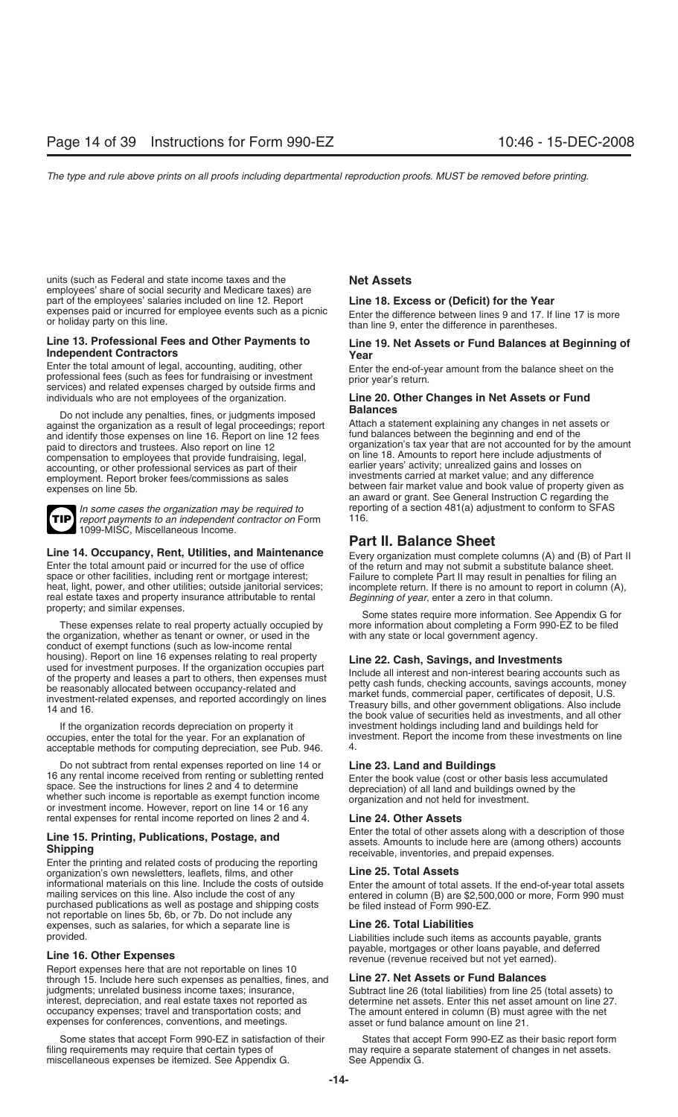units (such as Federal and state income taxes and the **Net Assets** employees' share of social security and Medicare taxes) are part of the employees' salaries included on line 12. Report **Line 18. Excess or (Deficit) for the Year** expenses paid or incurred for employee events such as a picnic<br>or holiday party on this line.<br>than line 9, enter the difference in parentheses.

Enter the total amount of legal, accounting, auditing, other<br>professional fees (such as fees for fundraising or investment<br>services) and related expenses charged by outside firms and<br>individuals who are not employees of th

**Balances** Do not include any penalties, fines, or judgments imposed against the organization as a result of legal proceedings; report Attach a statement explaining any changes in net ass<br>and identify those expenses on line 16. Benort on line 12 fees fund balances between the beginning and paid to directors and trustees. Also report on line 12 organization's tax year that are not accounted for by the a<br>compensation to employees that provide fundraising legal on line 18. Amounts to report here include adjustm compensation to employees that provide fundraising, legal, on line 18. Amounts to report here include adjustmen<br>accounting or other professional services as part of their earlier years' activity; unrealized gains and losse accounting, or other professional services as part of their earlier years' activity; unrealized gains and losses on<br>employment. Benort broker fees/commissions as sales investments carried at market value; and any differenc employment. Report broker fees/commissions as sales expenses on line 5b. between fair market value and book value of property given as expenses on line 5b.



report payments to an independent contractor on Form 1099-MISC, Miscellaneous Income*.*

Enter the total amount paid or incurred for the use of office of the return and may not submit a substitute balance sheet.<br>
space or other facilities, including rent or mortgage interest;<br>
Failure to complete Part II may r space or other facilities, including rent or mortgage interest;<br>
heat, light, power, and other utilities; outside janitorial services; incomplete return. If there is no amount to report in column (A real estate taxes and property insurance attributable to rental *Beginning of year*, enter a zero in that column.<br>property, and similar expenses.

the organization, whether as tenant or owner, or used in the conduct of exempt functions (such as low-income rental housing). Report on line 16 expenses relating to real property<br>used for investment purposes. If the organization occupies part<br>of the property and leases a part to others, then expenses must<br>be reasonably allocated between

occupies, enter the total for the year. For an explanation of investment. Report the investment of the income from the investment. Report the income from the investments on the investment of the international set on the se acceptable methods for computing depreciation, see Pub. 946.

Do not subtract from rental expenses reported on line 14 or **Line 23. Land and Buildings** 16 any rental income received from renting or subletting rented<br>space. See the instructions for lines 2 and 4 to determine<br>whether such income is reportable as exempt function income<br>or investment income. However, report o rental expenses for rental income reported on lines 2 and 4.

Enter the printing and related costs of producing the reporting organization's own newsletters, leaflets, films, and other **Line 25. Total Assets**<br>informational materials on this line. Include the costs of outside Enter the amount of total informational materials on this line. Include the costs of outside<br>mailing services on this line. Also include the cost of any<br>purchased publications as well as postage and shipping costs be filed instead of Form 990-EZ. not reportable on lines 5b, 6b, or 7b. Do not include any expenses, such as salaries, for which a separate line is **Line 26. Total Liabilities** provided. Liabilities include such items as accounts payable, grants

Report expenses here that are not reportable on lines 10 through 15. Include here such expenses as penalties, fines, and **Line 27. Net Assets or Fund Balances** judgments; unrelated business income taxes; insurance, Subtract line 26 (total liabilities) from line 25 (total assets) to interest, depreciation, and real estate taxes not reported as determine net assets. Enter this net interest, depreciation, and real estate taxes not reported as determine net assets. Enter this net asset amount on line 27. expenses for conferences, conventions, and meetings. asset or fund balance amount on line 21.

Some states that accept Form 990-EZ in satisfaction of their States that accept Form 990-EZ as their basic report form<br>filing requirements may require that certain types of may require a separate statement of changes in ne miscellaneous expenses be itemized. See Appendix G.

# **Line 13. Professional Fees and Other Payments to**<br> **Line 19. Net Assets or Fund Balances at Beginning of**<br> **Pear**<br> **Enter the end-of-vear amount from the balance sheet on the**<br> **Enter the end-of-vear amount from the balan**

## Line 20. Other Changes in Net Assets or Fund

and identify those expenses on line 16. Report on line 12 fees fund balances between the beginning and end of the<br>naid to directors and trustees. Also report on line 12 an award or grant. See General Instruction C regarding the *In some cases the organization may be required to* reporting of a section 481(a) adjustment to conform to SFAS<br>report nayments to an independent contractor on Form 116.

## **Part II. Balance Sheet**

**Line 14. Occupancy, Rent, Utilities, and Maintenance** Every organization must complete columns (A) and (B) of Part II Enter the total amount paid or incurred for the use of office of the return and may not submit a substi incomplete return. If there is no amount to report in column (A),

Some states require more information. See Appendix G for These expenses relate to real property actually occupied by more information about completing a Form 990-EZ to be filed<br>organization, whether as tenant or owner, or used in the with any state or local government agency.

If the organization records depreciation on property it investment holdings including land and buildings held for<br>cupies, enter the total for the year. For an explanation of investment. Report the income from these investm

Line 15. Printing, Publications, Postage, and<br>
Shipping<br>
Shipping<br>
Shipping<br>
Shipping<br>
Shipping<br>
Shipping<br>
Shipping<br>
Shipping<br>
Shipping<br>
Shipping<br>
Shipping<br>
Shipping<br>
Shipping<br>
Shipping<br>
Shipping<br>
Shipping<br>
Shipping<br>
Shipp

**Line 16. Other Expenses Line 16. Other Expenses Report Community** revenue (revenue received but not yet earned).

The amount entered in column (B) must agree with the net

may require a separate statement of changes in net assets.<br>See Appendix G.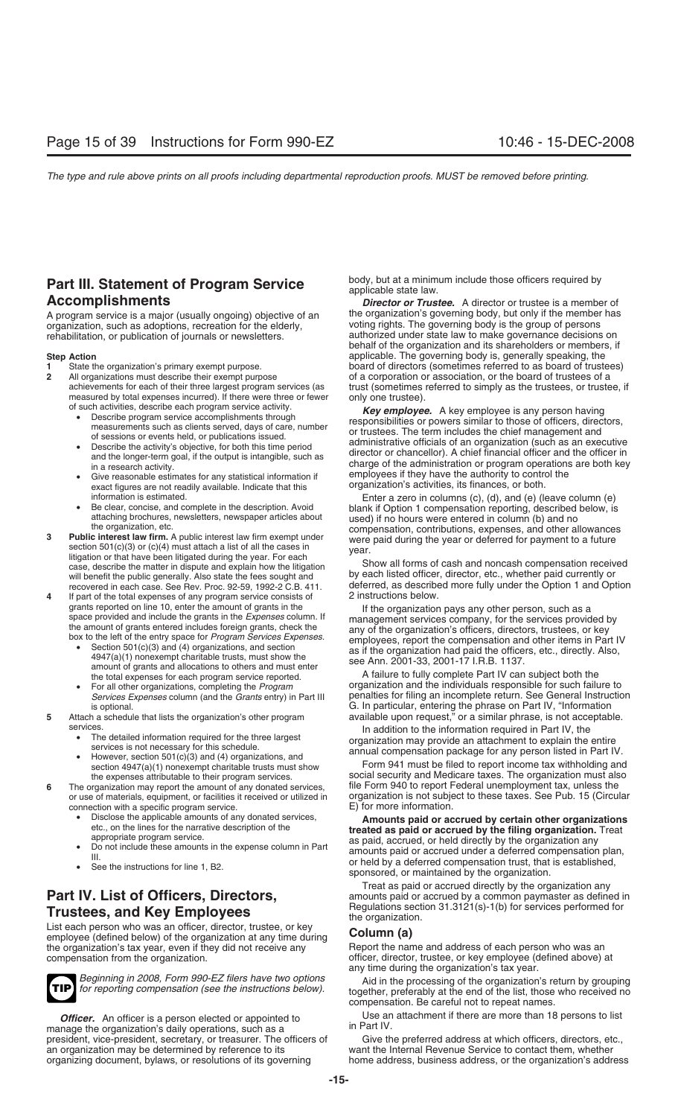# **Part III. Statement of Program Service** body, but at a minimum include those officers required by applicable state law.<br>**Accomplishments Accomplishments** *Director or Trustee.* A director or trustee is a membe

A program service is a major (usually ongoing) objective of an the organization's governing body, but only if the member has a recreation for the elderly.<br>
organization, such as adoptions, recreation for the elderly.<br>
yoti organization, such as adoptions, recreation for the elderly, rehabilitation, or publication of journals or newsletters.

- 
- **2** All organizations must describe their exempt purpose of a corporation or association, or the board of trustees of a achievements for each of their three largest program services (as trust (sometimes referred to simply measured by total expenses incurred). If there were three or fewer only one trustee).<br>
of such activities, describe each program service activity.
	-
	-
	- exact figures are not readily available. Indicate that this organization's activities, its finances, or both.<br>information is estimated. Continues are or both or both of the column (e) in columns (c), (d), and (e) (leave co
	-
- 
- recovered in each case. See Rev. Proc. 92-59, 1992-2 C.B. 411. deferred, as describe<br>If part of the total expenses of any program service consists of 2 instructions below. If part of the total expenses of any program service consists of
	-
	-
- -
	-
- **6** The organization may report the amount of any donated services, connection with a specific program service.<br>• Disclose the applicable amounts of any donated services,
	-
	-
	-

List each person who was an officer, an exact, or key or here in a control **Column (a)**<br>the organization's tax year, even if they did not receive any employee apport the name and address of each person who was an the organization's tax year, even if they did not receive any compensation from the organization.



manage the organization's daily operations, such as a president, vice-president, secretary, or treasurer. The officers of Give the preferred address at which officers, directors, etc., an organization may be determined by reference to its want the Internal Revenue Service to an organization may be determined by reference to its want the Internal Revenue Service to contact them, whether

**Director or Trustee.** A director or trustee is a member of authorized under state law to make governance decisions on behalf of the organization and its shareholders or members, if **Step Action**<br>**1** State the organization's primary exempt purpose.<br>**1** State the organization's primary exempt purpose.<br>**2** State the organization's primary exempt purpose.<br>**2** State the organization's primary exempt purpo 11 State the organization's primary exempt purpose.<br> **1** All organizations must describe their exempt purpose of a corporation or association, or the board of trustees of a trust (sometimes referred to simply as the trustees, or trustee, if

For the activities, describe each program service activity.<br>
The activities of such activities, directors,<br>
The term includes the chief management and<br>
The term includes the chief management and<br>
The term includes the chie in a research activity.<br>• Give reasonable estimates for any statistical information if employees if they have the authority to control the<br>• exact figures are not readily available. Indicate that this organization's activi

information is estimated.<br>
• Be clear, concise, and complete in the description. Avoid<br>
attaching brochures, newsletters, newspaper articles about<br>
the organization, etc.<br> **Public interest law firm exempt under**<br> **Enter a** 

case, describe the matter in dispute and explain how the litigation<br>will benefit the public generally. Also state the fees sought and<br>recovered in each case. See Rev. Proc. 92-59, 1992-2 C.B. 411. deferred, as described mo

grants reported on line 10, enter the amount of grants in the space provided and include the grants in the Expenses column. If<br>the organization pays any other person, such as a<br>the amount of grants entered includes foreig

amount of grants and allocations to others and must enter<br>the total expenses for each program service reported.<br>For all other organizations, completing the *Program* organization and the individuals responsible for such fa • For all other organizations, completing the *Program* organization and the individuals responsible for such failure to penalties for filing an incomplete return. See General Instruction is optional. G. In particular, entering the phrase on Part IV, "Information **5** Attach a schedule that lists the organization's other program available upon request,<sup>n</sup> or a similar phrase, is not acceptable.

Services.<br>
• The detailed information required for the three largest<br>
• The detailed information required for the three largest<br>
services is not necessary for this schedule.<br>
• However, section 501(c)(3) and (4) organizati

section 4947(a)(1) nonexempt charitable trusts must show Form 941 must be filed to report income tax withholding and<br>the expenses attributable to their program services.<br>Social security and Medicare taxes. The organization social security and Medicare taxes. The organization must also<br>file Form 940 to report Federal unemployment tax, unless the or use of materials, equipment, or facilities it received or utilized in organization is not subject to these taxes. See Pub. 15 (Circular

Disclose the applicable amounts of any donated services,<br>etc., on the lines for the narrative description of the<br>appropriate program service.<br>as paid accrued or held directly by the organization. Treat appropriate program service.<br>
Do not include these amounts in the expense column in Part<br>
III. and amounts paid or accrued under a deferred compensation plan,<br>
See the instructions for line 1, B2.<br>
See the instructions for

Treat as paid or accrued directly by the organization any **Part IV. List of Officers, Directors,** amounts paid or accrued by a common paymaster as defined in **Trustees, and Key Employees**<br>List each person who was an officer, director, trustee, or key<br>**Collyman (c)**<br>**Collyman (c)** 

officer, director, trustee, or key employee (defined above) at any time during the organization's tax year.

Beginning in 2008, Form 990-EZ filers have two options<br>for reporting compensation (see the instructions below). together, preferably at the end of the list, those who received no compensation. Be careful not to repeat names.

**Officer.** An officer is a person elected or appointed to Use an attachment if there are more than 18 persons to list name the organization's daily operations such as a unit Part IV.

home address, business address, or the organization's address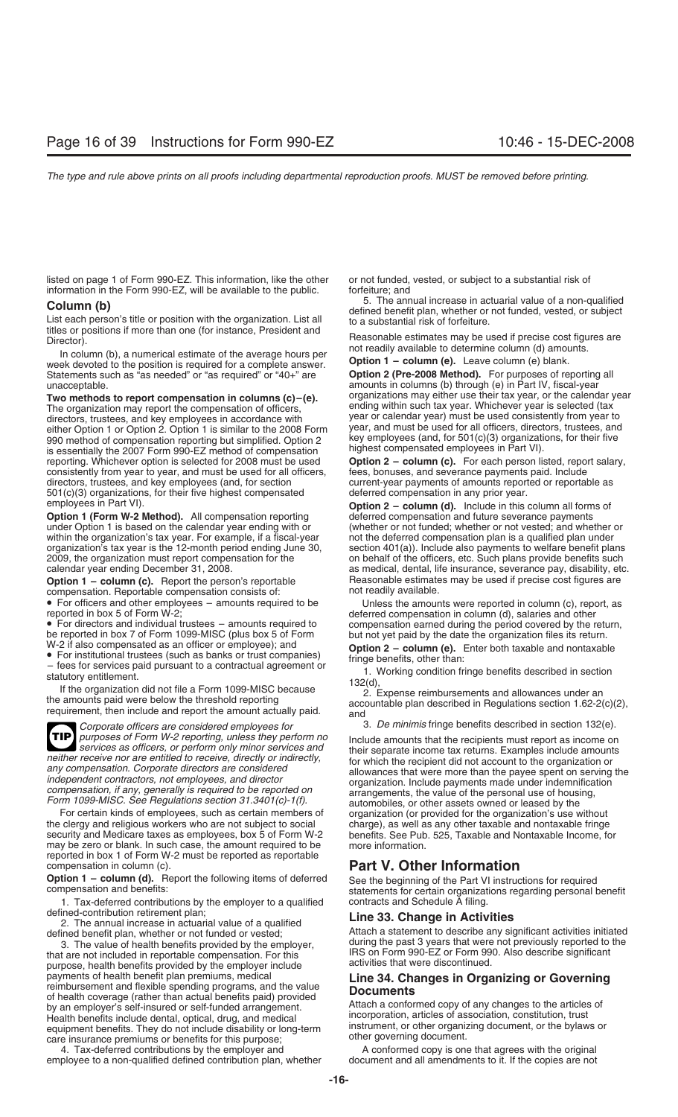listed on page 1 of Form 990-EZ. This information, like the other or not funded, vested, or subject to a substantial risk of information in the Form 990-EZ, will be available to the public. forfeiture; and

titles or positions if more than one (for instance, President and

In column (b), a numerical estimate of the average hours per<br>ek devoted to the position is required for a complete answer **Option 1 – column (e).** Leave column (e) blank. week devoted to the position is required for a complete answer. **Option 1 – column (e).** Leave column (e) blank.<br>Statements such as "as needed" or "as required" or "40+" are **Option 2 (Pre-2008 Method).** For purposes of re Statements such as "as needed" or "as required" or "40+" are unacceptable.

The organization may report the compensation of officers, ending within such tax year. Whichever year is selected (tax<br>directors, trustees, and key employees in accordance with year or calendar year) must be used consisten directors, trustees, and key employees in accordance with<br>
either Option 1 or Option 2. Option 1 is similar to the 2008 Form<br>
990 method of compensation reporting but simplified. Option 2<br>
is essentially the 2007 Form 990consistently from year to year, and must be used for all officers, fees, bonuses, and severance payments paid. Include<br>directors, trustees, and key employees (and, for section express current-year payments of amounts repor directors, trustees, and key employees (and, for section current-year payments of amounts report 501(c)(3) organizations, for their five highest compensated deferred compensation in any prior year.  $501(c)(3)$  organizations, for their five highest compensated

**Option 1 (Form W-2 Method).** All compensation reporting deferred compensation and future severance payments under Option 1 is based on the calendar year ending with or (whether or not funded; whether or not vested; and wh under Option 1 is based on the calendar year ending with or (whether or not funded; whether or not vested; and whether or within the organization's tax year. For example, if a fiscal-year not the deferred compensation plan within the organization's tax year. For example, if a fiscal-year not the deferred compensation plan is a qualified plan under organization's tax year is the 12-month period ending June 30, section 401(a)). Include also pa

compensation. Reportable compensation consists of:<br>• For officers and other employees  $-$  amounts required to be

be reported in box 7 of Form 1099-MISC (plus box 5 of Form but not yet paid by the date the organization files its return.<br>W-2 if also compensated as an officer or employee); and **Ontion 2 – column (e)** Foter both taxable

W-2 if also compensated as an officer or employee); and<br>
• For institutional trustees (such as banks or trust companies)<br>
– fees for services paid pursuant to a contractual agreement or<br>
statutory entitlement.<br>
If the org

*Corporate officers are considered employees for* 3. *De minimis* fringe benefits described in section 132(e).<br>purposes of Form W-2 reporting, unless they perform no producted amounts that the recipients must report as inc **Purposes of Form W-2 reporting, unless they perform no** Include amounts that the recipients must report as income on *services as officers, or perform only minor services and neither receive nor are entitled to receive,* **TIP**

For certain kinds of employees, such as certain members of organization (or provided for the organization's use without the clergy and religious workers who are not subject to social charge), as well as any other taxable a the clergy and religious workers who are not subject to social charge), as well as any other taxable and nontaxable fringe security and Medicare taxes as employees, box 5 of Form W-2 benefits. See Pub. 525, Taxable and Nontaxable Income, for may be zero or blank. In such case, the amount required to be more information. reported in box 1 of Form W-2 must be reported as reportable

**Option 1 – column (d).** Report the following items of deferred See the beginning of the Part VI instructions for required compensation and benefits:<br>statements for certain organizations regarding personal benefit

1. Tax-deferred contributions by the employer to a qualified contracts and Schedule A filing.<br>defined-contribution retirement plan;<br>**1. ing. 33. Change in Active** 

defined-contribution retirement plan; **Line 33. Change in Activities** 2. The annual increase in actuarial value of a qualified

IRS on Form 990-EZ or Form 990. Also describe significant<br>
nurnose health benefits provided by the employer include<br>
activities that were discontinued. purpose, health benefits provided by the employer include payments of health benefit plan premiums, medical payments of health benefit plan premiums, medical<br>
reimbursement and flexible spending programs, and the value<br>
of health coverage (rather than actual benefits paid) provided<br>
by an employer's self-insured or self-funded a Health benefits include dental, optical, drug, and medical incorporation, articles of association, constitution, trust<br>equipment benefits. They do not include disability or long-term instrument, or other organizing documen equipment benefits. They do not include disability or long-term care insurance premiums or benefits for this purpose;<br>
other governing document.<br>
4. Tax-deferred contributions by the employer and A conformed copy is one th

employee to a non-qualified defined contribution plan, whether

**Column (b)**<br>List each person's title or position with the organization. List all the assubstantial risk of forfeiture.<br>List each person's title or position with the organization. List all to a substantial risk of forfeitu

Reasonable estimates may be used if precise cost figures are not readily available to determine column (d) amounts.

amounts in columns (b) through (e) in Part IV, fiscal-year<br>organizations may either use their tax year, or the calendar year **Two methods to report compensation in columns (c)–(e).** organizations may either use their tax year, or the calendar year is selected (tax  $\overline{I}$ ) ending within such tax year. Whichever year is selected (tax

**Option 2 – column (c).** For each person listed, report salary, fees, bonuses, and severance payments paid. Include

employees in Part VI).<br>**Option 1 (Form W-2 Method).** All compensation reporting deferred compensation and future severance payments organization's tax year is the 12-month period ending June 30, section 401(a)). Include also payments to welfare benefit plans<br>2009, the organization must report compensation for the contraction behalf of the officers, etc on behalf of the officers, etc. Such plans provide benefits such calendar year ending December 31, 2008. **as medical, dental, life insurance, severance pay**, disability, etc. **Option 1 – column (c).** Report the person's reportable Reasonable estimates may be used if precise cost figures are<br>compensation Benortable compensation consists of:<br>compensation Benortable compensation consists of:

• For officers and other employees – amounts required to be Unless the amounts were reported in column (c), report, as reported in box 5 of Form W-2;<br>deferred compensation in column (d), salaries and other • For directors and individual trustees – amounts required to compensation earned during the period covered by the return, be reported in box 7 of Form 1099-MISC (plus box 5 of Form but not vet paid by the date the organi

Services as officers, or perform only minor services and<br>
neither receive nor are entitled to receive, directly or indirectly,<br>
any compensation. Corporate directors are considered<br>
independent contractors, not employees,

## **Part V. Other Information**

defined benefit plan, whether or not funded or vested;<br>
3. The value of health benefits provided by the employer, and the past 3 years that were not previously reported to the during the past 3 years that were not previously reported to the

4. Tax-deferred contributions by the employer and **A** conformed copy is one that agrees with the original ployee to a non-qualified defined contribution plan, whether document and all amendments to it. If the copies are no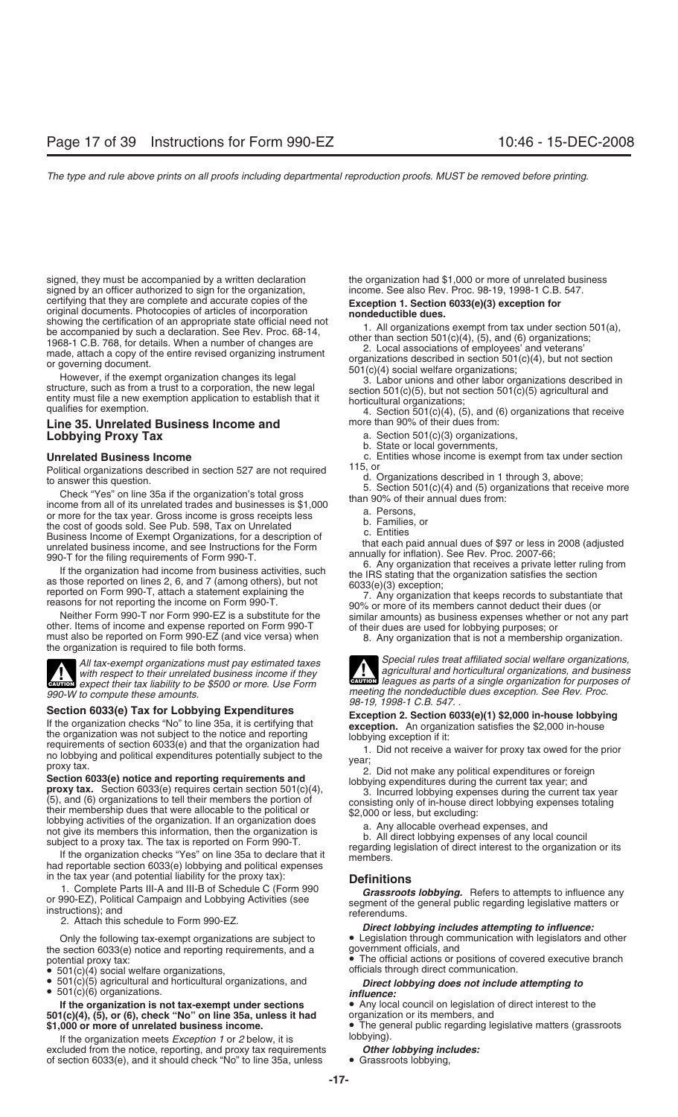signed, they must be accompanied by a written declaration entity of the organization had \$1,000 or more of unrelated business signed by an officer authorized to sign for the organization.<br>Straned by an officer authorized t signed by an officer authorized to sign for the organization, certifying that they are complete and accurate copies of the certifying that they are complete and accurate copies of the<br>original documents. Photocopies of articles of incorporation<br>original documents. The companied by such a declaration. See Rev. Proc. 68-14,<br>be accompanied by su

## **Lobbying Proxy Tax a. Section 501(c)(3) organizations,**

Political organizations described in 1 section 527 are not required<br>
to answer this question.<br>
Check "Yes" on line 35a if the organization's total gross<br>
Check "Yes" on line 35a if the organization's total gross<br>
income fr

Neither Form 990-T nor Form 990-EZ is a substitute for the similar amounts) as business expenses whether or not any part<br>er. Items of income and expense reported on Form 990-T of their dues are used for lobbying purposes; other. Items of income and expense reported on Form 990-T must also be reported on Form 990-EZ (and vice versa) when the organization is required to file both forms.

with respect to their unrelated business income if they<br>expect their tax liability to be \$500 or more. Use Form

990-W to compute these amounts.<br> **Section 6033(e) Tax for Lobbying Expenditures**<br> **Section 6033(e) Tax for Lobbying Expenditures**<br>
If the organization checks "No" to line 35a, it is certifying that<br>
the organization check

had reportable section 6033(e) lobbying and political expenses

in the tax year (and potential liability for the proxy tax): **Definitions**

Only the following tax-exempt organizations are subject to **•** Legislation through consection 6033(e) notice and reporting requirements, and a government officials, and the section  $6033(e)$  notice and reporting requirements, and a

- $\bullet$  501(c)(4) social welfare organizations,
- 

**If the organization is not tax-exempt under sections** • Any local council on legislation of direct interest to the<br>1(c)(4), (5), or (6), check "No" on line 35a, unless it had organization or its members, and 501(c)(4), (5), or (6), check "No" on line 35a, unless it had

If the organization meets *Exception 1* or *2* below, it is **COLOGO** below, it is the organization metal est.<br>Inded from the notice, reporting, and proxy tax requirements **Other lobbying includes:** excluded from the notice, reporting, and proxy tax requirements of section 6033(e), and it should check "No" to line 35a, unless • Grassroots lobbying,

qualifies for exemption.<br>**Line 35. Unrelated Business Income and** more than 90% of their dues from:

b. State or local governments,

**Unrelated Business Income**<br> **Entities whose income is exempt from tax under section**<br> **Political arganizations described in section 527 arg pot required**<br> **115. or** 

- 
- 
- 

8. Any organization that is not a membership organization.

*Special rules treat affiliated social welfare organizations, All tax-exempt organizations must pay estimated taxes* All tax-exempt organizations must pay estimated taxes<br>with respect to their unrelated business income if they<br>expect their tax liability to be \$500 or more. Use Form

The Complete Parts in-A and the Di Schedule C (Porm 990<br>or 990-EZ), Political Campaign and Lobbying Activities (see<br>instructions); and<br>2. Attach this schedule to Form 990-EZ.<br>Only the following tax-exempt organizations are

potential proxy tax:<br>• 501(c)(4) social welfare organizations, executive branch officials through direct communication.

## • 501(c)(5) agricultural and horticultural organizations, and *Direct lobbying does not include attempting to* • 501(c)(6) organizations. *influence:*

\$1,000 or more of unrelated business income.<br>
If the grassroots of the general public regarding legislative matters (grassroots lobbying).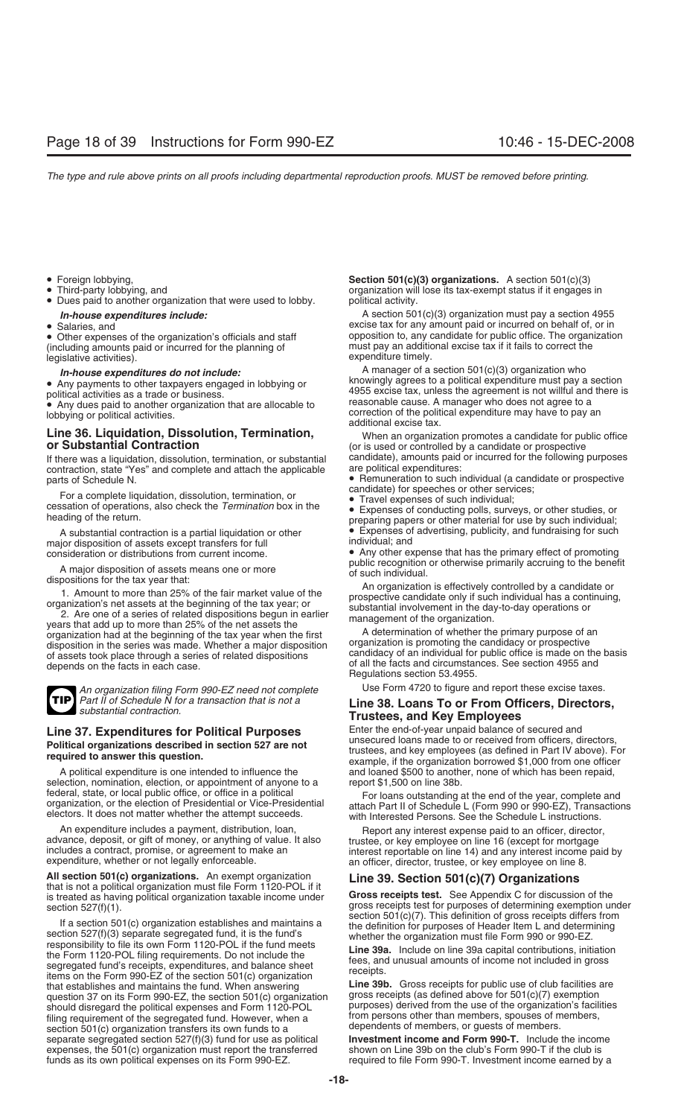- 
- 
- Dues paid to another organization that were used to lobby.
- 

• Other expenses of the organization's officials and staff opposition to, any candidate for public office. The organization's officials and staff over the must pay an additional excise tax if it fails to correct the (including amounts paid or incurred for the planning of must pay an additic<br>legislative activities) legislative activities).

## **Line 36. Liquidation, Dissolution, Termination,** When an organization promotes a candidate for public office

If there was a liquidation, dissolution, termination, or substantial candidate), amounts paid or incurred for the following purposes contraction state "Yes" and complete and attach the applicable are political expenditures contraction, state "Yes" and complete and attach the applicable

For a complete liquidation, dissolution, termination, or<br>
cessation of operations, also check the Termination box in the<br>
heading of the return.<br>
A substantial contraction is a partial liquidation or other<br>
A substantial c

A substantial contraction is a partial liquidation or other • Expenses of Expenses of advertision of assets except transfers for full major disposition of assets except transfers for full

A major disposition of assets means one or more<br>
dispositions for the tax year that:<br>
1. Amount to more than 25% of the fair market value of the<br>
organization's effectively controlled by a candidate or<br>
organization's net

**TIP**

*An organization filing Form 990-EZ need not complete* Use Form 4720 to figure and report these excise taxes.<br>Part II of Schedule N for a transaction that is not a **ILLA 38 LOANS TO OF From Officers. Directors** 

selection, nomination, election, or appointment of anyone to a report \$1,500 on line 38b.<br>federal, state, or local public office, or office in a political For loans outstanding

**All section 501(c) organizations.** An exempt organization **Line 39. Section 501(c)(7) Organizations** that is not a political organization must file Form 1120-POL if it

section 527(f)(1).<br>
If a section 501(c) organization establishes and maintains a<br>
section 527(f)(3) separate segregated fund, it is the fund's<br>
responsibility to file its own Form 1120-POL if the fund meets<br>
the Form 1120that establishes and maintains the fund. When answering **Line 39b.** Gross receipts for public use of club facilities are<br>that establishes and maintains the fund. When answering **Line 39b.** Gross receipts for public use of question 37 on its Form 990-EZ, the section  $501(c)$  organization should disregard the political expenses and Form 1120-POL<br>fling requirement of the segregated fund. However, when a<br>section 501(c) organization transfers its own funds to a<br>separate segregated section 527(f)(3) fund for us separate segregated section 527(f)(3) fund for use as political **Investment income and Form 990-T.** Include the incom<br>expenses, the 501(c) organization must report the transferred shown on Line 39b on the club's Form 990-T expenses, the 501(c) organization must report the transferred funds as its own political expenses on its Form 990-EZ.

• Foreign lobbying, **Section 501(c)(3) organizations.** A section 501(c)(3) organization will lose its tax-exempt status if it engages in political activity.

*In-house expenditures include:* A section 501(c)(3) organization must pay a section 4955<br>Salaries, and<br>Salaries, and<br>Salaries, and excise tax for any amount paid or incurred on behalf of, or in opposition to, any candidate for public office. The organization

*In-house expenditures do not include:*<br>
• Amy payments to other taxpayers engaged in lobbying or<br>
• Any payments to other taxpayers engaged in lobbying or<br>
• Any dues paid to another organization that are allocable to<br>
•

(or is used or controlled by a candidate or prospective

parts of Schedule N.<br>Fare accordite limitation disability density time the setting density of the second candidate) for speeches or other services;

consideration or distributions from current income. • Any other expense that has the primary effect of promoting

## *Part II of Schedule N for a transaction that is not a* **Line 38. Loans To or From Officers, Directors,** *substantial contraction.* **Trustees, and Key Employees**

**Line 37. Expenditures for Political Purposes** Enter the end-of-year unpaid balance of secured and<br>Relitived acceptional acception in continue 507 are not unsecured loans made to or received from officers, directors, Political organizations described in section 527 are not<br>required to answer this question.<br>example, if the organization borrowed \$1,000 from one officer A political expenditure is one intended to influence the and loaned \$500 to another, none of which has been repaid,

rederal, state, or local public office, or office in a political For loans outstanding at the end of the year, complete and<br>organization, or the election of Presidential or Vice-Presidential attach Part II of Schedule L (F

An expenditure includes a payment, distribution, loan,<br>advance, deposit, or gift of money, or anything of value. It also includes a contract, promise, or agreement to make an<br>includes a contract, promise, or agreement to m

is treated as having political organization taxable income under **Gross receipts test.** See Appendix C for discussion of the

required to file Form 990-T. Investment income earned by a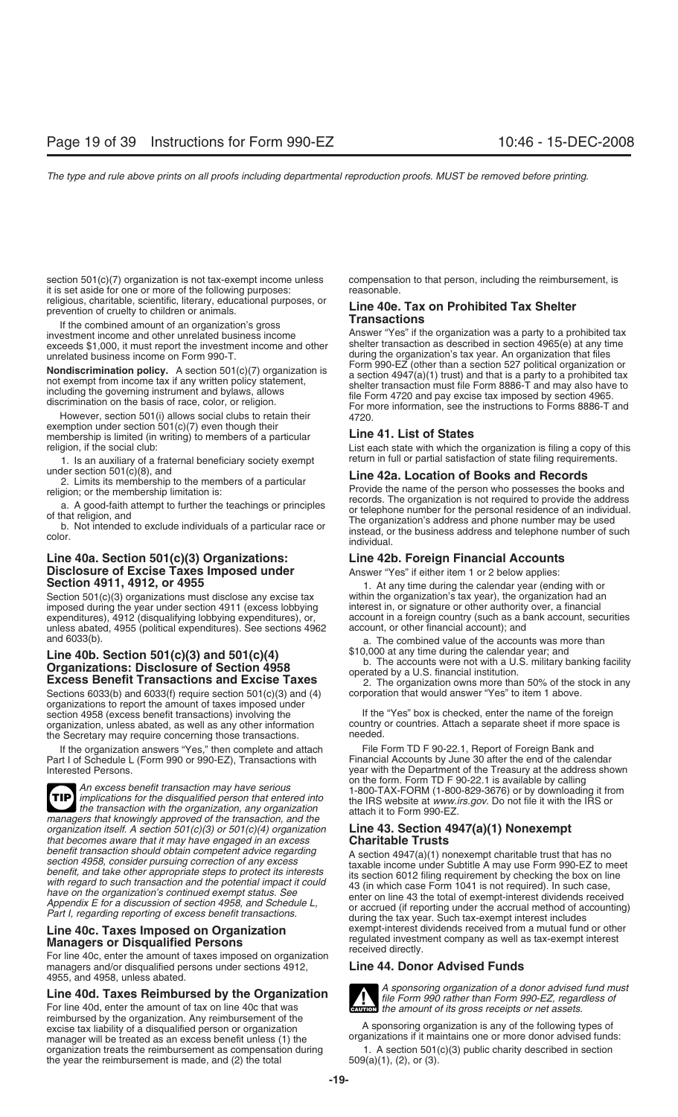section 501(c)(7) organization is not tax-exempt income unless compensation to that person, including the reimbursement, is<br>it is set aside for one or more of the following purposes:<br> it is set aside for one or more of the following purposes:<br>religious, charitable, scientific, literary, educational purposes, or

investment income and other unrelated business income<br>exceeds \$1,000, it must report the investment income and other shelter transaction as described in section 4965(e) at any time

However, section 501(i) allows social clubs to retain their exemption under section 501(c)(7) even though their membership is limited (in writing) to members of a particular **Line 41. List of States** 

1. Is an auxiliary of a fraternal beneficiary society exempt return in full or partial satisfaction of state filing requirements.<br> **1.** I ine  $42a$  **Location of Books and Becords** 

## **Line 40a. Section 501(c)(3) Organizations: Line 42b. Foreign Financial Accounts Disclosure of Excise Taxes Imposed under** Answer "Yes" if either item 1 or 2 below applies:<br>**Section 4911, 4912, or 4955 Answer** L. At any time during the calendar year (end

Section 501(c)(3) organizations must disclose any excise tax within the organization's tax year), the organization had an<br>imposed during the year under section 4911 (excess lobbying interest in, or signature or other autho imposed during the year under section 4911 (excess lobbying unless abated, 4955 (political expenditures). See sections 4962 and 6033(b).

# **Line 40b. Section 501(c)(3) and 501(c)(4)** \$10,000 at any time during the calendar year; and<br> **Organizations: Disclosure of Section 4958**<br> **Excess Benefit Transactions and Excise Taxes**<br>
Sections 6033(b) and 6033(f) requi

Sections  $6033(b)$  and  $6033(f)$  require section  $501(c)(3)$  and  $(4)$ organizations to report the amount of taxes imposed under section 4958 (excess benefit transactions) involving the If the "Yes" box is checked, enter the name of the foreign<br>organization, unless abated, as well as any other information country or countries. Attach a separate shee organization, unless abated, as well as any other information country the Secretary may require concerning those transactions reded. the Secretary may require concerning those transactions.

Part I of Schedule L (Form 990 or 990-EZ), Transactions with

**TIP** the transaction with the organization, any organization<br>
managers that knowingly approved of the transaction, and the<br>
organization itself. A section 501(c)(3) or 501(c)(4) organization<br> **Line 43. Section 4947(a)(1) Nonexe** *organization itself. A section 501(c)(3) or 501(c)(4) organization that becomes aware that it may have engaged in an excess* **Charitable Trusts**<br>*benefit transaction should obtain competent advice regarding*  $\Lambda$  section 4947(a)(1) por

For line 40c, enter the amount of taxes imposed on organization<br>managers and/or disqualified persons under sections 4912. **Line 44. Donor Advised Funds** managers and/or disqualified persons under sections 4912, 4955, and 4958, unless abated.

reimbursed by the organization. Any reimbursement of the excise tax liability of a disqualified person or organization A sponsoring organization is any of the following types of manager will be treated as an excess benefit unless (1) the organizations if it maintains one or more donor advised funds:<br>organization treats the reimbursement as compensation during 1. A section 501(c)(3) public charity organization treats the reimbursement as compensation during  $1.$  A section 501(the year the reimbursement is made, and (2) the total  $509(a)(1)$ , (2), or (3). the year the reimbursement is made, and  $(2)$  the total

# religious, charitable, scientific, literary, educational purposes, or<br>prevention of cruelty to children or animals.<br>If the combined amount of an organization's gross<br>investment income and other unrelated business income<br>An

unrelated business income on Form 990-T.<br>
unrelated business income on Form 990-T.<br>
Negative state of the property of the COMEC (other than a section 527 political organization or **Nondiscrimination policy.** A section 501(c)(7) organization is<br>
not exempt from income tax if any written policy statement,<br>
including the governing instrument and bylaws, allows<br>
including the governing instrument and b

religion, if the social club: List each state with which the organization is filing a copy of this

2. Limits its membership to the members of a particular<br>
2. Limits its membership to the members of a particular<br>
a. A good-faith attempt to further the teachings or principles<br>
3. A good-faith attempt to further the teach

1. At any time during the calendar year (ending with or within the organization's tax year), the organization had an expenditures), 4912 (disqualifying lobbying expenditures), or, account in a foreign country (such as a bank account, securities unless abated, 4955 (political expenditures). See sections 4962 account, or other financial ac

a. The combined value of the accounts was more than

If the organization answers "Yes," then complete and attach File Form TD F 90-22.1, Report of Foreign Bank and<br>It Lof Schedule L (Form 990 or 990-EZ). Transactions with Financial Accounts by June 30 after the end of the ca Interested Persons.<br>
Interested Persons.<br>
The Department of the Treasury at the address shown<br>
on the form. Form TD F 90-22.1 is available by calling An excess benefit transaction may have serious<br>implications for the disqualified person that entered into<br>the IRS website at www.irs.gov. Do not file it with the IRS or<br>the transaction with the organization, any organizati

benefit transaction should obtain competent advice regarding<br>section 4947(a)(1) nonexempt charitable trust that has no<br>section 4958, consider pursuing correction of any excess<br>benefit, and take other appropriate steps to p **Line 40c. Taxes Imposed on Organization** exempt-interest dividends received from a mutual fund or other **Managers or Disqualified Persons** regulated investment company as well as tax-exempt interest<br> **Managers or Disqualified Persons** 



**Line 40d. Taxes Reimbursed by the Organization**<br>For line 40d, enter the amount of tax on line 40c that was<br>For line 40d, enter the amount of tax on line 40c that was<br>the amount of its gross receipts or net assets. **ENTION** the amount of its gross receipts or net assets.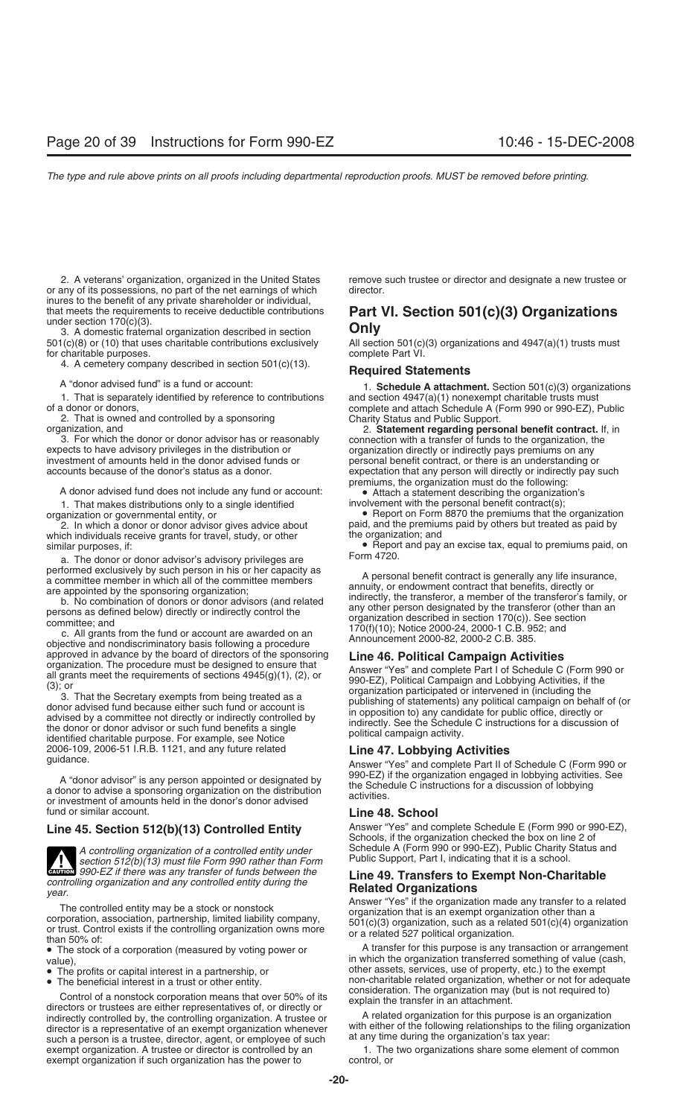or any of its possessions, no part of the net earnings of which director. inures to the benefit of any private shareholder or individual,

3. A domestic fraternal organization described in section **Only** for charitable purposes.

4. A cemetery company described in section 501(c)(13). **Required Statements**

1. That is separately identified by reference to contributions and section 4947(a)(1) nonexempt charitable trusts must of a donor or donors, complete and attach Schedule A (Form 990 or 990-EZ).

2. That is owned and controlled by a sponsoring

3. For which the donor or donor advisor has or reasonably connection with a transfer of funds to the organization, the expects to have advisory privileges in the distribution or  $\frac{1}{2}$  organization directly or indirectl investment of amounts held in the donor advised funds or personal benefit contract, or there is an understanding or accounts because of the donor's status as a donor.

1. That makes distributions only to a single identified organization or governmental entity, or

which individuals receive grants for travel, study, or other

a. The donor or donor advisor's advisory privileges are performed exclusively by such person in his or her capacity as

2006-109, 2006-51 I.R.B. 1121, and any future related **Line 47. Lobbying Activities** guidance. Answer "Yes" and complete Part II of Schedule C (Form 990 or

fund or similar account. **Line 48. School**

section 512(b)(13) must file Form 990 rather than Form **CAUTION** *Section 512(b)(13)* must file Form 990 rather than Form<br>**EXECUTE:** if there was any transfer of funds between the

- 
- 

Control of a nonstock corporation means that over 50% of its<br>directors or trustees are either representatives of, or directly or<br>indirectly controlled by the controlling organization A trustee or A related organization for indirectly controlled by, the controlling organization. A trustee or A related organization for this purpose is an organization<br>director is a representative of an exempt organization whenever with either of the following r director is a representative of an exempt organization whenever with either of the following relationships to the<br>such a person is a trustee, director, agent, or employee of such at any time during the organization's tax y such a person is a trustee, director, agent, or employee of such at any time during the organization's tax year:<br>exempt organization. A trustee or director is controlled by an a metally a The two organizations share some e exempt organization. A trustee or director is controlled by an 1. The exempt organization if such organization has the power to control, or exempt organization if such organization has the power to

2. A veterans' organization, organized in the United States remove such trustee or director and designate a new trustee or

# that meets the requirements to receive deductible contributions **Part VI. Section 501(c)(3) Organizations** under section 170(c)(3).

All section 501(c)(3) organizations and  $4947(a)(1)$  trusts must complete Part VI.

A "donor advised fund" is a fund or account: 1. **Schedule A attachment.** Section 501(c)(3) organizations<br>1. That is separately identified by reference to contributions and section 4947(a)(1) nonexempt charitable trusts mus complete and attach Schedule A (Form 990 or 990-EZ), Public Charity Status and Public Support.

organization, and 2. **Statement regarding personal benefit contract.** If, in organization directly or indirectly pays premiums on any expectation that any person will directly or indirectly pay such premiums, the organization must do the following:

A donor advised fund does not include any fund or account: • • Attach a statement describing the organization's 1. That makes distributions only to a single identified involvement with the personal benefit contract(s);

anization or governmental entity, or equivale about<br>2. In which a donor or donor advisor gives advice about paid, and the premiums paid by others but treated as paid by paid, and the premiums paid by others but treated as paid by the organization; and

similar purposes, if:<br> **•** Report and pay an excise tax, equal to premiums paid, on<br> **Form 4720.** 

performed exclusively by such person in his or her capacity as<br>a committee member in which all of the committee members<br>are appointed by the sponsoring organization;<br>b. No combination of donors or donor advisors (and relat

approved in advance by the board of directors of the sponsoring<br>
organization. The procedure must be designed to ensure that<br>
all grants meet the requirements of sections 4945(g)(1), (2), or<br>
(3); or<br>
(3) ar That the Secre

A "donor advisor" is any person appointed or designated by<br>a donor to advise a sponsoring organization on the distribution<br>or investment of amounts held in the donor's donor advised<br>activities.

Line 45. Section 512(b)(13) Controlled Entity Answer "Yes" and complete Schedule E (Form 990 or 990-EZ), Schools, if the organization checked the box on line 2 of *A controlling organization of a controlled entity under* Schedule A (Form 990 or 990-EZ), Public Charity Status and<br>section 512(b)(13) must file Form 990 rather than Form Public Support, Part I, indicating that it is a sc

**EXECUTE:** The Was any transfer of tunds between the<br>controlling organization and any controlled entity during the<br>year.<br>The controlled entity may be a stock or nonstock<br>corporation, association, partnership, limited liab

• The stock of a corporation (measured by voting power or A transfer for this purpose is any transaction or arrangement value), in which the organization transferred something of value (cash,<br>• The profits or capital interest in a partnership, or other assets, services, use of property, etc.) to the exempt • The profits or capital interest in a partnership, or other assets, services, use of property, etc.) to the exempt <br>• The beneficial interest in a trust or other entity. The beneficial interest in a trust or other entity. non-charitable related organization, whether or not for adequate consideration. The organization may (but is not required to)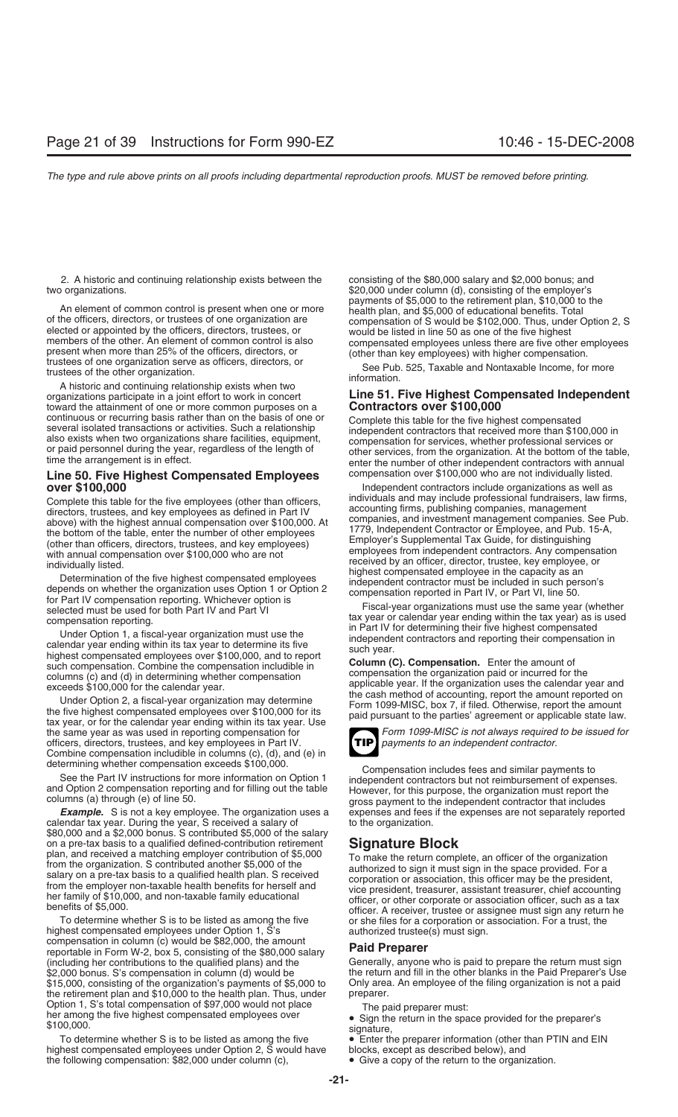2. A historic and continuing relationship exists between the consisting of the \$80,000 salary and \$2,000 bonus; and

An element of common control is present when one or more<br>of the officers, directors, or trustees of one organization are<br>elected or appointed by the officers, directors, trustees, or<br>elected or appointed by the officers, d

A historic and continuing relationship exists when two organizations participate in a joint effort to work in concert toward the attainment of one or more common purposes on a **Contractors over \$100,000**<br>continuous or recurring basis rather than on the basis of one or **Complete this table for the five big** 

## **Line 50. Five Highest Compensated Employees** compensation over \$100,000 who are not individually listed.<br>Independent contractors include organizations as well as

the same year as was used in reporting compensation for *Form 1099-MISC is not always required to be issued for*<br>officers, directors, trustees, and key employees in Part IV. officers, directors, trustees, and key employees in Part IV. Combine compensation includible in columns (c), (d), and (e) in

calendar tax year. During the year, S received a salary of to the organization. \$80,000 and a \$2,000 bonus. S contributed \$5,000 of the salary on a pre-tax basis to a qualified defined-contribution retirement<br>plan, and received a matching employer contribution of \$5,000<br>from the organization. S contributed another \$5,000 of the<br>salary on a pre-tax basis to a qual

To determine whether S is to be listed as among the five or she files for a corporation or association. For a trust, the highest compensated employees under Option 1, S's authorized trustee(s) must sign. compensation in column (c) would be \$82,000, the amount<br>reportable in Form W-2, box 5, consisting of the \$80,000 salary **Paid Preparer**<br>(including her contributions to the qualified plans) and the Generally, anyone \$2,000 bonus. S's compensation in column (d) would be the return and fill in the other blanks in the Paid Preparer's Use<br>\$15,000, consisting of the organization's payments of \$5,000 to Only area. An employee of the filing \$15,000, consisting of the organization's payments of \$5,000 to Only area.<br>the retirement plan and \$10,000 to the health plan. Thus, under preparer. the retirement plan and \$10,000 to the health plan. Thus, under Option 1, S's total compensation of \$97,000 would not place<br>
The paid preparer must:<br>
\$100,000.<br>
\$100,000.<br>
\$100,000.

To determine whether S is to be listed as among the five  $\quad \bullet \quad$  Enter the preparer information (other than PTIN and EIN<br>hest compensated employees under Option 2, S would have blocks, except as described below), and highest compensated employees under Option 2, S would have the following compensation: \$82,000 under column (c), • Give a copy of the return to the organization.

two organizations.<br>\$20,000 under column (d), consisting of the employer's<br>payments of \$5,000 to the retirement plan, \$10,000 to the

## **Line 51. Five Highest Compensated Independent**

continuous or recurring basis rather than on the basis of one or<br>several isolated transactions or activities. Such a relationship<br>also exists when two organizations share facilities, equipment,<br>or paid personnel during the

Independent contractors include organizations as well as individuals and may include professional fundraisers, law firms, Complete this table for the five employees (other than officers,<br>
accounting firms, publishing companies, maragement<br>
directors, truestes, and key employees as defined in Part IV<br>
accounting firms, publishing companies, ma



determining whether compensation exceeds \$100,000.<br>
See the Part IV instructions for more information on Option 1<br>
and Option 2 compensation reporting and for filling out the table<br>
columns (a) through (e) of line 50.<br> **Ex** expenses and fees if the expenses are not separately reported

Generally, anyone who is paid to prepare the return must sign

- 
- 
-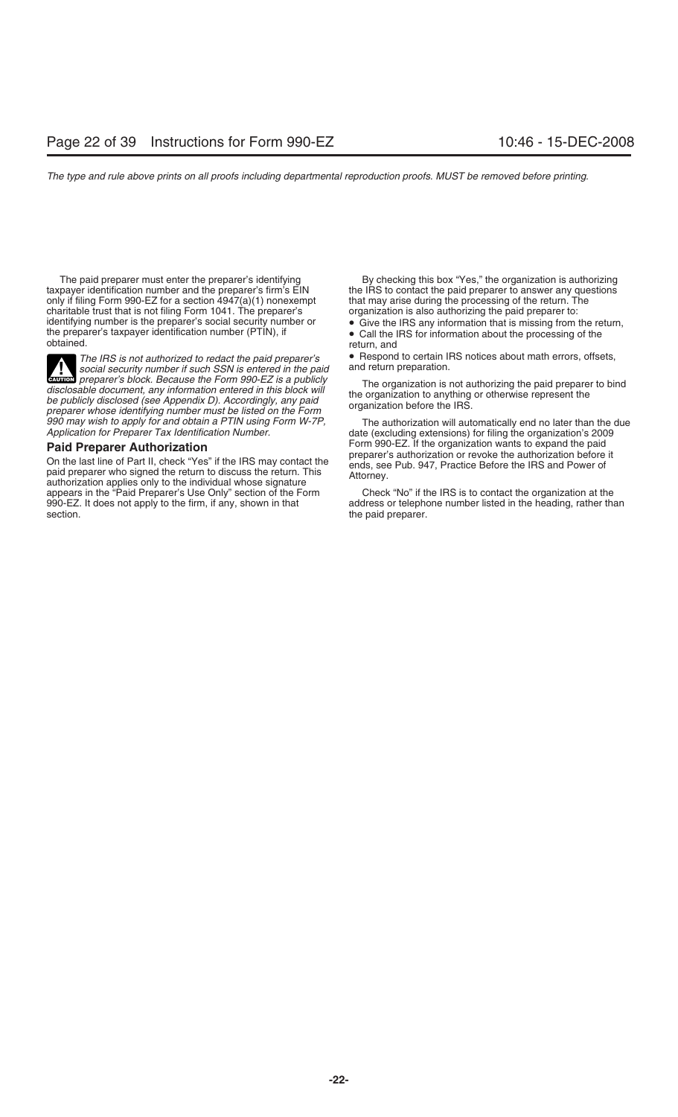The paid preparer must enter the preparer's identifying By checking this box "Yes," the organization is authorizing<br>taxpayer identification number and the preparer's firm's EIN the IRS to contact the paid preparer to answe only if filing Form 990-EZ for a section  $4947(a)(1)$  nonexempt charitable trust that is not filing Form 1041. The preparer's organization is also authorizing the paid preparer to:<br>identifying number is the preparer's social security number or • Give the IRS any information that is mis identifying number is the preparer's social security number or • Give the IRS any information that is missing from the return, the preparer's taxpayer identification number (PTIN), if the preparer's taxpayer identification number (PTIN), if  $\bullet$  Call the IRS for information about the processing of the obtained.

social security number if such SSN is entered in the paid **CAUTION** *preparer's block. Because the Form 990-EZ is a publicly*<br> *preparer's block. Because the Form 990-EZ is a publicly* disclosable document, any information entered in this block will<br>be publicly disclosed (see Appendix D). Accordingly, any paid<br>preparer whose identifying number must be listed on the Form<br>ganization before the IRS.<br>990 ma

**Paid Preparer Authorization**<br>
On the last line of Part II, check "Yes" if the IRS may contact the<br>
paid preparer's authorization or revoke the authorization before it<br>
paid preparer who signed the return to discuss the re 990-EZ. It does not apply to the firm, if any, shown in that section. **the paid preparer.** the paid preparer.

the IRS to contact the paid preparer to answer any questions that may arise during the processing of the return. The

*The IRS is not authorized to redact the paid preparer's* • Respond to certain IRS notices about math errors, offsets, social security number if such SSN is entered in the paid and return preparation.

990 may wish to apply for and obtain a PTIN using Form W-7P,<br>Application for Preparer Tax Identification Number.<br>**Daid Dreparer Authorization**<br>**Daid Dreparer Authorization** 

Check "No" if the IRS is to contact the organization at the address or telephone number listed in the heading, rather than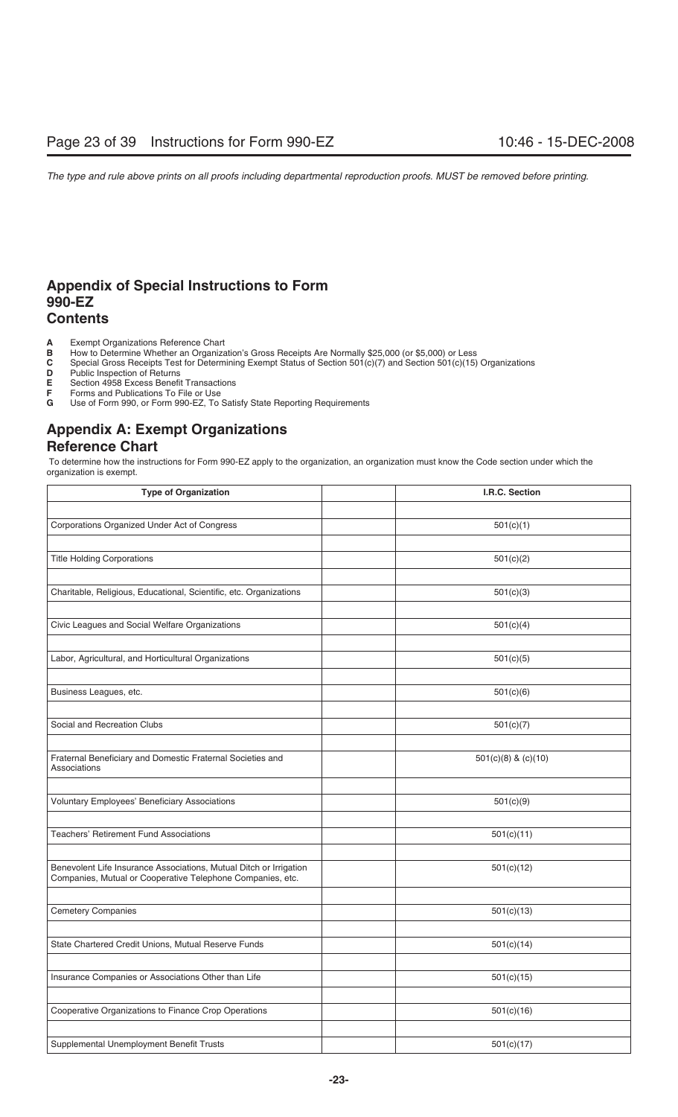## **Appendix of Special Instructions to Form 990-EZ Contents**

- **A** Exempt Organizations Reference Chart<br>**B** How to Determine Whether an Organiza
- **B** How to Determine Whether an Organization's Gross Receipts Are Normally \$25,000 (or \$5,000) or Less **C** Special Gross Receipts Test for Determining Exempt Status of Section 501(c)(7) and Section 501(c)(15)
- **C** Special Gross Receipts Test for Determining Exempt Status of Section 501(c)(7) and Section 501(c)(15) Organizations<br>**D** Public Inspection of Returns
- **D** Public Inspection of Returns<br>**E** Section 4958 Excess Benefit
- **E** Section 4958 Excess Benefit Transactions<br>**F** Forms and Publications To File or Use
- **F** Forms and Publications To File or Use
- **G** Use of Form 990, or Form 990-EZ, To Satisfy State Reporting Requirements

## **Appendix A: Exempt Organizations Reference Chart**

 To determine how the instructions for Form 990-EZ apply to the organization, an organization must know the Code section under which the organization is exempt.

| <b>Type of Organization</b>                                                                                                      | I.R.C. Section      |
|----------------------------------------------------------------------------------------------------------------------------------|---------------------|
|                                                                                                                                  |                     |
| Corporations Organized Under Act of Congress                                                                                     | 501(c)(1)           |
|                                                                                                                                  |                     |
| <b>Title Holding Corporations</b>                                                                                                | 501(c)(2)           |
|                                                                                                                                  |                     |
| Charitable, Religious, Educational, Scientific, etc. Organizations                                                               | 501(c)(3)           |
|                                                                                                                                  |                     |
| Civic Leagues and Social Welfare Organizations                                                                                   | 501(c)(4)           |
|                                                                                                                                  |                     |
| Labor, Agricultural, and Horticultural Organizations                                                                             | 501(c)(5)           |
|                                                                                                                                  |                     |
| Business Leagues, etc.                                                                                                           | 501(c)(6)           |
|                                                                                                                                  |                     |
| Social and Recreation Clubs                                                                                                      | 501(c)(7)           |
|                                                                                                                                  |                     |
| Fraternal Beneficiary and Domestic Fraternal Societies and<br>Associations                                                       | 501(c)(8) & (c)(10) |
|                                                                                                                                  |                     |
| <b>Voluntary Employees' Beneficiary Associations</b>                                                                             | 501(c)(9)           |
|                                                                                                                                  |                     |
| <b>Teachers' Retirement Fund Associations</b>                                                                                    | 501(c)(11)          |
|                                                                                                                                  |                     |
| Benevolent Life Insurance Associations, Mutual Ditch or Irrigation<br>Companies, Mutual or Cooperative Telephone Companies, etc. | 501(c)(12)          |
|                                                                                                                                  |                     |
| <b>Cemetery Companies</b>                                                                                                        | 501(c)(13)          |
|                                                                                                                                  |                     |
| State Chartered Credit Unions, Mutual Reserve Funds                                                                              | 501(c)(14)          |
|                                                                                                                                  |                     |
| Insurance Companies or Associations Other than Life                                                                              | 501(c)(15)          |
|                                                                                                                                  |                     |
| Cooperative Organizations to Finance Crop Operations                                                                             | 501(c)(16)          |
|                                                                                                                                  |                     |
| Supplemental Unemployment Benefit Trusts                                                                                         | 501(c)(17)          |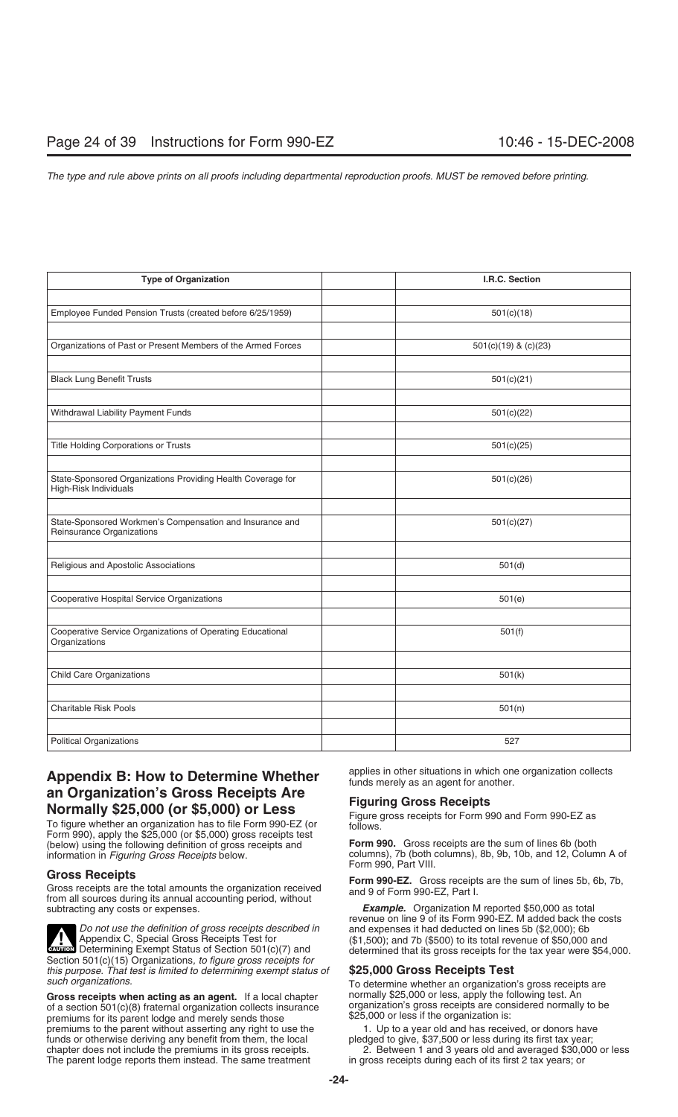| <b>Type of Organization</b>                                                          | I.R.C. Section           |
|--------------------------------------------------------------------------------------|--------------------------|
|                                                                                      |                          |
| Employee Funded Pension Trusts (created before 6/25/1959)                            | 501(c)(18)               |
|                                                                                      |                          |
| Organizations of Past or Present Members of the Armed Forces                         | $501(c)(19)$ & $(c)(23)$ |
|                                                                                      |                          |
| <b>Black Lung Benefit Trusts</b>                                                     | 501(c)(21)               |
|                                                                                      |                          |
| Withdrawal Liability Payment Funds                                                   | 501(c)(22)               |
|                                                                                      |                          |
| Title Holding Corporations or Trusts                                                 | 501(c)(25)               |
|                                                                                      |                          |
| State-Sponsored Organizations Providing Health Coverage for<br>High-Risk Individuals | 501(c)(26)               |
|                                                                                      |                          |
| State-Sponsored Workmen's Compensation and Insurance and                             | 501(c)(27)               |
| Reinsurance Organizations                                                            |                          |
|                                                                                      |                          |
| Religious and Apostolic Associations                                                 | 501(d)                   |
|                                                                                      |                          |
| Cooperative Hospital Service Organizations                                           | 501(e)                   |
|                                                                                      |                          |
| Cooperative Service Organizations of Operating Educational<br>Organizations          | 501(f)                   |
|                                                                                      |                          |
| <b>Child Care Organizations</b>                                                      | 501(k)                   |
|                                                                                      |                          |
| <b>Charitable Risk Pools</b>                                                         | 501(n)                   |
|                                                                                      |                          |
| <b>Political Organizations</b>                                                       | 527                      |

## Appendix B: How to Determine Whether applies in other situations in which one organization collects **Appendix B:** How to Determine Whether *nonding merely as an agent for another.* **an Organization's Gross Receipts Are<br>
Normally \$25,000 (or \$5,000) or Less<br>
To figure whether an organization has to file Form 990-EZ (or follows**<br>
Figure gross receipts for Form 990 and Form 990-EZ as<br>
follows

Form 990), apply the \$25,000 (or \$5,000) gross receipts test (below) using the following definition of gross receipts and **Form 990.** Gross receipts are the sum of lines 6b (both

Gross Receipts<br>Gross receipts are the total amounts the organization received<br>from all sources during its annual accounting period, without<br>subtracting any costs or expenses.<br>Example. Organization M reported \$50,000 as tot



Gross receipts when acting as an agent. If a local chapter normally \$25,000 or less, apply the following test. An<br>of a section 501(c)(8) fraternal organization collects insurance organization's gross receipts are considere of a section 501(c)(8) fraternal organization collects insurance organization's gross receipts are considered normally to be provided normally to be premiums for its parent lodge and merely sends those  $$25,000$  or less if premiums for its parent lodge and merely sends those \$25,000 or less if the organization is:<br>premiums to the parent without asserting any right to use the 1. Up to a year old and has received, or donors have premiums to the parent without asserting any right to use the 1. Up to a year old and has received, or donors have<br>funds or otherwise deriving any benefit from them, the local pledged to give, \$37,500 or less during its fi funds or otherwise deriving any benefit from them, the local chapter does not include the premiums in its gross receipts. The parent lodge reports them instead. The same treatment

columns), 7b (both columns), 8b, 9b, 10b, and 12, Column A of Form 990, Part VIII.

**Example.** Organization M reported \$50,000 as total revenue on line 9 of its Form 990-EZ. M added back the costs  $($1,500)$$ ; and 7b  $($500)$  to its total revenue of  $$50,000$  and determined that its gross receipts for the tax year were \$54,000.

To determine whether an organization's gross receipts are normally \$25,000 or less, apply the following test. An

2. Between 1 and 3 years old and averaged \$30,000 or less in gross receipts during each of its first 2 tax years; or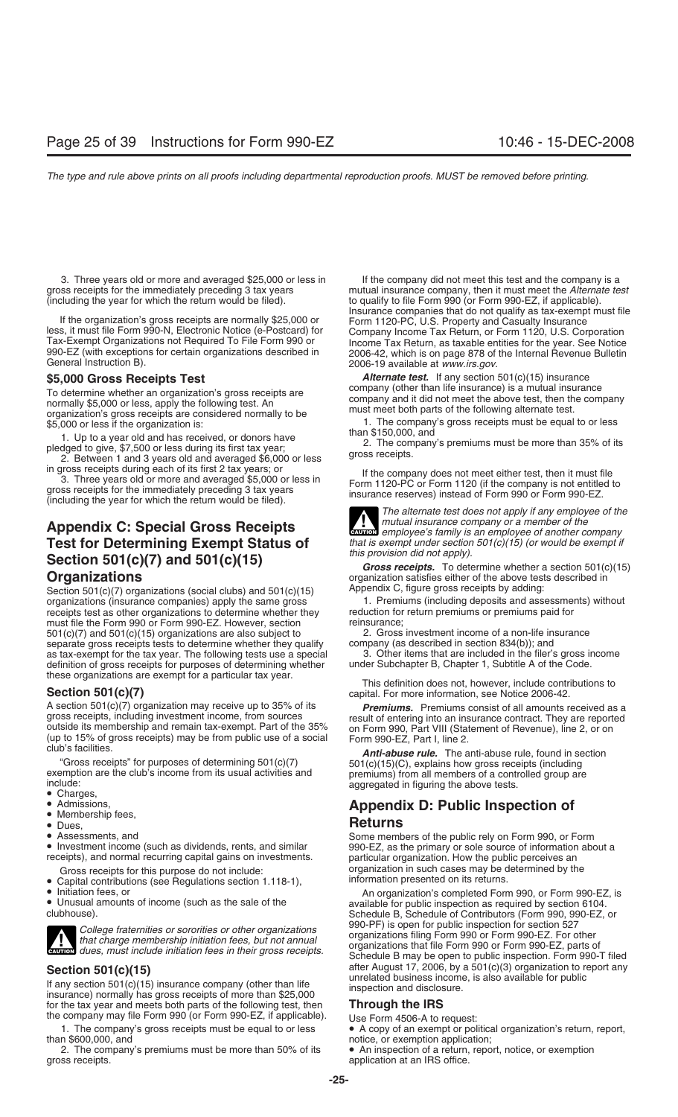3. Three years old or more and averaged \$25,000 or less in If the company did not meet this test and the company is a<br>mutual insurance company, then it must meet the Alternate te (including the year for which the return would be filed).

To determine whether an organization's gross receipts are<br>normally \$5,000 or less, apply the following test. An<br>organization's gross receipts are considered normally to be must meet both parts of the following alternate te

1. Up to a year old and has received, or donors have<br>pledged to give, \$7,500 or less during its first tax year;<br>2. Between 1 and 3 years old and averaged \$6,000 or less gross receipts.

# **Test for Determining Exempt Status of** *that is exempt under section* **Coation 501(c)(7)** and  $FQ1(c)/15$ **Section 501(c)(7) and 501(c)(15)**<br>*Gross receipts.* To determine whether a section 501(c)(15)<br>organization satisfies either of the above tests described in

Section 501(c)(7) organizations (social clubs) and 501(c)(15) Appendix C, figure gross receipts by adding:<br>
Section 501(c)(7) organizations (oppanies) apply the same gross and according (including deposits and assessments) organizations (insurance companies) apply the same gross 1. Premiums (including deposits and assessment receipts test as other organizations to determine whether they reduction for return premiums or premiums paid for receipts test as other organizations to determine whether they reduction for<br>must file the Form 990 or Form 990-EZ. However, section reinsurance; must file the Form 990 or Form 990-EZ. However, section<br>  $501(c)(7)$  and  $501(c)(15)$  organizations are also subject to <br>
2. Gross investment income of a non-life insurance  $501(c)(7)$  and  $501(c)(15)$  organizations are also subject to  $2.$  Gross investment income of a non-life inseparate gross receipts tests to determine whether they qualify company (as described in section 834(b)); and separate gross receipts tests to determine whether they qualify company (as described in section 834(b)); and<br>as tax-exempt for the tax year. The following tests use a special 3. Other items that are included in the filer' as tax-exempt for the tax year. The following tests use a special and the fitems that are included in the filer's gross in definition of gross receipts for purposes of determining whether under Subchapter B, Chapter 1, Sub definition of gross receipts for purposes of determining whether these organizations are exempt for a particular tax year.

A section 501(c)(7) organization may receive up to 35% of its **Premiums.** Premiums consist of all amounts received as a gross receipts, including investment income, from sources result of entering into an insurance contrac outside its membership and remain tax-exempt. Part of the 35% on Form 990, Part VIII (Statement of Revenue), line 2, or on (up to 15% of gross receipts) may be from public use of a social club's facilities.<br>
club's facilit

exemption are the club's income from its usual activities and<br>
include:<br>
■ Charges,<br>
■ Charges,<br>
■ Charges,<br>
■ Charges,<br>
■ Charges,<br>
■ Charges,<br>
■ Charges,<br>
■ Charges,<br>
■ Charges,<br>
■ Charges,<br>
■ Charges,<br>
■ Charges,<br>
■ Ch

- 
- 
- 
- 
- 

- Capital contributions (see Regulations section 1.118-1),<br>• Initiation fees, or
- 
- 



**Section 501(c)(15)** after August 17, 2006, by a 501(c)(3) organization to report any<br>
If any section 501(c)(15) insurance company (other than life<br>
insurance) normally has gross receipts of more than \$25,000<br>
for the tax for the tax year and meets both parts of the following test, then the company may file Form 990 (or Form 990-EZ, if applicable). Use Form 4506-A to request:

than \$600,000, and<br>2. The company's premiums must be more than 50% of its  $\bullet$  An inspection of a return, repo 2. The company's premiums must be more than 50% of its  $\bullet$  An inspection of a return, report, notice, or exemption gross receipts.

mutual insurance company, then it must meet the *Alternate test* to qualify to file Form 990 (or Form 990-EZ, if applicable). If the organization's gross receipts are normally \$25,000 or<br>
Insurance companies that do not qualify as tax-exempt must file<br>
Iess, it must file Form 990-N, Electronic Notice (e-Postcard) for<br>
Tax-Exempt Organizations not

**\$5,000 Gross Receipts Test** *Alternate test.* If any section 501(c)(15) insurance

\$5,000 or less if the organization is:<br>
1. The company's gross receipts must be equal to or less<br>
1. I hat a vear old and bee received at denare have than \$150,000, and

in gross receipts during each of its first 2 tax years; or<br>
3. Three years old or more and averaged \$5,000 or less in<br>
gross receipts for the immediately preceding 3 tax years<br>
(including the year for which the return woul

*The alternate test does not apply if any employee of the* **Appendix C: Special Gross Receipts**<br>**Test for Determining Exempt Status of** *that is exempt under section 501(c)(15) (or would be exempt if* **Test** for **Determining Exempt Status of** *that is exempt under section 501(c)(1* **!**

organization satisfies either of the above tests described in<br>Appendix C, figure gross receipts by adding:

This definition does not, however, include contributions to **Section 501(c)(7) capital.** For more information, see Notice 2006-42.

## • Admissions, **Appendix D: Public Inspection of** • Membership fees,

• Dues,<br>
• Dues,<br>
• Assessments, and sa dividends, rents, and similar<br>
• Investment income (such as dividends, rents, and similar<br>
• Investment income (such as dividends, rents, and similar<br>
• Investments on investments.<br> Gross receipts for this purpose do not include:<br>Capital contributions (see Requiations section 1.118-1). information presented on its returns.

• Initiation fees, or<br>• Unusual amounts of income (such as the sale of the and amounts of income (such as the sale of the available for public inspection as required by section 6104.<br>• Schedule B. Schedule of Contributors Schedule B, Schedule of Contributors (Form 990, 990-EZ, or College fraternities or sororities or other organizations<br>that charge membership initiation fees, but not annual<br>extrem organizations that file Form 990 or Form 990-EZ. For other<br>extrem dues, must include initiation fees i Schedule B may be open to public inspection. Form 990-T filed

1. The company's gross receipts must be equal to or less  $\bullet$  A copy of an exempt or political organization's return, report,

application at an IRS office.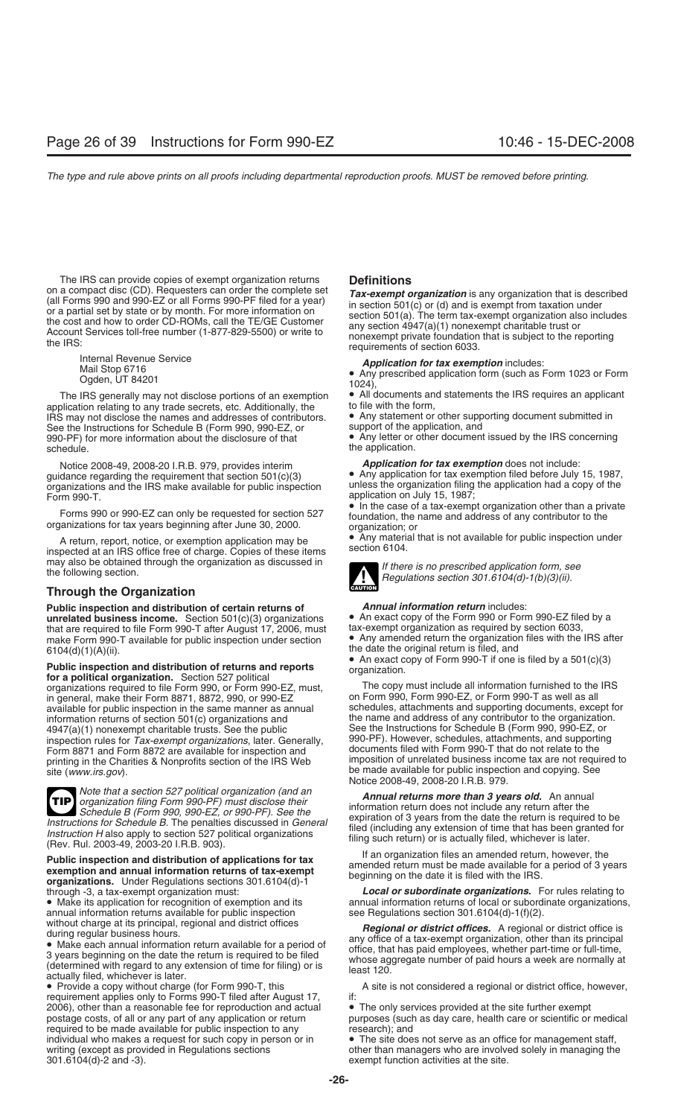The IRS can provide copies of exempt organization returns **Definitions**<br>on a compact disc (CD). Requesters can order the complete set **Tax-axempt** on

The IRS generally may not disclose portions of an exemption  $\bullet$  All documents and blication relating to any trade secrets, etc. Additionally, the  $\bullet$  to file with the form, application relating to any trade secrets, etc. Additionally, the to file with the form,<br>IRS may not disclose the names and addresses of contributors. <br>Any statement or other supporting document submitted in IRS may not disclose the names and addresses of contributors. • Any statement or other support of the application, and See the Instructions for Schedule B (Form 990, 990-EZ, or See the Instructions for Schedule B (Form 990, 990-EZ, or 990-PF) for more information about the disclosure of that schedule. The application of the application.

Notice 2008-49, 2008-20 I.R.B. 979, provides interim *Application for tax exemption* does not include:<br>**a** Any application for tax exemption filed before July organizations and the IRS make available for public inspection Form 990-T. **Example 2018** Form 990-T.

A return, report, notice, or exemption application may be **A** return, report, notice, or exemption application may be section 6104. may also be obtained through the organization as discussed in *If there is no prescribed application form, see*<br>the following section.<br>*Regulations section 301.6104(d)-1(b)(3)(ii).* 

## **Through the Organization**

**Public inspection and distribution of certain returns of** *Annual information return* includes: **unrelated business income.** Section 501(c)(3) organizations • An exact copy of the Form 990 or Form 990-EZ filed by a that are required to file Form 990-T after August 17, 2006, must tax-exempt organization as required by that are required to file Form 990-T after August 17, 2006, must make Form 990-T available for public inspection under section

**Public inspection and distribution of returns and reports** organization.<br> **for a political organization.** Section 527 political organization.<br> **Form 990.** or Form 990-FZ, must **Form 200** and **Form Section 10.** The copy mu organizations required to file Form 990, or Form 990-EZ, must, The copy must include all information furnished to the<br>In general, make their Form 8871, 8872, 990, or 990-EZ on Form 990, Form 990-EZ, or Form 990-T as well a in general, make their Form 8871, 8872, 990, or 990-EZ on Form 990, Form 990-EZ, or Form 990-T as well as all<br>available for public inspection in the same manner as annual schedules, attachments and supporting documents, ex available for public inspection in the same manner as annual schedules, attachments and supporting documents, except for<br>information returns of section 501(c) organizations and sthe name and address of any contributor to t information returns of section 501(c) organizations and the name and address of any contributor to the organization<br>4947(a)(1) nonexempt charitable trusts. See the public See the Instructions for Schedule B (Form 990, 990-4947(a)(1) nonexempt charitable trusts. See the public See the Instructions for Schedule B (Form 990, 990-EZ, or<br>inspection rules for *Tax-exempt organizations*, later, Generally, 990-PF). However, schedules, attachments, inspection rules for *Tax-exempt organizations*, later. Generally, 990-PF). However, schedules, attachments, and supporting<br>Form 8871 and Form 8872 are available for inspection and documents filed with Form 990-T that do n Form 8871 and Form 8872 are available for inspection and documents filed with Form 990-T that do not relate to the<br>printing in the Charities & Nonprofits section of the IRS Web imposition of unrelated business income tax a printing in the Charities & Nonprofits section of the IRS Web site (www.irs.gov).



Note that a section 527 political organization (and an<br>organization filing Form 990-PF) must disclose their<br>Schedule B (Form 990, 990-EZ, or 990-PF). See the<br>tions for Schedule B The perception discussed in General

**Public inspection and distribution of applications for tax**  $\begin{array}{l} \text{If an organization files an amended return, however, the} \\ \text{exumption and annual information returns of tax-exempt \\ \text{organizations. Under Regulation sections 301.6104(d)-1} \\ \text{through -3, a tax-exempt organization must:} \end{array}$ <br>  $\begin{array}{l} \text{If an organization files an amended return of application files an amended return, however, the} \\ \text{amended return must be made available for a period of 3 years} \\ \text{begining on the date it is filed with the IRS.} \\ \text{*Local or subordinate organizations*$ 

annual information returns available for public inspection without charge at its principal, regional and district offices

requirement applies only to Forms 990-T filed after August 17, 2006), other than a reasonable fee for reproduction and actual • The only services provided at the site further exempt postage costs, of all or any part of any application or return purposes (such as day care, health care required to be made available for public inspection to any research); and individual who makes a request for such copy in person or in • The site does not serve as an office for management staff,<br>writing (except as provided in Regulations sections • other than managers who are involved solely in 301.6104(d)-2 and -3). exempt function activities at the site.

on a compact disc (CD). Requesters can order the complete set<br>
(all Forms 990 and 990-EZ or all Forms 990-PF filed for a year)<br>
or a partial set by state or by month. For more information on<br>
the cost and how to order CD-

Internal Revenue Service *Application for tax exemption* includes:<br>
Mail Stop 6716 • Any prescribed application form (such as Form 1023 or Form<br>
Ogden, UT 84201 <sup>1024</sup>),<br>
IRS generally may not disclose portions of an exe

• Any letter or other document issued by the IRS concerning

• Any application for tax exemption filed before July 15, 1987, unless the organization filing the application had a copy of the

Forms 990 or 990-EZ can only be requested for section 527 <br>organization, the name and address of any contributor to the<br>organizations for tax years beginning after June 30, 2000.<br>organization; or



• Any amended return the organization files with the IRS after  $6104(d)(1)(A)(ii).$ <br>  $\bullet$  An exact copy of Form 990-T if one is filed by a 501(c)(3)

be made available for public inspection and copying. See Notice 2008-49, 2008-20 I.R.B. 979.

Instructions for Schedule B. The penalties discussed in General field (including any extension of time take the return is required to be<br>Instruction H also apply to section 527 political organizations filling such return)

through -3, a tax-exempt organization must: *Local or subordinate organizations.* For rules relating to<br>• Make its application for recognition of exemption and its annual information returns of local or subordinate organiz annual information returns of local or subordinate organizations, see Regulations section 301.6104(d)-1(f)(2).

Without charge at its principal, regional and district offices<br>
during regular business hours.<br>
• Make each annual information return available for a period of<br>
3 years beginning on the date the return is required to be fi

• Provide a copy without charge (for Form 990-T, this A site is not considered a regional or district office, however, requirement applies only to Forms 990-T filed after August 17.

purposes (such as day care, health care or scientific or medical

other than managers who are involved solely in managing the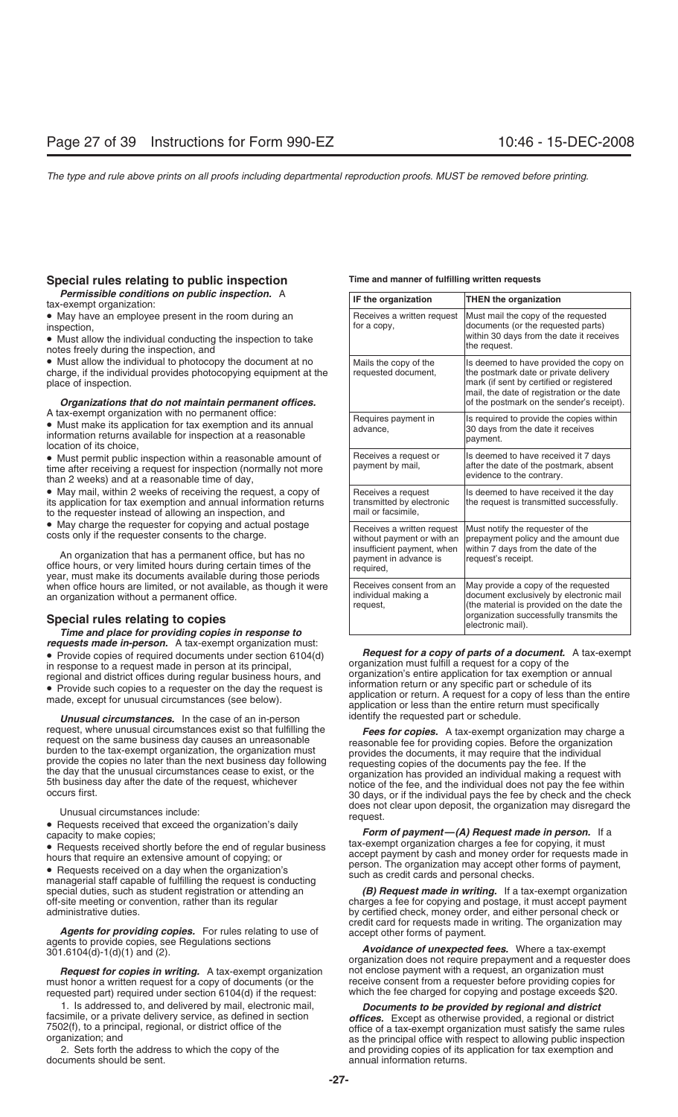## **Special rules relating to public inspection Time and manner of fulfilling written requests**

*Permissible conditions on public inspection.* A tax-exempt organization:

• May have an employee present in the room during an inspection.

• Must allow the individual conducting the inspection to take notes freely during the inspection, and

• Must allow the individual to photocopy the document at no charge, if the individual provides photocopying equipment at the place of inspection.

## **Organizations that do not maintain permanent offices.**

A tax-exempt organization with no permanent office:<br>• Must make its application for tax exemption and its annual<br>information returns available for inspection at a reasonable<br>location of its choice,

• Must permit public inspection within a reasonable amount of time after receiving a request for inspection (normally not more than 2 weeks) and at a reasonable time of day,

• May mail, within 2 weeks of receiving the request, a copy of its application for tax exemption and annual information returns to the requester instead of allowing an inspection, and

• May charge the requester for copying and actual postage costs only if the requester consents to the charge.

An organization that has a permanent office, but has no<br>office hours, or very limited hours during certain times of the<br>year, must make its documents available during those periods when office hours are limited, or not available, as though it were an organization without a permanent office.

**Special rules relating to copies<br>***Time and place for providing copies in response to* **requests made in-person.** A tax-exempt organization must:<br>
• Provide copies of required documents under section 6104(d)<br>
in response to a request made in person at its principal,<br>
regional and district offices during reg

**Unusual circumstances.** In the case of an in-person identify the requested part or schedule.

**Agents for providing copies.** For rules relating to use of agents to provide copies, see Regulations sections<br>agents to provide copies, see Regulations sections<br>301.6104(d)-1(d)(1) and (2).<br>301.6104(d)-1(d)(1) and (2).<br>Th

must honor a written request for a copy of documents (or the receive consent from a requester before providing copies for<br>requested part) required under section 6104(d) if the request:<br>which the fee charged for copying and requested part) required under section  $6104(d)$  if the request:

| IF the organization                                                                                                          | <b>THEN the organization</b>                                                                                                                                                                                           |
|------------------------------------------------------------------------------------------------------------------------------|------------------------------------------------------------------------------------------------------------------------------------------------------------------------------------------------------------------------|
| Receives a written request<br>for a copy,                                                                                    | Must mail the copy of the requested<br>documents (or the requested parts)<br>within 30 days from the date it receives<br>the request.                                                                                  |
| Mails the copy of the<br>requested document,                                                                                 | Is deemed to have provided the copy on<br>the postmark date or private delivery<br>mark (if sent by certified or registered<br>mail, the date of registration or the date<br>of the postmark on the sender's receipt). |
| Requires payment in<br>advance,                                                                                              | Is required to provide the copies within<br>30 days from the date it receives<br>payment.                                                                                                                              |
| Receives a request or<br>payment by mail,                                                                                    | Is deemed to have received it 7 days<br>after the date of the postmark, absent<br>evidence to the contrary.                                                                                                            |
| Receives a request<br>transmitted by electronic<br>mail or facsimile,                                                        | Is deemed to have received it the day<br>the request is transmitted successfully.                                                                                                                                      |
| Receives a written request<br>without payment or with an<br>insufficient payment, when<br>payment in advance is<br>required, | Must notify the requester of the<br>prepayment policy and the amount due<br>within 7 days from the date of the<br>request's receipt.                                                                                   |
| Receives consent from an<br>individual making a<br>request,                                                                  | May provide a copy of the requested<br>document exclusively by electronic mail<br>(the material is provided on the date the<br>organization successfully transmits the<br>electronic mail).                            |

request, where unusual circumstances exist so that fulfilling the<br>
request on the same business day causes an unreasonable<br>
burden to the tax-exempt organization, the organization must<br>
provides the documents, it may requi Unusual circumstances include:<br>
• Requests received that exceed the organization's daily<br>
capacity to make copies;<br>
Form of payment—(A) Request made in person. If a

**Form of payment—(A) Request made in person.** If a tax-exempt organization charges a fee for copying, it must • Requests received shortly before the end of regular business<br>
hours that require an extensive amount of copying; or<br>
• Requests received on a day when the organization's<br>
managerial staff capable of fulfilling the reques

special duties, such as student registration or attending an *(B) Request made in writing.* If a tax-exempt organization off-site meeting or convention, rather than its regular charges a fee for copying and postage, it m charges a fee for copying and postage, it must accept payment administrative duties. by certified check, money order, and either personal check or

**Request for copies in writing.** A tax-exempt organization and enclose payment with a request, an organization must<br>st honor a written request for a copy of documents (or the strate consent from a requester before providin

1. Is addressed to, and delivered by mail, electronic mail,<br>facsimile, or a private delivery service, as defined in section<br>7502(f), to a principal, regional, or district office of the<br>organization; and<br>2. Sets forth the a 2. Sets forth the address to which the copy of the and providing copies of its application for tax exemption and documents should be sent. annual information returns.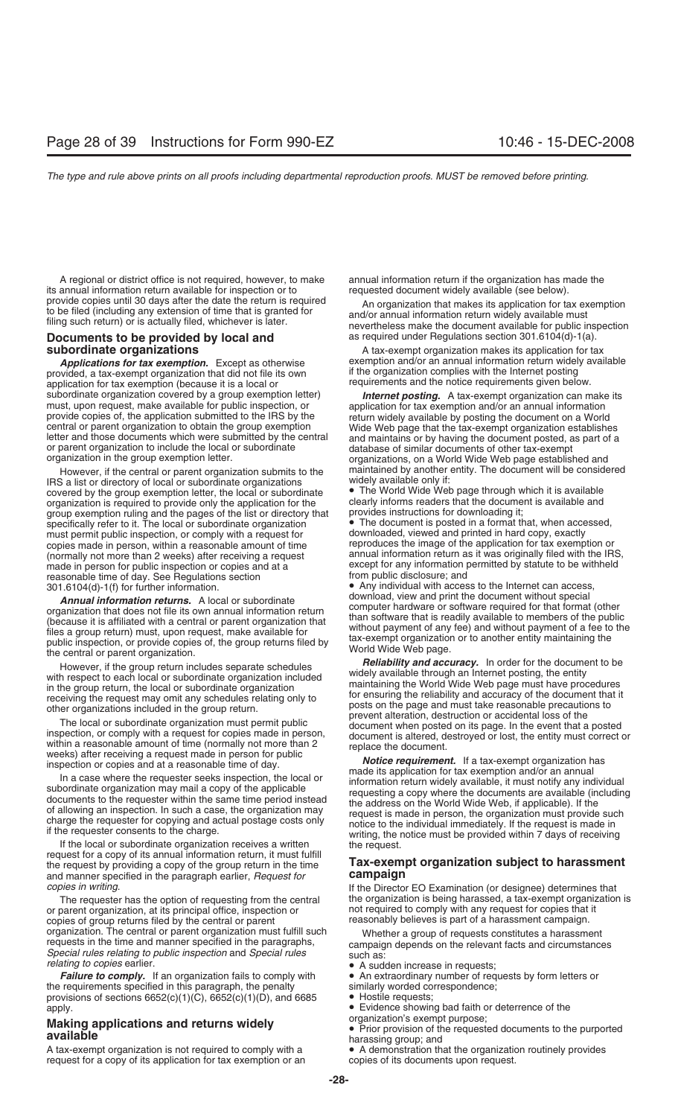A regional or district office is not required, however, to make annual information return if the organization has made the annual information return available for inspection or to requested document widely available (see b its annual information return available for inspection or to provide copies until 30 days after the date the return is required

provided, a tax-exempt organization that did not file its own if the organization complies with the Internet posting<br>application for tax exemption (because it is a local or equirements and the notice requirements given bel application for tax exemption (because it is a local or<br>subordinate organization covered by a group exemption letter)

IRS a list or directory of local or subordinate organizations widely available only if:<br>
covered by the group exemption letter, the local or subordinate • The World Wide Web page through which it is available covered by the group exemption letter, the local or subordinate • The World Wide Web page through which it is available organization is required to provide only the application for the clearly informs readers that the docume<br>group exemption ruling and the pages of the list or directory that provides instructions for downloading it; group exemption ruling and the pages of the list or directory that provides instructions for downloading it;<br>specifically refer to it. The local or subordinate organization (a) The document is posted in a format that, when specifically refer to it. The local or subordinate organization **•** The document is posted in a format that, when acce<br>must permit public inspection, or comply with a request for **but a** downloaded, viewed and printed in h must permit public inspection, or comply with a request for copies made in person, within a reasonable amount of time reproduces the image of the application for tax exemption or<br>(normally not more than 2 weeks) after receiving a request annual information return as it was original (normally not more than 2 weeks) after receiving a request made in person for public inspection or copies and at a reasonable time of day. See Regulations section 301.6104(d)-1(f) for further information.

**Annual information returns.** A local or subordinate<br>organization that does not file its own annual information return<br>(because it is affiliated with a central or parent organization that<br>files a group return) must, upon r

If the local or subordinate organization receives a written writing, the notice must be provided within 7 days of receiving<br>If the local or subordinate organization receives a written the request.<br>The request of a copy of and manner specified in the paragraph earlier, *Request for* **campaign**

or parent organization, at its principal office, inspection or not required to comply with any request for copies that copies that copies of graphs of a harassment campaign. copies of group returns filed by the central or parent organization. The central or parent organization must fulfill such organization. The central or parent organization must fulfill such<br>requests in the time and manner specified in the paragraphs,<br>Special rules relating to public inspection and Special rules<br>relating to copies earlier.<br> $\bullet$ 

**Failure to comply.** If an organization fails to comply with • An extraordinary number of requirements specified in this paragraph, the penalty **sumilarly worded correspondence**; the requirements specified in this paragraph, the penalty similarly worded correspondence; the penalty similarly worded corresponding provisions of sections  $6652(c)(1)(C)$ ,  $6652(c)(1)(D)$ , and  $6685$ provisions of sections  $6652(c)(1)(C)$ ,  $6652(c)(1)(D)$ , and  $6685$ apply. • Evidence showing bad faith or deterrence of the

A tax-exempt organization is not required to comply with a • A demonstration that the organization request.<br>
request for a copy of its application for tax exemption or an being copies of its documents upon request. request for a copy of its application for tax exemption or an

provide copies until 30 days after the date the return is required<br>to be filed (including any extension of time that is granted for<br>filing such return) or is actually filed, whichever is later.<br>mevertheless make the docume **Documents to be provided by local and** as required under Regulations section 301.6104(d)-1(a).

**subordinate organizations** A tax-exempt organization makes its application for tax **Applications for tax exemption.** Except as otherwise exemption and/or an annual information return widely available<br>wided, a tax-exempt organization that did not file its own if the organization complies with the Internet

subordinate organization covered by a group exemption letter) **Internet posting.** A tax-exempt organization can make its<br>must, upon request, make available for public inspection, or<br>provide copies of, the application submi However, if the central or parent organization submits to the maintained by another entity. The document will be considered<br>S a list or directory of local or subordinate organizations widely available only if:

except for any information permitted by statute to be withheld from public disclosure; and

• Any individual with access to the Internet can access, download, view and print the document without special

However, if the group return includes separate schedules<br>
with respect to each local or subordinate organization<br>
included windely available through an Internet posting, the entity<br>
in the group return, the local or subord

## request for a copy of the group return, in the time<br>the request by providing a copy of the group return in the time<br>and manner specified in the paragraph earlier. Request for **campaign**

*copies in writing*. If the Director EO Examination (or designee) determines that The requester has the option of requesting from the central the organization is being harassed, a tax-exempt organization is <br>parent organization, at its principal office, inspection or some that is not required to comply

- 
- A sudden increase in requests;<br>• An extraordinary number of requests by form letters or
- 
- 
- 

**Making applications and returns widely**<br> **available**<br> **available**<br> **A** tax-exempt organization is not required to comply with a<br> **A** demonstration that the organization routinely provides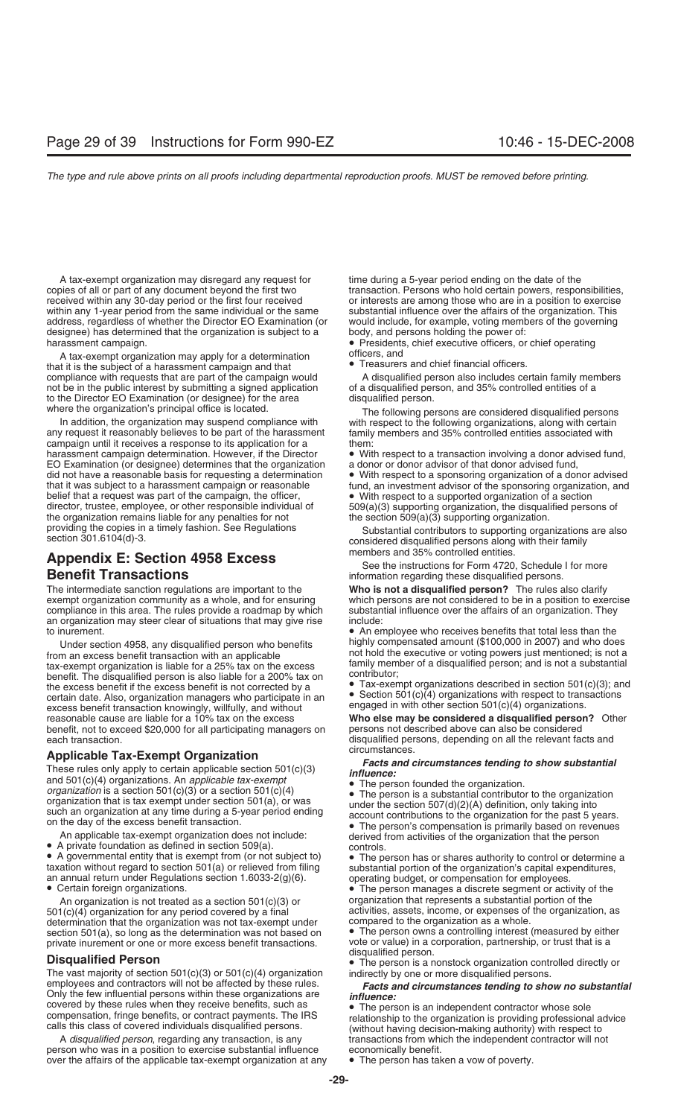A tax-exempt organization may disregard any request for time during a 5-year period ending on the date of the copies of all or part of any document beyond the first two transaction. Persons who hold certain powers, responsibilities, received within any 30-day period or the first four received or interests are among those who are i within any 1-year period from the same individual or the same substantial influence over the affairs of the organization. This address, regardless of whether the Director EO Examination (or would include, for example, voti designee) has determined that the organization is subject to a body, and persons holding the power of:

A tax-exempt organization may apply for a determination **officers**, and **officers** and chief financial officers. that it is the subject of a harassment campaign and that **the subject of a harassment campaign and that set of the campaign would** a disqualified person also includes certain family members compliance with requests that ar compliance with requests that are part of the campaign would<br>
A disqualified person also includes certain family mem<br>
of a disqualified person, and 35% controlled entities of a<br>
of a disqualified person, and 35% controlled not be in the public interest by submitting a signed application to the Director EO Examination (or designee) for the area disqualified person.<br>where the organization's principal office is located. The following per

any request it reasonably believes to be part of the harassment family campaign until it receives a response to its application for a campaign until it receives a response to its application for a harassment campaign determination. However, if the Director • With respect to a transaction involving a donor advised fund,<br>EO Examination (or designee) determines that the organization a donor or donor advisor of that don EO Examination (or designee) determines that the organization did not have a reasonable basis for requesting a determination did not have a reasonable basis for requesting a determination • With respect to a sponsoring organization of a donor advised<br>that it was subject to a harassment campaign or reasonable fund, an investment advisor of the sp belief that a request was part of the campaign, the officer, director, trustee, employee, or other responsible individual of the organization remains liable for any penalties for not the section 509(a)(3) supporting organization.

# **Appendix E: Section 4958 Excess** members and 35% controlled entities.<br>**Benefit Transactions** See **Excess** See the instructions for Form 4720, Schedule I for more

exempt organization community as a whole, and for ensuring compliance in this area. The rules provide a roadmap by which substantial influence over the affairs of an organization. They an organization may steer clear of situations that may give rise include:<br>to inurement. • An en

From an excess benefit transaction with an applicable<br>tax-exempt organization is liable for a 25% tax on the excess<br>benefit. The disqualified person is also liable for a 200% tax on<br>the excess benefit if the excess benefit excess benefit transaction knowingly, willfully, and without engaged in with other section 501(c)(4) organizations.<br>**Who else may be considered a disqualified person?** Other reasonable cause and with other **who else may be** benefit, not to exceed \$20,000 for all participating managers on persons not described above can also be considered

**Applicable Tax-Exempt Organization**<br>
These rules only apply to certain applicable section 501(c)(3)<br>
and 501(c)(4) organizations. An *applicable tax-exempt*<br>
organization is a section 501(c)(3) or a section 501(c)(4)<br>
or

An applicable tax-exempt organization does not include:<br>
■ A private foundation as defined in section 509(a).<br>
■ A governmental entity that is exempt from (or not subject to)<br>
■ Certain organization without regard to sect

501(c)(4) organization for any period covered by a final activities, assets, income, or expenses of the organization, as<br>determination that the organization was not tax-exempt under compared to the organization as a whole. determination that the organization was not tax-exempt under compared to the organization as a whole.<br>section 501(a), so long as the determination was not based on  $\bullet$  The person owns a controlling interest (measured by e section 501(a), so long as the determination was not based on

The vast majority of section  $501(c)(3)$  or  $501(c)(4)$  organization employees and contractors will not be affected by these rules.<br> **Facts and circumstances tending to show no substantial**<br>
covered by these rules when they receive benefits, such as<br> **•** The person is an independent contrac

A *disqualified person*, regarding any transaction, is any transactions from which the independent contractor will not<br>son who was in a position to exercise substantial influence economically benefit. person who was in a position to exercise substantial influence economically benefit.<br>over the affairs of the applicable tax-exempt organization at any  $\bullet$  The person has taken a vow of poverty. over the affairs of the applicable tax-exempt organization at any

or interests are among those who are in a position to exercise would include, for example, voting members of the governing

harassment campaign.<br>A tax-exempt organization may apply for a determination officers, and<br>A tax-exempt organization may apply for a determination officers, and

ere the organization's principal office is located. The following persons are considered disqualified persons<br>In addition, the organization may suspend compliance with with respect to the following organizations, along wit with respect to the following organizations, along with certain family members and 35% controlled entities associated with

fund, an investment advisor of the sponsoring organization, and<br>• With respect to a supported organization of a section  $509(a)(3)$  supporting organization, the disqualified persons of

providing the copies in a timely fashion. See Regulations Substantial contributors to supporting organizations are also section 301.6104(d)-3. considered disqualified persons along with their family

information regarding these disqualified persons.

The intermediate sanction regulations are important to the **Who is not a disqualified person?** The rules also clarify

• An employee who receives benefits that total less than the highly compensated amount (\$100,000 in 2007) and who does Under section 4958, any disqualified person who benefits highly compensated amount (\$100,000 in 2007) and who does<br>from an excess benefit transaction with an applicable not hold the executive or voting powers just mentione

disqualified persons, depending on all the relevant facts and circumstances.

Certain foreign organizations.<br>An organization is not treated as a section 501(c)(3) or **organization that represents a substantial portion** of the

private inurement or one or more excess benefit transactions. vote or value) in a corporation, partnership, or trust that is a disqualified person.

**Disqualified Person**<br>**•** The person is a nonstock organization controlled directly or<br>The vast majority of section 501(c)(3) or 501(c)(4) organization indirectly by one or more disqualified persons.

covered by these rules when they receive benefits, such as<br>compensation, fringe benefits, or contract payments. The IRS<br>calls this class of covered individuals disqualified persons.<br>(without having decision-making authorit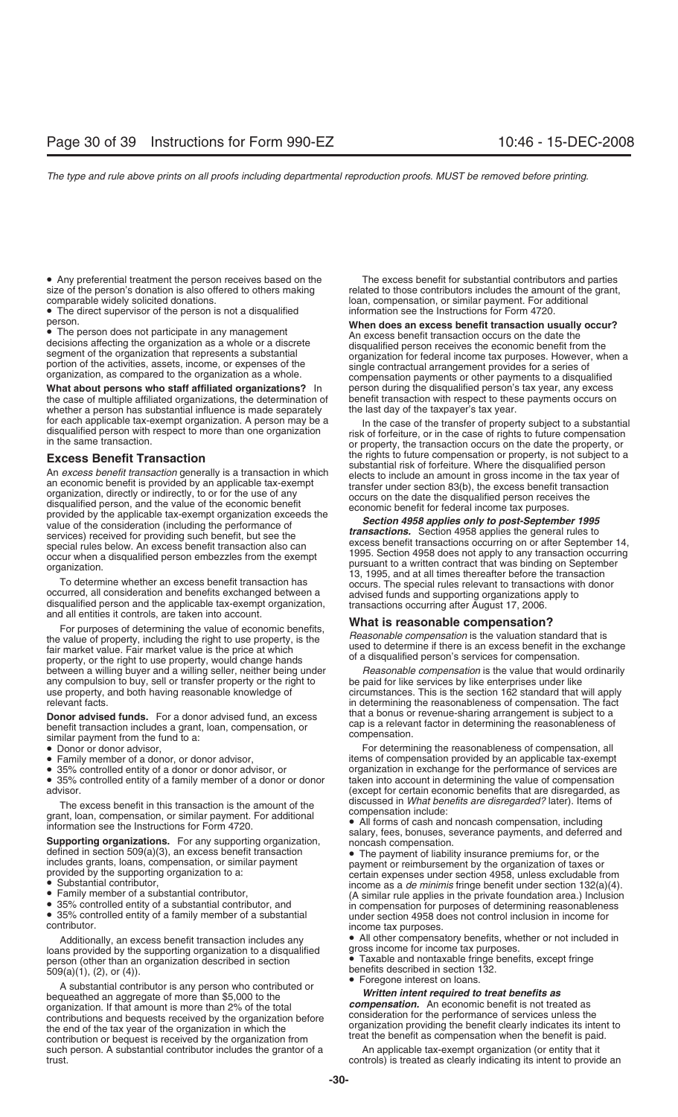• Any preferential treatment the person receives based on the The excess benefit for substantial contributors and parties size of the person's donation is also offered to others making related to those contributors includes the amount of the grant, comparable widely solicited donations. loan, compensation, or similar payment. For additional

• The direct supervisor of the person is not a disqualified information see the Instructions for Form 4720.

**What about persons who staff affiliated organizations?** In person during the disqualified person's tax year, any excess the case of multiple affiliated organizations, the determination of benefit transaction with respect to these payments occurs on whether a person has substantial influence is made separately the last day of the taxpayer's whether a person has substantial influence is made separately for each applicable tax-exempt organization. A person may be a

**Excess Benefit Transaction**<br>
An excess benefit transaction of the rights to future compensation or property, is not subject to a<br>
An excess benefit transaction generality is a transaction in which<br>
an excess benefit trans

between a willing buyer and a willing seller, neither being under *Reasonable compensation* is the value that would ordinarily<br>any compulsion to buy, sell or transfer property or the right to be paid for like services by l any compulsion to buy, sell or transfer property or the right to use property, and both having reasonable knowledge of

**Donor advised funds.** For a donor advised fund, an excess<br>
benefit transaction includes a grant, loan, compensation, or<br>
india a bonus or revenue-snaring arrangement is subject to a<br>
cap is a relevant factor in determinin

- 
- 
- 
- $\bullet$  35% controlled entity of a family member of a donor or donor

- 
- 
- 

loans provided by the supporting organization to a disqualified person (other than an organization described in section • Taxable and nontaxable fringe benefits, except fringe  $509(a)(1), (2), or (4).$ <br> $\bullet$  Foregone interest on loans.

A substantial contributor is any person who contributed or<br>
bequeathed an aggregate of more than \$5,000 to the<br>
organization. If that amount is more than 2% of the total<br>
contributions and bequests received by the organiza such person. A substantial contributor includes the grantor of a An applicable tax-exempt organization (or entity that it trust.

e The person does not participate in any management<br>
■ The person does not participate in any management<br>
decisions affecting the organization as a whole or a discrete<br>
segment of the organization that represents a substa

In the case of the transfer of property subject to a substantial<br>disqualified person with respect to more than one organization<br>in the same transaction.<br>or property, the transaction occurs on the date the property, or

circumstances. This is the section 162 standard that will apply relevant facts.<br>**Donor advised funds** For a donor advised fund an excess that a bonus or revenue-sharing arrangement is subject to a

• Donor or donor advisor, For determining the reasonableness of compensation, all • Family member of a donor, or donor advisor, items of compensation provided by an applicable tax-exempt<br>• 35% controlled entity of a donor or donor advisor, or example organization in exchange for the performance of servi organization in exchange for the performance of services are taken into account in determining the value of compensation advisor.<br>The excess benefit in this transaction is the amount of the discussed in What benefits are disregarded? later). Items of

The excess benefit in this transaction is the amount of the<br>
grant, loan, compensation, or similar payment. For additional<br>
information see the Instructions for Form 4720.<br> **Supporting organizations.** For any supporting or • 35% controlled entity of a family member of a substantial under section 4958 does not control inclusion in income for contributor.

Additionally, an excess benefit transaction includes any **•** All other compensatory benefits, whether or not included in<br>ns provided by the supporting organization to a disqualified gross income for income tax purposes.

controls) is treated as clearly indicating its intent to provide an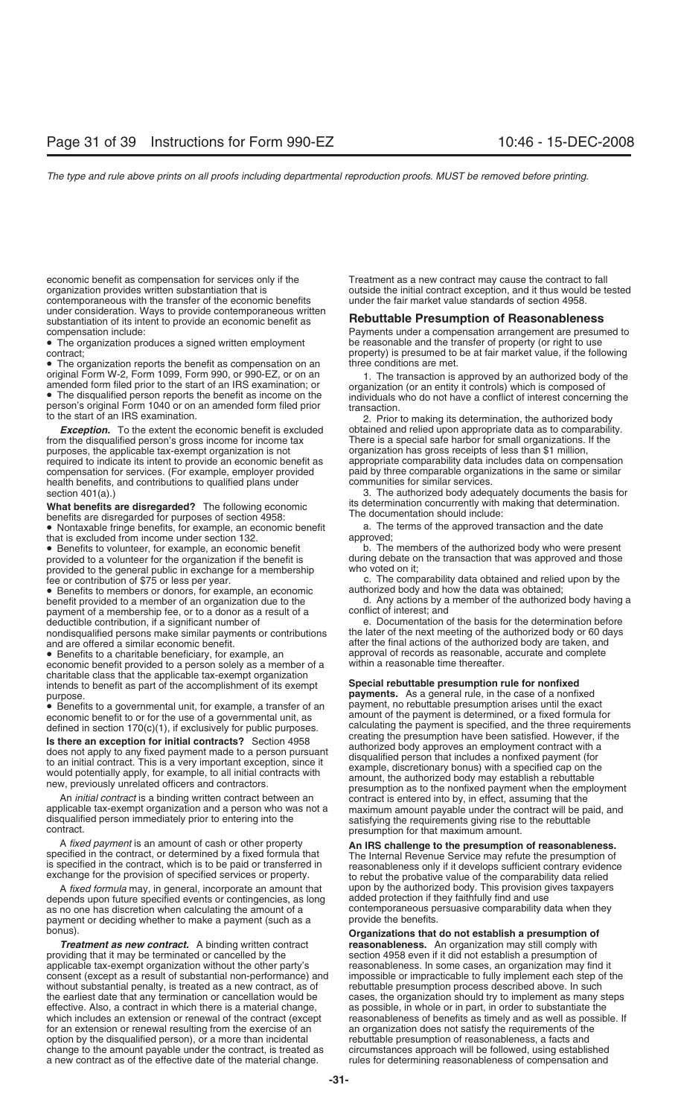economic benefit as compensation for services only if the Treatment as a new contract may cause the contract to fall organization provides written substantiation that is outside the initial contract exception, and it thus would be tested contemporaneous with the transfer of the economic benefits under the fair market value standards of section 4958. under consideration. Ways to provide contemporaneous written substantiation of its intent to provide an economic benefit as **Rebuttable Presumption of Reasonableness** compensation include: Payments under a compensation arrangement are presumed to

• The organization produces a signed written employment be reasonable and the transfer of property (or right to use contract:<br>property) is presumed to be at fair market value, if the follo

• The organization reports the benefit as compensation on an three conditions are met.<br>
original Form W-2, Form 1099, Form 990, or 990-EZ, or on an the transaction is original Form W-2, Form 1099, Form 990, or 990-EZ, or on an and the contraction is approved by an authorized body of the annealed form filed prior to the start of an IRS examination; or<br>
• The disqualified person reports t

from the disqualified person's gross income for income tax purposes, the applicable tax-exempt organization is not organization has gross receipts of less than \$1 million,<br>
required to indicate its intent to provide an economic benefit as appropriate comparability data includes da required to indicate its intent to provide an economic benefit as compensation for services. (For example, employer provided paid by three comparable organizations in the same or similar health benefits, and contributions to qualified plans under

**What benefits are disregarded?** The following economic<br>benefits are disregarded for purposes of section 4958:<br>• Nontaxable fringe benefits, for example, an economic benefit a. The terms of the approved transaction and the

• Nontaxable fringe benefits, for example, an economic benefit a. The that is excluded from income under section 132. that is excluded from income under section 132.<br>• Benefits to volunteer, for example, an economic benefit b. The members of the authorized body who were present

• Benefits to volunteer, for example, an economic benefit provided to a volunteer for the organization if the benefit is provided to the general public in exchange for a membership

• Benefits to members or donors, for example, an economic authorized body and how the data was obtained;<br>benefit provided to a member of an organization due to the discuss of a member of the authorized body having a benefit provided to a member of an organization due to the d. Any actions by a membership fee, or to a donor as a result of a payment of a membership fee, or to a donor as a result of a deductible contribution, if a significant number of nondisqualified persons make similar payments or contributions

• Benefits to a charitable beneficiary, for example, an approval of records as reasonable, economic benefit provided to a person solely as a member of a within a reasonable time thereafter. economic benefit provided to a person solely as a member of a charitable class that the applicable tax-exempt organization intends to benefit as part of the accomplishment of its exempt **Special rebuttable presumption rule for nonfixed**<br>payments. As a general rule, in the case of a nonfix

 $\bullet$  Benefits to a governmental unit, for example, a transfer of an economic benefit to or for the use of a governmental unit, as

disqualified person immediately prior to entering into the satisfying the requirements giving rise to the rebuttable<br>contract. presumption for that maximum amount.

A fixed payment is an amount of cash or other property<br>specified in the contract, or determined by a fixed formula that<br>is specified in the contract, which is to be paid or transferred in<br>exchange for the provision of spec

A *fixed formula* may, in general, incorporate an amount that upon by the authorized body. This provision gives taxpayers depends upon future specified events or contingencies, as long added protection if they faithfully find and use<br>as no one has discretion when calculating the amount of a contemporaneous persuasive comparability data when t as no one has discretion when calculating the amount of a contemporaneous per payment or deciding whether to make a payment (such as a provide the benefits. payment or deciding whether to make a payment (such as a

providing that it may be terminated or cancelled by the section 4958 even if it did not establish a presumption of applicable tax-exempt organization without the other party's reasonableness. In some cases, an organization may find it consent (except as a result of substantial non-performance) and impossible or impracticable to fully i consent (except as a result of substantial non-performance) and without substantial penalty, is treated as a new contract, as of rebuttable presumption process described above. In such the earliest date that any termination or cancellation would be cases, the organization should try to implement as many steps effective. Also, a contract in which there is a material change, as possible, in whole or in part, in order to substantiate the which includes an extension or renewal of the contract (except reasonableness of benefits as t for an extension or renewal resulting from the exercise of an an organization does not satisfy the requirements of the option by the disqualified person), or a more than incidental expreditable presumption of reasonableness, a facts and<br>change to the amount payable under the contract, is treated as eircumstances approach will be followed, change to the amount payable under the contract, is treated as a new contract as of the effective date of the material change. The rules for determining reasonableness of compensation and

property) is presumed to be at fair market value, if the following

2. Prior to making its determination, the authorized body **Exception.** To the extent the economic benefit is excluded obtained and relied upon appropriate data as to comparability.<br>There is a special safe harbor for small organizations. If the distribution of the disculsions. If

section 401(a).)<br>3. The authorized body adequately documents the basis for<br>What henefits are disregarded? The following economic its determination concurrently with making that determination.

during debate on the transaction that was approved and those who voted on it;

fee or contribution of \$75 or less per year.<br>• Benefits to members or donors, for example, an economic authorized body and how the data was obtained;

e. Documentation of the basis for the determination before the later of the next meeting of the authorized body or 60 days and are offered a similar economic benefit.<br>
• Benefits to a charitable beneficiary, for example, an approval of records as reasonable, accurate and complete

**payments.** As a general rule, in the case of a nonfixed payment, no rebuttable presumption arises until the exact amount of the payment is determined, or a fixed formula for calculating the payment is specified, and the three requirements defined in section 170(c)(1), if exclusively for public purposes. calculating the payment is specified, and the three requirement<br>Le there are avecution for initial contracte? Section 4058 **Is there an exception for initial contracts?** Section 4958<br>
does not apply to any fixed payment made to a person pursuant<br>
to an initial contract. This is a very important exception, since it<br>
would potentially apply, for

bonus). **Organizations that do not establish a presumption of reasonableness.** An organization may still comply with reasonableness of benefits as timely and as well as possible. If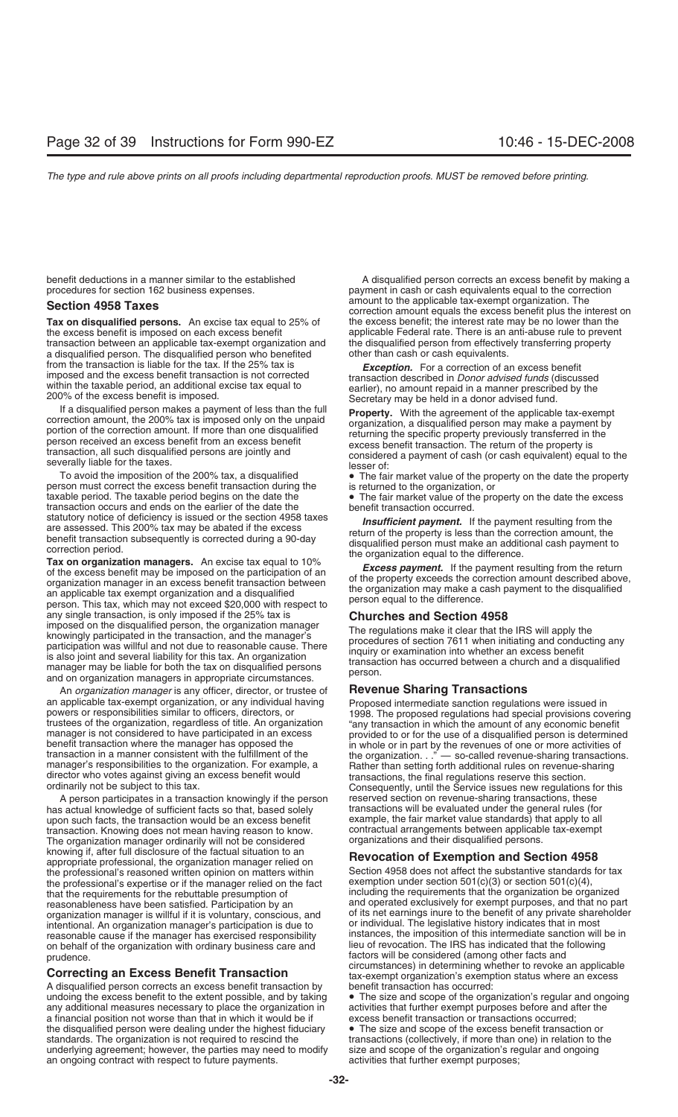Tax on disqualified persons. An excise tax equal to 25% of the excess benefit is imposed on each excess benefit applicable Federal rate. There is an anti-abuse rule to prevent<br>transaction between an applicable tax-exempt organization and the disqualified person from effectively tr transaction between an applicable tax-exempt organization and the disqualified person from effective<br>a disqualified person. The disqualified person who benefited other than cash or cash equivalents. a disqualified person. The disqualified person who benefited from the transaction is liable for the tax. If the 25% tax is *Exception.* For a correction of an excess benefit within the taxable period, an additional excise tax equal to<br>
200% of the excess benefit is imposed.<br>
If a disqualified person makes a payment of less than the full<br>
If a disqualified person makes a payment of less than th

person must correct the excess benefit transaction during the taxable period. The taxable period begins on the date the transaction occurs and ends on the earlier of the date the statutory notice of deficiency is issued or the section 4958 taxes

statutory notice of deficiency is issued or the section 4958 taxes<br>are assessed. This 200% tax may be abated if the excess<br>benefit transaction subsequently is corrected during a 90-day<br>correction period.<br>**Tax on organizati** any single transaction, is only imposed if the 25% tax is **Churches and Section 4958** imposed on the disqualified person, the organization manager<br>
knowingly participated in the transaction, and the manager's<br>
participation was willful and not due to reasonable cause. There<br>
is also joint and several liabil

An *organization manager* is any officer, director, or trustee of **Revenue Sharing Transactions**

A person participates in a transaction knowingly if the person reserved section on revenue-sharing transactions, these<br>s actual knowledge of sufficient facts so that, based solely ransactions will be evaluated under the ge has actual knowledge of sufficient facts so that, based solely transactions will be evaluated under the general rules (for<br>upon such facts, the transaction would be an excess benefit example, the fair market value standard upon such facts, the transaction would be an excess benefit example, the fair market value standards) that apply to all<br>transaction, Knowing does not mean having reason to know. Contractual arrangements between applicable transaction. Knowing does not mean having reason to know. contractual arrangements between applicable the organization manager ordinarily will not be considered organizations and their disqualified persons. The organization manager ordinarily will not be considered knowing if, after full disclosure of the factual situation to an **Revocation of Exemption and Section 4958**<br>appropriate professional, the organization manager relied on **Revocation of Exemption and Section 4958**<br>the profes the professional's reasoned written opinion on matters within Section 4958 does not affect the substantive standards<br>the professional's expertise or if the manager relied on the fact exemption under section 501(c)(3) or se the professional's expertise or if the manager relied on the fact that the requirements for the rebuttable presumption of including the requirements that the organization be organized reasonableness have been satisfied. Participation by an and operated exclusively for exempt purposes, and that no part organization manager is willful if it is voluntary, conscious, and of its net earnings inure to the ben intentional. An organization manager's participation is due to reasonable cause if the manager has exercised responsibility instances, the imposition of this intermediate sanction will be in<br>on behalf of the organization with ordinary business care and lieu of revocation. The IRS has on behalf of the organization with ordinary business care and

A disqualified person corrects an excess benefit transaction by undoing the excess benefit to the extent possible, and by taking  $\bullet$  The size and scope of the organization's regular and ongoing any additional measures necessary to place the organization in activities that further exem any additional measures necessary to place the organization in activities that further exempt purposes before and a<br>a financial position not worse than that in which it would be if a sexcess benefit transaction or transact a financial position not worse than that in which it would be if the disqualified person were dealing under the highest fiduciary • The size and scope of the excess benefit transaction or standards. The organization is not required to rescind the stansactions (collectively, if more than one) in relation to the underlying agreement; however, the parties may need to modify size and scope of the organization's underlying agreement; however, the parties may need to modify an ongoing contract with respect to future payments. activities that further exempt purposes;

benefit deductions in a manner similar to the established<br>
procedures for section 162 business expenses.<br>
payment in cash or cash equivalents equal to the correction payment in cash or cash equivalents equal to the correction amount to the applicable tax-exempt organization. The **Section 4958 Taxes**<br>Correction amount equals the excess benefit plus the interest on<br>Tax on disqualified persons. An excise tax equal to 25% of the excess benefit; the interest rate may be no lower than the

If a disqualified person makes a payment of less than the full<br>correction amount, the 200% tax is imposed only on the unpaid<br>portion of the correction amount. If more than one disqualified<br>person and may make a payment by<br>

To avoid the imposition of the 200% tax, a disqualified • The fair market value of the property on the date the property son must correct the excess benefit transaction during the signal set unned to the organization, or

• The fair market value of the property on the date the excess benefit transaction occurred.

an applicable tax-exempt organization, or any individual having<br>powers or responsibilities similar to officers, directors, or<br>trustees of the organization, regardless of title. An organization<br>manager is not considered to

of its net earnings inure to the benefit of any private shareholder or individual. The legislative history indicates that in most prudence.<br> **Example 20** Properties and circumstances) in determining whether to revoke an applicable<br> **Convention and Example Properties Correcting an Excess Benefit Transaction**<br>
A disqualified person corrects an excess benefit transaction by benefit transaction has occurred: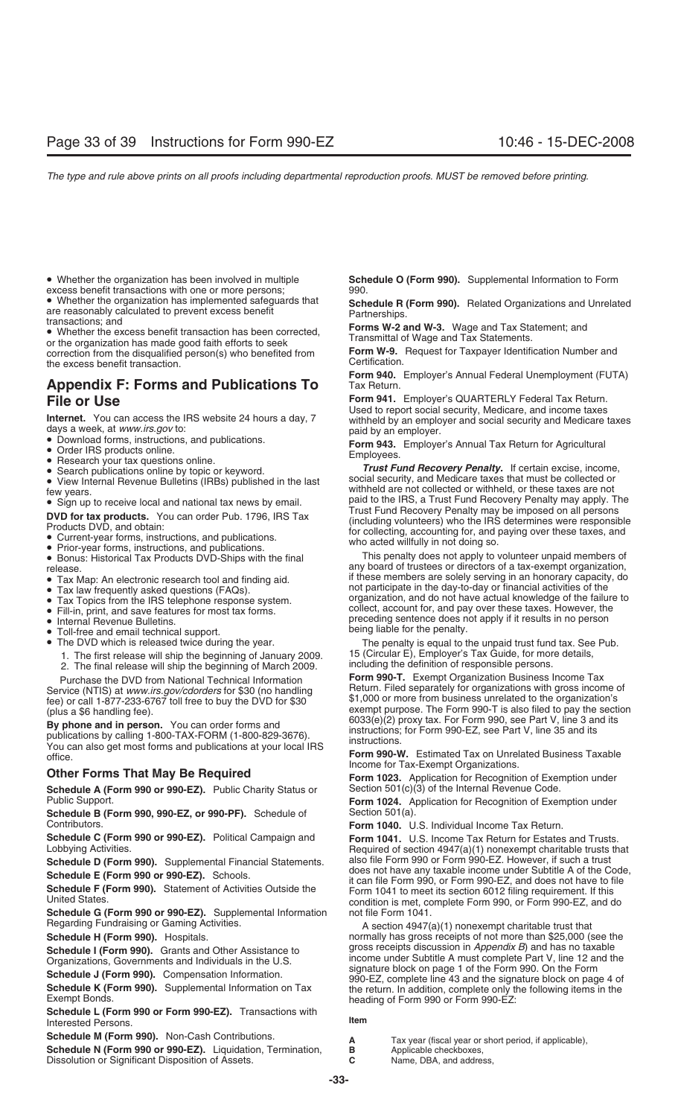excess benefit transactions with one or more persons;<br>• Whether the organization has implemented safeguards that • Whether the organization has implemented safeguards that<br>
are reasonably calculated to prevent excess benefit<br>
transactions; and<br>
• Whether the excess benefit transaction has been corrected,<br>
or the organization has made

or the organization has made good faith efforts to seek<br>
correction from the disqualified person(s) who benefited from **Form W-9.** Request for Taxpayer Identification Number and<br>
Certification. the excess benefit transaction.

# **Appendix F: Forms and Publications To**

- 
- 
- 
- 
- 
- 

- 
- 
- 
- 
- 
- 
- Fill-in, print, and save features for most tax forms.<br>• Internal Revenue Bulletins.
- 
- Toll-free and email technical support.<br>• The DVD which is released twice during the year.
- -
	- 2. The final release will ship the beginning of March 2009.

**By phone and in person.** You can order forms and<br>publications by calling 1-800-TAX-FORM (1-800-829-3676).<br>You can also get most forms and publications at your local IRS<br>office.<br>The contract of Tax-Exempt Organizations.

**Schedule A (Form 990 or 990-EZ).** Public Charity Status or Section 501(c)(3) of the Internal Revenue Code.<br>**Form 1024.** Application for Recognition of Exer

**Schedule B (Form 990, 990-EZ, or 990-PF).** Schedule of Contributors.

**Schedule C (Form 990 or 990-EZ).** Political Campaign and **Form 1041.** U.S. Income Tax Return for Estates and Trusts.<br>Lobbying Activities. **Example:** Required of section 4947(a)(1) nonexempt charitable trusts th

**Schedule D (Form 990).** Supplemental Financial Statements. also file Form 990 or Form 990-EZ. However, if such a trust<br>Cohodule E (Form 990, ex 990, EZ). Scheels. George does not have any taxable income under Subtitle A o

**Schedule G (Form 990 or 990-EZ).** Supplemental Information Regarding Fundraising or Gaming Activities.

**Schedule I (Form 990).** Grants and Other Assistance to

**Schedule L (Form 990 or Form 990-EZ).** Transactions with Interested Persons. **Item**

**Schedule M (Form 990).** Non-Cash Contributions. **A** Tax year (fiscal year or short period, if applicable),

**Schedule N (Form 990 or 990-EZ).** Liquidation, Termination, **B** Applicable checkboxes, Dissolution or Significant Disposition of Assets. **C** Name, DBA, and address, Dissolution or Significant Disposition of Assets.

• Whether the organization has been involved in multiple **Schedule O (Form 990).** Supplemental Information to Form

**Form 940.** Employer's Annual Federal Unemployment (FUTA)

**File or Use Form 941.** Employer's QUARTERLY Federal Tax Return.<br>Used to report social security, Medicare, and income taxes

**Example 11**<br> **Example 11**<br> **Internet.** You can access the IRS website 24 hours a day, 7<br> **Internet.** You can access the IRS website 24 hours a day, 7<br> **Convinced forms**, instructions, and publications.<br> **•** Download form

release.<br>• Tax Map: An electronic research tool and finding aid. if these members are solely serving in an honorary capacity, do<br>• Tax law frequently asked questions (FAQs). if these members are solely serving in an honora • Tax law frequently asked questions (FAQs). not participate in the day-to-day or financial activities of the  $\overline{a}$  and  $\overline{b}$  and  $\overline{c}$  and  $\overline{d}$  or  $\overline{b}$  and  $\overline{b}$  or  $\overline{c}$  and  $\overline{d}$  or  $\overline{d}$  an organization, and do not have actual knowledge of the failure to collect, account for, and pay over these taxes. However, the preceding sentence does not apply if it results in no person<br>being liable for the penalty.

The penalty is equal to the unpaid trust fund tax. See Pub.<br>15 (Circular E), Employer's Tax Guide, for more details, 1. The first release will ship the beginning of January 2009. <br>2. The final release will ship the beginning of March 2009. Including the definition of responsible persons.

Purchase the DVD from National Technical Information **Form 990-T.** Exempt Organization Business Income Tax<br>Service (NTIS) at www.irs.gov/cdorders for \$30 (no handling Return. Filed separately for organizations with gross i fee) or call 1-877-233-6767 toll free to buy the DVD for \$30 \$1,000 or more from business unrelated to the organization's (plus a \$6 handling fee).<br> **exempt purpose.** The Form 990-T is also filed to pay the section<br> **By phone and in person** You can order forms and<br> **By phone and in person** You can order forms and

**Other Forms That May Be Required Form 1023.** Application for Recognition of Exemption under

Form 1024. Application for Recognition of Exemption under Section 501(a).

**Form 1040.** U.S. Individual Income Tax Return.

Required of section  $4947(a)(1)$  nonexempt charitable trusts that also file Form 990 or Form 990-EZ. However, if such a trust Schedule E (Form 990 or 990-EZ). Schools.<br>
Schedule F (Form 990). Statement of Activities Outside the<br>
United States.<br>
Schedule G (Form 990) or 990-EZ). Supplemental Information<br>
Schedule G (Form 990 or 990-EZ). Supplement

A section  $4947(a)(1)$  nonexempt charitable trust that **Schedule H (Form 990).** Hospitals. **normally has gross receipts of not more than \$25,000 (see the Schedule I (Form 990).** Grants and Other Assistance to gross receipts discussion in *Appendix B*) and has no taxable Organizations, Governments and Individuals in the U.S. income under Subtitle A must complete Part V, line 12 and the Corganizations, Governments and Individuals in the U.S. signature block on page 1 of the Form 990. On the Schedule J (Form 990). Compensation Information.<br>
Schedule K (Form 990). Supplemental Information on Tax<br>
Exempt Bonds.<br>
Exempt Bonds.<br>
Exempt Bonds.<br>
Exempt Bonds.<br>
Supplemental Information on Tax<br>
Seading of Form 990 or

- 
- 
-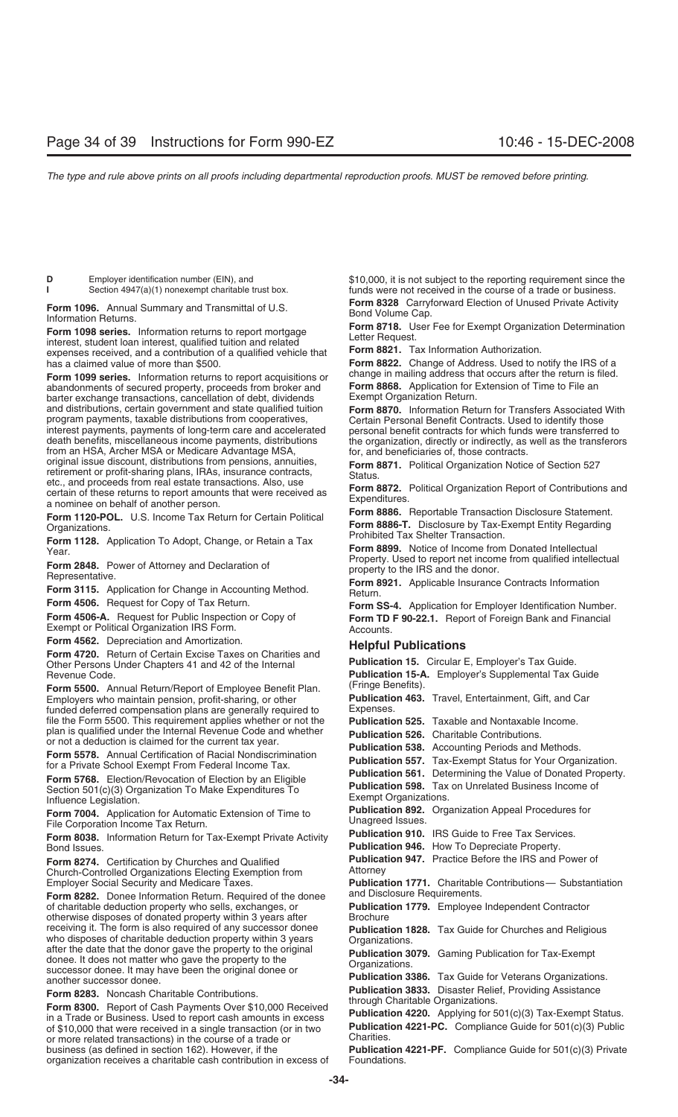Form 1098 series. Information returns to report mortgage<br>interest, student loan interest, qualified tuition and related<br>expenses received, and a contribution of a qualified vehicle that **Form 8821.** Tax Information Authori has a claimed value of more than \$500. **Form 8822.** Change of Address. Used to notify the IRS of a

abandonments of secured property, proceeds from broker and **Form 8868.** Application for E<br>
barter exchange transactions, cancellation of debt, dividends Exempt Organization Return. barter exchange transactions, cancellation of debt, dividends and distributions, certain government and state qualified tuition and distributions, certain government and state qualified tuition **Form 8870.** Information Return for Transfers Associated With interest payments, payments of long-term care and accelerated personal benefit contracts for which funds were transferred to death benefits, miscellaneous income payments, distributions the organization, directly or indirectly, as well as the transferors from an HSA, Archer MSA or Medicare Advantage MSA, for, and beneficiaries of, those contract original issue discount, distributions from pensions, annuities,<br>
retirement or profit-sharing plans, IRAs, insurance contracts,<br>
etc., and proceeds from real estate transactions. Also, use<br>
certain of these returns to rep

Form 1120-POL. U.S. Income Tax Return for Certain Political<br>Organizations. **Form 8886-T.** Disclosure by Tax-Exempt Entity Regarding<br>Form 1128, Application To Adopt. Change or Botain a Tax Prohibited Tax Shelter Transaction

**Form 4562.** Depreciation and Amortization.<br>**Form 4720.** Return of Certain Excise Taxes on Charities and **Fublication 15.** Circular E, Employer's Tax Guide.<br>Other Persons Under Chapters 41 and 42 of the Internal **Publicati** Other Persons Under Chapters 41 and 42 of the Internal

Form 5500. Annual Return/Report of Employee Benefit Plan. (Fringe Benefits).<br>Employers who maintain pension, profit-sharing, or other **Publication 463.** Travel, Entertainment, Gift, and Car Employers who maintain pension, profit-sharing, or other **Publicatio**<br>
funded deferred compensation plans are generally required to Expenses. funded deferred compensation plans are generally required to file the Form 5500. This requirement applies whether or not the **Publication 525.** Taxable and Nontaxable Income.<br>plan is qualified under the Internal Revenue Code and whether **Publication 526**. Charitable Contributions

Form 5768. Election/Revocation of Election by an Eligible<br>Section 501(c)(3) Organization To Make Expenditures To<br>Influence Legislation<br>Influence Legislation

**Form 8038.** Information Return for Tax-Exempt Private Activity<br>Bond Issues.

**Form 8274.** Certification by Churches and Qualified **Publication 1847.** Publication Publication Publication Publication Publication Publication Publication Publication Publication Premi Church-Controlled Organizations Electing Exemption from

**Form 8282.** Donee Information Return. Required of the donee and Disclosure Requirements.<br>
of charitable deduction property who sells, exchanges, or **Publication 1779.** Employee Independent Contractor of charitable deduction property who sells, exchanges, or **Publicati** otherwise disposes of donated property within 3 years after **Brochure** otherwise disposes of donated property within 3 years after receiving it. The form is also required of any successor donee receiving it. The form is also required of any successor donee<br>
who disposes of charitable deduction property within 3 years<br>
after the date that the donor gave the property to the original<br>
donee. It does not matter who g

Form 8283. Noncash Charitable Contributions.<br>
Form 8283. Noncash Charitable Contributions.<br>
Form 8300. Report of Cash Payments Over \$10,000 Received<br>
in a Trade or Business. Used to report cash amounts in excess<br>
Publicati of \$10,000 that were received in a single transaction (or in two **Publication 4221-PC.** Compliance Guide for 501(c)(3) Public<br>or more related transactions) in the course of a trade or Charities. or more related transactions) in the course of a trade or business (as defined in section 162). However, if the organization receives a charitable cash contribution in excess of Foundations.

**D** Employer identification number (EIN), and **\$10,000**, it is not subject to the reporting requirement since the **Section 4947(a)(1)** nonexempt charitable trust box. **The inverse of a traction 4947(a)(1)** nonexempt charit funds were not received in the course of a trade or business.

**Form 1096.** Annual Summary and Transmittal of U.S. **Form 8328** Carryforward Election of Unused Private Activity **Information Returns.**<br>Information Returns. **Information Returns.** Information *Information* Returns to use

**Form 1099 series.** Information returns to report acquisitions or change in mailing address that occurs after the return is filed.<br>Abandonments of secured property, proceeds from broker and **Form 8868.** Application for Ext

Certain Personal Benefit Contracts. Used to identify those

Form 1128. Application To Adopt, Change, or Retain a Tax<br>
Year.<br>
Form 2848. Power of Attorney and Declaration of<br>
Form 2848. Power of Attorney and Declaration of<br>
Representative.<br>
Form 3115. Application for Change in Accou

**Form 4506.** Request for Copy of Tax Return. **Form SS-4.** Application for Employer Identification Number.<br>**Form 4506-A.** Request for Public Inspection or Copy of **Form TD F 90-22.1** Benort of Egreign Bank and Financial **Form 4506-A.** Request for Public Inspection or Copy of **Form TD F 90-22.1.** Report of Foreign Bank and Financial Exempt or Political Organization IRS Form.<br>Exempt or Political Organization IRS Form. Accounts.<br>**Form 4562.** 

Revenue Code.<br>**Form 5500** Annual Beturn/Benort of Employee Benefit Plan (Fringe Benefits).<br>Form 5500 Annual Beturn/Benort of Employee Benefit Plan (Fringe Benefits). plan is qualified under the Internal Revenue Code and whether<br>
or not a deduction is claimed for the current tax year.<br> **Publication 538.** Accounting Periods and Methods.<br> **Form 5578.** Annual Certification of Racial Nondis Influence Legislation.<br>**Earm 7004** Application for Automatic Extension of Time to **Publication 892.** Organization Appeal Procedures for **Form 7004.** Application for Automatic Extension of Time to **Publication 892.** Organization Appeal Procedures<br>File Corporation Income Tax Return. **For Form Private Activity** Publication 910. IRS Guide to Free Tax Services. **Publication 946.** How To Depreciate Property.<br>**Publication 947.** Practice Before the IRS and Power of

Employer Social Security and Medicare Taxes. **Publication 1771.** Charitable Contributions— Substantiation

Publication 4221-PF. Compliance Guide for 501(c)(3) Private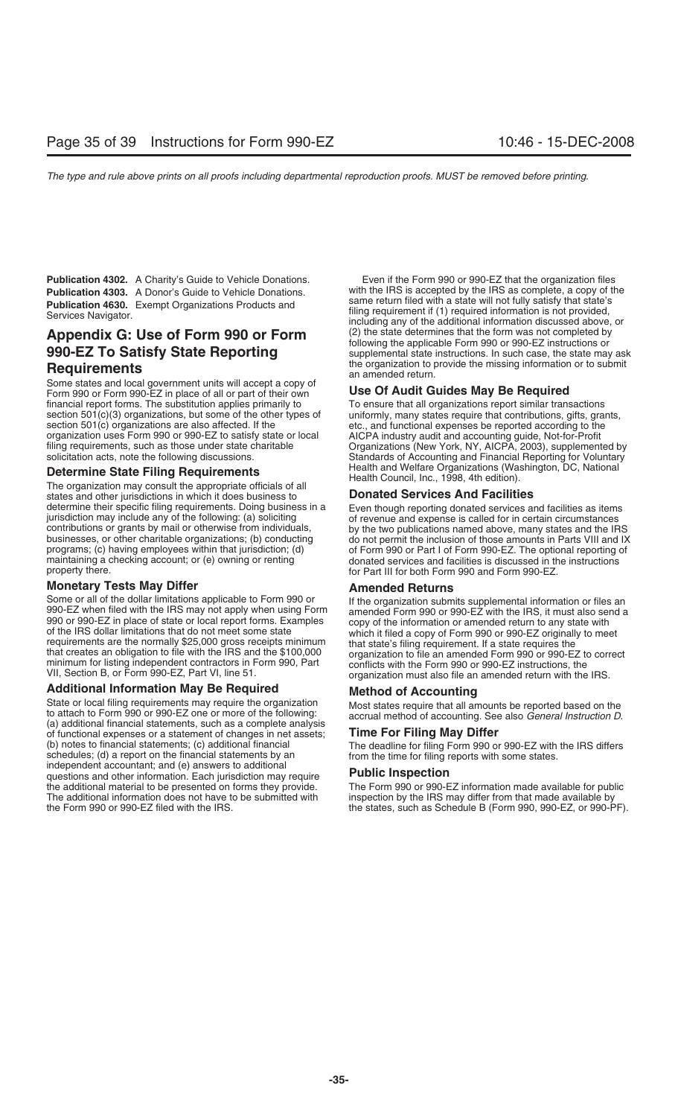# **990-EZ To Satisfy State Reporting**

Some states and local government units will accept a copy of Form 990 or Form 990-EZ in place of all or part of their own **Use Of Audit Guides May Be Required** financial report forms. The substitution applies primarily to To ensure that all organizations report similar transactions section 501(c)(3) organizations, but some of the other types of uniformly, many states require that section  $501(c)(3)$  organizations, but some of the other types of section 501(c) organizations are also affected. If the etc., and functional expenses be reported according to the<br>organization uses Form 990 or 990-EZ to satisfy state or local AICPA industry audit and accounting guide, No organization uses Form 990 or 990-EZ to satisfy state or local filing requirements, such as those under state charitable

states and other jurisdictions in which it does business to determine their specific filing requirements. Doing business in a property there. for Part III for both Form 990 and Form 990-EZ.

**Monetary Tests May Differ**<br>Some or all of the dollar limitations applicable to Form 990 or **Amended Returns** Some or all of the dollar limitations applicable to Form 990 or<br>990-EZ when filed with the IRS may not apply when using Form<br>990 or 990-EZ with the IRS, it must also send a<br>990 or 990-EZ in place of state or local report f

**Additional Information May Be Required Method of Accounting** State or local filing requirements may require the organization<br>to attach to Form 990 or 990-EZ one or more of the following:<br>(a) additional financial statements, such as a complete analysis<br>of functional expenses or a sta of functional expenses or a statement of changes in net assets; (b) notes to financial statements; (c) additional financial (b) notes to financial statements; (c) additional financial The deadline for filing Form 990 or 990-EZ with the IRS differs schedules; (d) a report on the financial statements by an independent accountant; and (e) answers questions and other information. Each jurisdiction may require **Public Inspection**<br>the additional material to be presented on forms they provide. The Form 990 or 990-EZ information made available for public the additional material to be presented on forms they provide.<br>The additional information does not have to be submitted with The additional information does not have to be submitted with inspection by the IRS may differ from that made available by<br>the states, such as Schedule B (Form 990, 990-EZ, or 990-P

**Publication 4302.** A Charity's Guide to Vehicle Donations. Even if the Form 990 or 990-EZ that the organization files<br>**Publication 4303.** A Donor's Guide to Vehicle Donations. With the IRS is accepted by the IRS as comple **Publication 4303.** A Donor's Guide to Vehicle Donations. with the IRS is accepted by the IRS as complete, a copy of t<br>Same return filed with a state will not fully satisfy that state's **Publication 4630.** Exempt Organizations Products and<br>Services Navigator. Services Navigator.<br>including any of the additional information is not provided,<br>including any of the additional information discussed above, or **Appendix G: Use of Form 990 or Form** (2) the state determines that the form was not completed by following the applicable Form 990 or 990-EZ instructions or supplemental state instructions. In such case, the state may ask **Requirements** The organization to provide the missing information or to submit an amended return.

filing requirements, such as those under state charitable **Organizations (New York, NY, AICPA, 2003)**, supplemented by<br>
Standards of Accounting and Financial Reporting for Voluntary Standards of Accounting and Financial Reporting for Voluntary **Determine State Filing Requirements**<br>
The organization may consult the appropriate officials of all<br>
states and other iurisdictions in which it does business to<br> **Donated Services And Facilities** 

determine their specific filing requirements. Doing business in a<br>jurisdiction may include any of the following: (a) soliciting<br>contributions or grants by mail or otherwise from individuals,<br>businesses, or other charitable

the states, such as Schedule B (Form 990, 990-EZ, or 990-PF).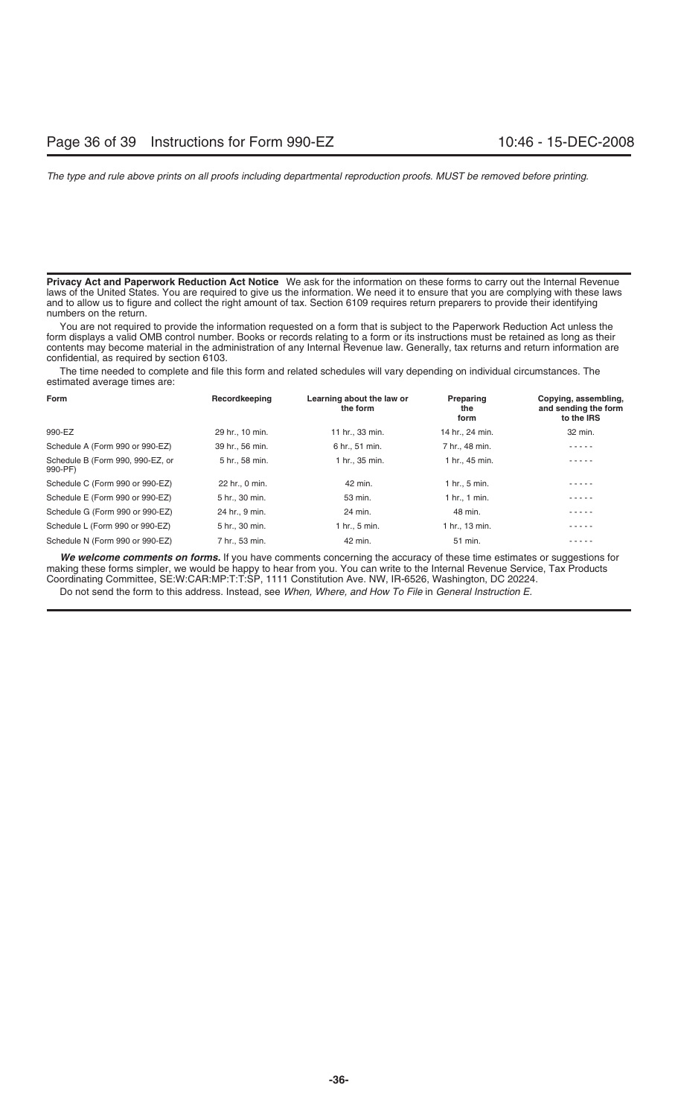**Privacy Act and Paperwork Reduction Act Notice** We ask for the information on these forms to carry out the Internal Revenue laws of the United States. You are required to give us the information. We need it to ensure that you are complying with these laws and to allow us to figure and collect the right amount of tax. Section 6109 requires return preparers to provide their identifying numbers on the return.

You are not required to provide the information requested on a form that is subject to the Paperwork Reduction Act unless the form displays a valid OMB control number. Books or records relating to a form or its instructions must be retained as long as their contents may become material in the administration of any Internal Revenue law. Generally, tax returns and return information are confidential, as required by section 6103.

The time needed to complete and file this form and related schedules will vary depending on individual circumstances. The estimated average times are:

| Form                                        | Recordkeeping   | Learning about the law or<br>the form | Preparing<br>the<br>form | Copying, assembling,<br>and sending the form<br>to the IRS |
|---------------------------------------------|-----------------|---------------------------------------|--------------------------|------------------------------------------------------------|
| 990-EZ                                      | 29 hr., 10 min. | 11 hr., 33 min.                       | 14 hr., 24 min.          | 32 min.                                                    |
| Schedule A (Form 990 or 990-EZ)             | 39 hr., 56 min. | 6 hr., 51 min.                        | 7 hr., 48 min.           | .                                                          |
| Schedule B (Form 990, 990-EZ, or<br>990-PF) | 5 hr., 58 min.  | 1 hr., 35 min.                        | 1 hr., 45 min.           | $- - - -$                                                  |
| Schedule C (Form 990 or 990-EZ)             | 22 hr., 0 min.  | 42 min.                               | 1 hr., 5 min.            | .                                                          |
| Schedule E (Form 990 or 990-EZ)             | 5 hr., 30 min.  | 53 min.                               | 1 hr., 1 min.            | .                                                          |
| Schedule G (Form 990 or 990-EZ)             | 24 hr., 9 min.  | 24 min.                               | 48 min.                  |                                                            |
| Schedule L (Form 990 or 990-EZ)             | 5 hr., 30 min.  | 1 hr., 5 min.                         | 1 hr., 13 min.           |                                                            |
| Schedule N (Form 990 or 990-EZ)             | 7 hr., 53 min.  | 42 min.                               | 51 min.                  |                                                            |

*We welcome comments on forms.* If you have comments concerning the accuracy of these time estimates or suggestions for making these forms simpler, we would be happy to hear from you. You can write to the Internal Revenue Service, Tax Products Coordinating Committee, SE:W:CAR:MP:T:T:SP, 1111 Constitution Ave. NW, IR-6526, Washington, DC 20224.

Do not send the form to this address. Instead, see *When, Where, and How To File* in *General Instruction E.*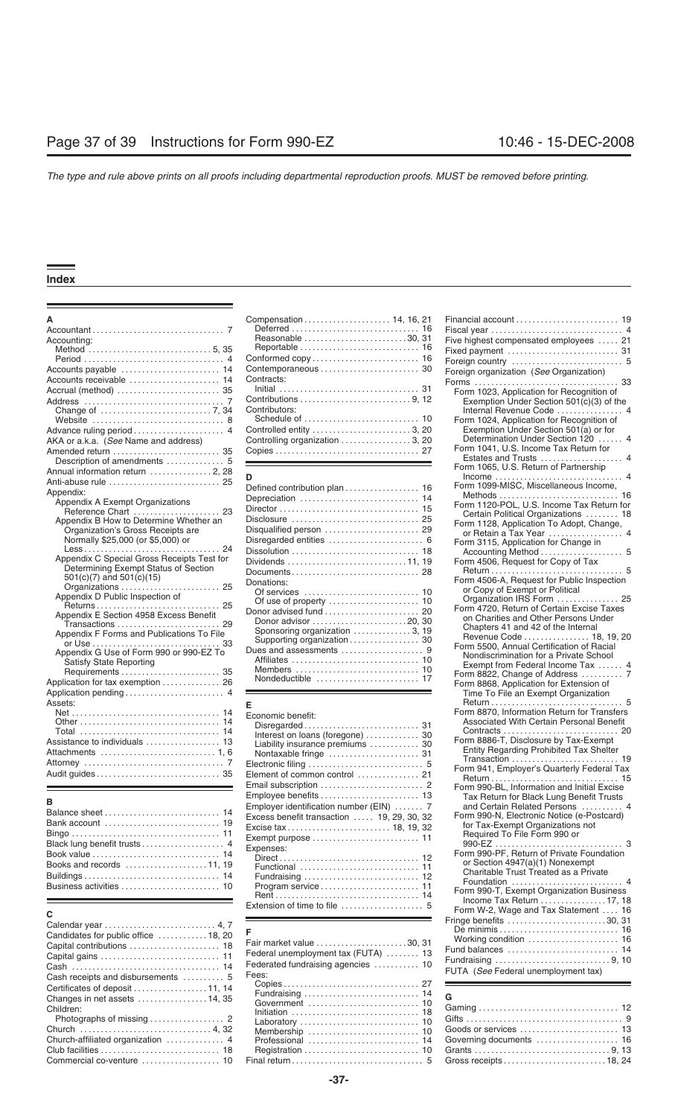|                                                                 | Compensation 14, 16, 21          |                                                             |
|-----------------------------------------------------------------|----------------------------------|-------------------------------------------------------------|
|                                                                 |                                  |                                                             |
| Accounting:                                                     | Reasonable 30, 31                | Five highest compensated employees  21                      |
|                                                                 |                                  |                                                             |
|                                                                 |                                  |                                                             |
| Accounts payable  14                                            |                                  | Foreign organization (See Organization)                     |
|                                                                 | Contracts:                       |                                                             |
|                                                                 |                                  | Form 1023, Application for Recognition of                   |
|                                                                 |                                  | Exemption Under Section 501(c)(3) of the                    |
|                                                                 | Contributors:                    | Internal Revenue Code  4                                    |
|                                                                 |                                  | Form 1024, Application for Recognition of                   |
|                                                                 | Controlled entity  3, 20         | Exemption Under Section 501(a) or for                       |
| AKA or a.k.a. (See Name and address)                            | Controlling organization  3, 20  | Determination Under Section 120  4                          |
|                                                                 |                                  | Form 1041, U.S. Income Tax Return for                       |
|                                                                 |                                  | Estates and Trusts  4                                       |
|                                                                 |                                  | Form 1065, U.S. Return of Partnership                       |
| Annual information return  2, 28                                | D                                |                                                             |
|                                                                 | Defined contribution plan  16    | Form 1099-MISC, Miscellaneous Income,                       |
| Appendix:                                                       |                                  |                                                             |
| Appendix A Exempt Organizations                                 |                                  | Form 1120-POL, U.S. Income Tax Return for                   |
| Reference Chart<br>23<br>Appendix B How to Determine Whether an |                                  | Certain Political Organizations  18                         |
| Organization's Gross Receipts are                               | Disqualified person  29          | Form 1128, Application To Adopt, Change,                    |
| Normally \$25,000 (or \$5,000) or                               |                                  | or Retain a Tax Year  4                                     |
| 24                                                              |                                  | Form 3115, Application for Change in                        |
| Appendix C Special Gross Receipts Test for                      |                                  |                                                             |
| Determining Exempt Status of Section                            |                                  | Form 4506, Request for Copy of Tax                          |
| $501(c)(7)$ and $501(c)(15)$                                    |                                  |                                                             |
| Organizations  25                                               | Donations:                       | Form 4506-A, Request for Public Inspection                  |
| Appendix D Public Inspection of                                 |                                  | or Copy of Exempt or Political<br>Organization IRS Form  25 |
| Returns 25                                                      |                                  | Form 4720, Return of Certain Excise Taxes                   |
| Appendix E Section 4958 Excess Benefit                          | Donor advised fund  20           | on Charities and Other Persons Under                        |
| Transactions  29                                                | Donor advisor 20, 30             | Chapters 41 and 42 of the Internal                          |
| Appendix F Forms and Publications To File                       | Sponsoring organization  3, 19   | Revenue Code 18, 19, 20                                     |
|                                                                 |                                  | Form 5500, Annual Certification of Racial                   |
| Appendix G Use of Form 990 or 990-EZ To                         |                                  | Nondiscrimination for a Private School                      |
| <b>Satisfy State Reporting</b>                                  |                                  | Exempt from Federal Income Tax  4                           |
|                                                                 |                                  | Form 8822, Change of Address  7                             |
| Application for tax exemption  26                               | Nondeductible  17                | Form 8868, Application for Extension of                     |
|                                                                 |                                  | Time To File an Exempt Organization                         |
| Assets:                                                         | F                                |                                                             |
|                                                                 | Economic benefit:                | Form 8870, Information Return for Transfers                 |
|                                                                 |                                  | Associated With Certain Personal Benefit                    |
| Total  14                                                       | Interest on loans (foregone)  30 |                                                             |
| Assistance to individuals  13                                   | Liability insurance premiums  30 | Form 8886-T, Disclosure by Tax-Exempt                       |
|                                                                 | Nontaxable fringe  31            | Entity Regarding Prohibited Tax Shelter                     |
|                                                                 |                                  |                                                             |
|                                                                 | Element of common control  21    | Form 941, Employer's Quarterly Federal Tax                  |
|                                                                 |                                  |                                                             |
|                                                                 |                                  | Form 990-BL, Information and Initial Excise                 |

| Black lung benefit trusts |
|---------------------------|
|                           |
| Books and records 11, 1   |
|                           |
|                           |

| Candidates for public office 18, 20 |
|-------------------------------------|
|                                     |
|                                     |
|                                     |
|                                     |
|                                     |
| Changes in net assets  14, 35       |
| Children:                           |
|                                     |
|                                     |
|                                     |
|                                     |
|                                     |
|                                     |

|                                                                      |                                                         | Fiscal year                                                                                                                                              |
|----------------------------------------------------------------------|---------------------------------------------------------|----------------------------------------------------------------------------------------------------------------------------------------------------------|
| counting:                                                            | Reasonable 30, 31                                       | Five highest compensated employees                                                                                                                       |
|                                                                      |                                                         | Fixed payment                                                                                                                                            |
|                                                                      |                                                         | Foreign country                                                                                                                                          |
| counts payable $\ldots \ldots \ldots \ldots \ldots \ldots \ldots$ 14 |                                                         | Foreign organization (See Organization)                                                                                                                  |
| counts receivable  14                                                | Contracts:                                              |                                                                                                                                                          |
| crual (method)  35:                                                  |                                                         | Form 1023, Application for Recognition of                                                                                                                |
|                                                                      | Contributions $\ldots$ $\ldots$ $\ldots$ $\ldots$ 9, 12 | Exemption Under Section 501(c)(3) of t                                                                                                                   |
|                                                                      | Contributors:                                           | Internal Revenue Code                                                                                                                                    |
| Website  8                                                           |                                                         | Form 1024, Application for Recognition of                                                                                                                |
|                                                                      | Controlled entity 3, 20                                 | Exemption Under Section 501(a) or for                                                                                                                    |
| KA or a.k.a. ( <i>See</i> Name and address)                          | Controlling organization 3, 20                          | Determination Under Section 120                                                                                                                          |
| nended return  35                                                    |                                                         | Form 1041, U.S. Income Tax Return for<br>Estates and Trusts in the state of the state of the state of the state of the state of the state of the state o |
|                                                                      |                                                         |                                                                                                                                                          |

| pendix:                                                   |                                                                           | Form 1099-MISC, Miscellaneous Income,      |
|-----------------------------------------------------------|---------------------------------------------------------------------------|--------------------------------------------|
| Appendix A Exempt Organizations                           |                                                                           |                                            |
|                                                           |                                                                           | Form 1120-POL, U.S. Income Tax Return for  |
| Appendix B How to Determine Whether an                    | Disclosure $\ldots \ldots \ldots \ldots \ldots \ldots \ldots \ldots$ . 25 | Certain Political Organizations  18        |
| Organization's Gross Receipts are                         | Disqualified person  29                                                   | Form 1128, Application To Adopt, Change,   |
| Normally \$25,000 (or \$5,000) or                         |                                                                           |                                            |
|                                                           |                                                                           | Form 3115, Application for Change in       |
| Appendix C Special Gross Receipts Test for                |                                                                           |                                            |
| Determining Exempt Status of Section                      | Dividends 11, 19                                                          | Form 4506, Request for Copy of Tax         |
| $501(c)(7)$ and $501(c)(15)$                              |                                                                           |                                            |
| Organizations  25                                         | Donations:                                                                | Form 4506-A, Request for Public Inspection |
|                                                           |                                                                           | or Copy of Exempt or Political             |
| Appendix D Public Inspection of                           |                                                                           | Organization IRS Form  25                  |
|                                                           |                                                                           | Form 4720, Return of Certain Excise Taxes  |
| Appendix E Section 4958 Excess Benefit                    | Donor advisor 20, 30                                                      | on Charities and Other Persons Under       |
| Transactions<br>Appendix F Forms and Publications To File | Sponsoring organization  3, 19                                            | Chapters 41 and 42 of the Internal         |
|                                                           |                                                                           | Revenue Code  18, 19, 20                   |
| Appendix G Use of Form 990 or 990-EZ To                   |                                                                           | Form 5500, Annual Certification of Racial  |
| <b>Satisfy State Reporting</b>                            |                                                                           | Nondiscrimination for a Private School     |
|                                                           |                                                                           | Exempt from Federal Income Tax  4          |
|                                                           |                                                                           |                                            |
| pplication for tax exemption  26                          |                                                                           | Form 8868, Application for Extension of    |

| Economic benefit:<br>Interest on loans (foregone)  30<br>Liability insurance premiums  30 | Form 8870, Information Return for Transfer<br>Associated With Certain Personal Benefit<br>Form 8886-T, Disclosure by Tax-Exempt     |
|-------------------------------------------------------------------------------------------|-------------------------------------------------------------------------------------------------------------------------------------|
| Nontaxable fringe  31                                                                     | Entity Regarding Prohibited Tax Shelter                                                                                             |
| Element of common control  21                                                             | Form 941, Employer's Quarterly Federal Ta                                                                                           |
|                                                                                           | Form 990-BL. Information and Initial Excise                                                                                         |
| Employee benefits  13<br>Employer identification number (EIN)  7                          | Tax Return for Black Lung Benefit Trusts<br>and Certain Related Persons                                                             |
| Excess benefit transaction  19, 29, 30, 32                                                | Form 990-N, Electronic Notice (e-Postcard)<br>for Tax-Exempt Organizations not<br>Required To File Form 990 or<br>990-EZ            |
| Expenses:                                                                                 | Form 990-PF, Return of Private Foundation<br>or Section 4947(a)(1) Nonexempt<br>Charitable Trust Treated as a Private<br>Foundation |
|                                                                                           | Form 990-T, Exempt Organization Business                                                                                            |
| Extension of time to file $\,\dots\,\dots\,\dots\,\dots\,\dots\,\,5$                      | Income Tax Return  17, 1<br>Form W-2. Wage and Tax Statement                                                                        |

| Capital contributions  18<br>Cash receipts and disbursements  5<br>Certificates of deposit 11, 14        | Fair market value 30.31<br>Federal unemployment tax (FUTA)  13<br>Fees:                                                                                                                           | FUTA (See Federal unemployment tax) |
|----------------------------------------------------------------------------------------------------------|---------------------------------------------------------------------------------------------------------------------------------------------------------------------------------------------------|-------------------------------------|
| Changes in net assets $\ldots$ 14, 35<br>Children:<br>Church  4, 32<br>Church-affiliated organization  4 | Commercial co-venture $\ldots \ldots \ldots \ldots$ 10 Final return $\ldots \ldots \ldots \ldots \ldots \ldots \ldots$ 5 Gross receipts $\ldots \ldots \ldots \ldots \ldots \ldots \ldots$ 18, 24 |                                     |

|                                                                      | Compensation 14, 16, 21                                                  |                                                                                    |
|----------------------------------------------------------------------|--------------------------------------------------------------------------|------------------------------------------------------------------------------------|
|                                                                      |                                                                          |                                                                                    |
| Accounting:                                                          | Reasonable 30, 31                                                        | Five highest compensated employees  21                                             |
|                                                                      |                                                                          |                                                                                    |
|                                                                      |                                                                          |                                                                                    |
|                                                                      |                                                                          | Foreign organization (See Organization)                                            |
| Accounts receivable  14                                              | Contracts:                                                               |                                                                                    |
| Accrual (method)  35                                                 |                                                                          | Form 1023, Application for Recognition of                                          |
|                                                                      | Contributors:                                                            | Exemption Under Section 501(c)(3) of the                                           |
|                                                                      |                                                                          | Internal Revenue Code  4                                                           |
|                                                                      |                                                                          | Form 1024, Application for Recognition of<br>Exemption Under Section 501(a) or for |
|                                                                      |                                                                          | Determination Under Section 120  4                                                 |
| AKA or a.k.a. (See Name and address)<br>Amended return  35           |                                                                          | Form 1041, U.S. Income Tax Return for                                              |
|                                                                      |                                                                          |                                                                                    |
| Annual information return 2, 28                                      |                                                                          | Form 1065, U.S. Return of Partnership                                              |
|                                                                      | D                                                                        |                                                                                    |
| Appendix:                                                            | Defined contribution plan  16                                            | Form 1099-MISC, Miscellaneous Income,                                              |
| Appendix A Exempt Organizations                                      | Depreciation  14                                                         |                                                                                    |
| Reference Chart  23                                                  |                                                                          | Form 1120-POL, U.S. Income Tax Return for<br>Certain Political Organizations  18   |
| Appendix B How to Determine Whether an                               | Disclosure  25                                                           | Form 1128, Application To Adopt, Change,                                           |
| Organization's Gross Receipts are                                    | Disqualified person  29                                                  | or Retain a Tax Year  4                                                            |
| Normally \$25,000 (or \$5,000) or                                    |                                                                          | Form 3115, Application for Change in                                               |
|                                                                      |                                                                          | Accounting Method  5                                                               |
| Appendix C Special Gross Receipts Test for                           | Dividends 11, 19                                                         | Form 4506, Request for Copy of Tax                                                 |
| Determining Exempt Status of Section                                 |                                                                          |                                                                                    |
| $501(c)(7)$ and $501(c)(15)$<br>25                                   | Donations:                                                               | Form 4506-A, Request for Public Inspection                                         |
| Organizations<br>Appendix D Public Inspection of                     |                                                                          | or Copy of Exempt or Political                                                     |
| Returns 25                                                           |                                                                          | Organization IRS Form  25                                                          |
| Appendix E Section 4958 Excess Benefit                               |                                                                          | Form 4720, Return of Certain Excise Taxes<br>on Charities and Other Persons Under  |
| Transactions  29                                                     | Donor advisor 20, 30                                                     | Chapters 41 and 42 of the Internal                                                 |
| Appendix F Forms and Publications To File                            | Sponsoring organization  3, 19                                           | Revenue Code  18, 19, 20                                                           |
|                                                                      | Supporting organization  30                                              | Form 5500, Annual Certification of Racial                                          |
| Appendix G Use of Form 990 or 990-EZ To                              |                                                                          | Nondiscrimination for a Private School                                             |
| <b>Satisfy State Reporting</b>                                       |                                                                          | Exempt from Federal Income Tax  4                                                  |
|                                                                      |                                                                          | Form 8822, Change of Address  7                                                    |
| Application for tax exemption  26                                    |                                                                          | Form 8868, Application for Extension of                                            |
| Assets:                                                              |                                                                          | Time To File an Exempt Organization                                                |
|                                                                      | Е                                                                        | Form 8870, Information Return for Transfers                                        |
|                                                                      | Economic benefit:                                                        | Associated With Certain Personal Benefit                                           |
|                                                                      | Interest on loans (foregone)  30                                         |                                                                                    |
| Assistance to individuals  13                                        | Liability insurance premiums  30                                         | Form 8886-T, Disclosure by Tax-Exempt                                              |
|                                                                      |                                                                          | Entity Regarding Prohibited Tax Shelter                                            |
|                                                                      |                                                                          | Transaction  19                                                                    |
|                                                                      | Element of common control  21                                            | Form 941, Employer's Quarterly Federal Tax                                         |
|                                                                      |                                                                          | Form 990-BL, Information and Initial Excise                                        |
|                                                                      | Employee benefits  13                                                    | Tax Return for Black Lung Benefit Trusts                                           |
| в                                                                    | Employer identification number (EIN)  7                                  | and Certain Related Persons                                                        |
| Balance sheet  14                                                    | Excess benefit transaction  19, 29, 30, 32                               | Form 990-N, Electronic Notice (e-Postcard)                                         |
| Bank account  19                                                     | Excise tax  18, 19, 32                                                   | for Tax-Exempt Organizations not                                                   |
|                                                                      |                                                                          | Required To File Form 990 or                                                       |
| Black lung benefit trusts 4                                          | Expenses:                                                                |                                                                                    |
|                                                                      |                                                                          | Form 990-PF, Return of Private Foundation                                          |
| Books and records $\ldots \ldots \ldots \ldots \ldots \ldots 11, 19$ |                                                                          | or Section 4947(a)(1) Nonexempt<br>Charitable Trust Treated as a Private           |
|                                                                      | Fundraising $\ldots \ldots \ldots \ldots \ldots \ldots \ldots \ldots$ 12 |                                                                                    |
| Business activities  10                                              |                                                                          | Form 990-T, Exempt Organization Business                                           |
|                                                                      |                                                                          | Income Tax Return $\ldots \ldots \ldots \ldots \ldots$ 17, 18                      |
| С                                                                    |                                                                          | Form W-2, Wage and Tax Statement  16                                               |
|                                                                      |                                                                          | Fringe benefits 30, 31                                                             |
|                                                                      | F                                                                        |                                                                                    |
| Candidates for public office 18, 20<br>Capital contributions  18     | Fair market value 30, 31                                                 |                                                                                    |
| Capital gains  11                                                    | Federal unemployment tax (FUTA)  13                                      |                                                                                    |
|                                                                      | Federated fundraising agencies  10                                       |                                                                                    |
|                                                                      |                                                                          | $E[ITA, (C00, E0A0]1$ in $E[1]$                                                    |

| UNANGU ING ASSERS  14, 33<br>Children: |                                                                                                                                                                             |  |
|----------------------------------------|-----------------------------------------------------------------------------------------------------------------------------------------------------------------------------|--|
|                                        | Commercial co-venture $\ldots, \ldots, \ldots, 10$ Final return $\ldots, \ldots, \ldots, \ldots, \ldots, \ldots, 5$ Gross receipts $\ldots, \ldots, \ldots, \ldots, 18, 24$ |  |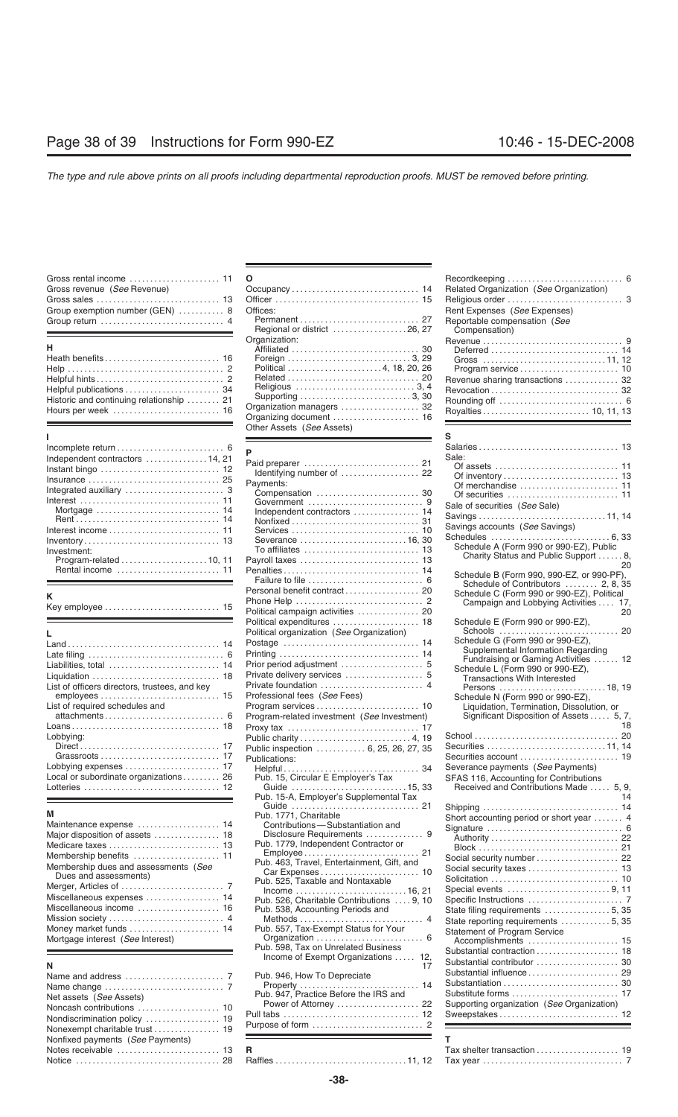| Gross revenue (See Revenue)     |  |
|---------------------------------|--|
|                                 |  |
| Group exemption number (GEN)  8 |  |
|                                 |  |
|                                 |  |

| н.                                       |
|------------------------------------------|
|                                          |
|                                          |
|                                          |
|                                          |
| Historic and continuing relationship  21 |
|                                          |

| Independent contractors  14, 21                                              |  |
|------------------------------------------------------------------------------|--|
|                                                                              |  |
| Insurance  25                                                                |  |
|                                                                              |  |
|                                                                              |  |
| Mortgage $\ldots \ldots \ldots \ldots \ldots \ldots \ldots \ldots \ldots$ 14 |  |
|                                                                              |  |
| Interest income $\ldots, \ldots, \ldots, \ldots, \ldots, \ldots, 11$         |  |
|                                                                              |  |
| Investment:                                                                  |  |
|                                                                              |  |
| Rental income  11                                                            |  |
|                                                                              |  |

|                                             | Schedule E (Form 990 or 990-EZ).<br>Schools                                                |
|---------------------------------------------|--------------------------------------------------------------------------------------------|
|                                             | Schedule G (Form 990 or 990-EZ),                                                           |
|                                             | Supplemental Information Regarding                                                         |
|                                             | Fundraising or Gaming Activities<br>Schedule L (Form 990 or 990-EZ),                       |
|                                             | <b>Transactions With Interested</b>                                                        |
|                                             | Persons 18                                                                                 |
|                                             | Schedule N (Form 990 or 990-EZ),                                                           |
|                                             | Liquidation, Termination, Dissolution, or                                                  |
| Program-related investment (See Investment) | Significant Disposition of Assets  5                                                       |
|                                             |                                                                                            |
|                                             | $School \ldots \ldots \ldots \ldots \ldots \ldots \ldots \ldots \ldots$                    |
| Public inspection  6, 25, 26, 27, 35        |                                                                                            |
|                                             | Securities account                                                                         |
|                                             | Severance payments (See Payments)                                                          |
| Pub. 15, Circular E Employer's Tax          | SFAS 116, Accounting for Contributions                                                     |
|                                             | Received and Contributions Made  5                                                         |
|                                             | Political organization (See Organization)<br>Professional fees (See Fees)<br>Publications: |

| Net assets (See Assets)          |
|----------------------------------|
|                                  |
|                                  |
|                                  |
| Nonfixed payments (See Payments) |
|                                  |
|                                  |
|                                  |

| Gross rental income $\ldots \ldots \ldots \ldots \ldots \ldots \ldots$ 11 $\;$ 0 |                             |                                               |  |
|----------------------------------------------------------------------------------|-----------------------------|-----------------------------------------------|--|
| Gross revenue (See Revenue)                                                      |                             | Related Organization (See Organization)       |  |
|                                                                                  |                             |                                               |  |
| Group exemption number (GEN)  8 Offices:                                         |                             | Rent Expenses (See Expenses)                  |  |
| Group return  4                                                                  | Regional or district 26, 27 | Reportable compensation (See<br>Compensation) |  |
|                                                                                  | Organization:               |                                               |  |
| н                                                                                |                             |                                               |  |
| Heath benefits 16                                                                |                             |                                               |  |
|                                                                                  |                             |                                               |  |
|                                                                                  |                             | Revenue sharing transactions  32              |  |
| Helpful publications  34                                                         |                             |                                               |  |
| Historic and continuing relationship  21                                         |                             |                                               |  |
| Hours per week  16                                                               |                             |                                               |  |
|                                                                                  | Other Assets (See Assets)   |                                               |  |
|                                                                                  |                             |                                               |  |

| Independent contractors  14, 21               |                                                                | Sale:                                                                         |
|-----------------------------------------------|----------------------------------------------------------------|-------------------------------------------------------------------------------|
| Instant bingo  12                             |                                                                |                                                                               |
| Insurance  25                                 | Identifying number of  22                                      |                                                                               |
|                                               | Payments:                                                      |                                                                               |
| Integrated auxiliary  3                       |                                                                |                                                                               |
|                                               |                                                                | Sale of securities (See Sale)                                                 |
|                                               | Independent contractors  14                                    |                                                                               |
|                                               |                                                                | Savings accounts (See Savings)                                                |
|                                               |                                                                |                                                                               |
|                                               |                                                                | Schedule A (Form 990 or 990-EZ), Public                                       |
| Investment:                                   |                                                                | Charity Status and Public Support  8,                                         |
|                                               |                                                                | 20                                                                            |
|                                               | Penalties 14                                                   | Schedule B (Form 990, 990-EZ, or 990-PF),                                     |
|                                               |                                                                | Schedule of Contributors  2, 8, 35                                            |
| K.                                            | Personal benefit contract 20                                   | Schedule C (Form 990 or 990-EZ), Political                                    |
| Key employee  15                              |                                                                | Campaign and Lobbying Activities  17,                                         |
|                                               | Political campaign activities  20                              | 20                                                                            |
|                                               | Political expenditures  18                                     | Schedule E (Form 990 or 990-EZ),                                              |
|                                               | Political organization (See Organization)                      | Schools  20                                                                   |
|                                               |                                                                | Schedule G (Form 990 or 990-EZ),                                              |
|                                               |                                                                | Supplemental Information Regarding                                            |
| Liabilities, total  14                        |                                                                | Fundraising or Gaming Activities  12                                          |
| Liquidation  18                               |                                                                | Schedule L (Form 990 or 990-EZ),                                              |
| List of officers directors, trustees, and key |                                                                | <b>Transactions With Interested</b>                                           |
|                                               | Professional fees (See Fees)                                   | Persons 18, 19                                                                |
|                                               |                                                                | Schedule N (Form 990 or 990-EZ),<br>Liquidation, Termination, Dissolution, or |
| List of required schedules and                |                                                                |                                                                               |
|                                               | Program-related investment (See Investment)                    | Significant Disposition of Assets  5, 7,<br>18                                |
|                                               |                                                                |                                                                               |
| Lobbying:                                     |                                                                |                                                                               |
|                                               | Public inspection  6, 25, 26, 27, 35                           | Securities 11, 14                                                             |
|                                               | Publications:                                                  | Securities account  19                                                        |
| Lobbying expenses  17                         |                                                                | Severance payments (See Payments)                                             |
| Local or subordinate organizations 26         | Pub. 15, Circular E Employer's Tax                             | SFAS 116, Accounting for Contributions                                        |
| Lotteries  12                                 |                                                                | Received and Contributions Made  5, 9,                                        |
|                                               | Pub. 15-A, Employer's Supplemental Tax                         | 14                                                                            |
| M                                             | Guide  21                                                      |                                                                               |
|                                               | Pub. 1771, Charitable                                          | Short accounting period or short year  4                                      |
| Maintenance expense  14                       | Contributions-Substantiation and<br>Disclosure Requirements  9 |                                                                               |
| Major disposition of assets  18               | Pub. 1779, Independent Contractor or                           |                                                                               |
|                                               |                                                                |                                                                               |
| Membership benefits  11                       | Pub. 463, Travel, Entertainment, Gift, and                     | Social security number  22                                                    |
| Membership dues and assessments (See          |                                                                |                                                                               |
| Dues and assessments)                         | Pub. 525, Taxable and Nontaxable                               |                                                                               |
|                                               | Income 16, 21                                                  |                                                                               |
| Miscellaneous expenses  14                    | Pub. 526, Charitable Contributions  9, 10                      |                                                                               |
| Miscellaneous income  16                      | Pub. 538, Accounting Periods and                               | State filing requirements  5, 35                                              |
|                                               |                                                                | State reporting requirements  5, 35                                           |
| Money market funds  14                        | Pub. 557, Tax-Exempt Status for Your                           | <b>Statement of Program Service</b>                                           |
| Mortgage interest (See Interest)              | Organization  6                                                | Accomplishments  15                                                           |
|                                               | Pub. 598, Tax on Unrelated Business                            |                                                                               |
|                                               | Income of Exempt Organizations  12,                            | Substantial contributor  30                                                   |
| Ν                                             | 17                                                             | Substantial influence  29                                                     |
|                                               | Pub. 946, How To Depreciate                                    |                                                                               |
|                                               |                                                                |                                                                               |
| Net assets (See Assets)                       | Pub. 947, Practice Before the IRS and                          |                                                                               |
| Noncash contributions  10                     | Power of Attorney  22                                          | Supporting organization (See Organization)                                    |
| Nondiscrimination policy  19                  |                                                                |                                                                               |
| Nonexempt charitable trust  19                |                                                                |                                                                               |
| Nonfixed payments (See Payments)              |                                                                | T.                                                                            |
| Notes receivable  13                          | R                                                              |                                                                               |
| Notice  28                                    |                                                                |                                                                               |
|                                               |                                                                |                                                                               |

| Gross rental income $\ldots, \ldots, \ldots, \ldots, 11$ O |                             |                                  |
|------------------------------------------------------------|-----------------------------|----------------------------------|
|                                                            |                             |                                  |
|                                                            |                             |                                  |
| Group exemption number (GEN)  8 Offices:                   |                             | Rent Expenses (See Expenses)     |
| Group return  4                                            |                             | Reportable compensation (See     |
|                                                            | Regional or district 26, 27 | Compensation)                    |
|                                                            | Organization:               |                                  |
| н                                                          |                             |                                  |
| Heath benefits 16                                          |                             |                                  |
|                                                            | Political 4, 18, 20, 26     |                                  |
|                                                            |                             | Revenue sharing transactions  32 |
| Helpful publications  34                                   |                             |                                  |
| Historic and continuing relationship  21                   |                             |                                  |
| Hours per week  16                                         | Organization managers  32   |                                  |

|                                               |                                             | s                                                                                |    |
|-----------------------------------------------|---------------------------------------------|----------------------------------------------------------------------------------|----|
|                                               |                                             |                                                                                  |    |
| Independent contractors  14, 21               |                                             | Sale:                                                                            |    |
| Instant bingo  12                             |                                             |                                                                                  |    |
|                                               | Identifying number of  22                   |                                                                                  |    |
|                                               | Payments:                                   |                                                                                  |    |
|                                               |                                             |                                                                                  |    |
|                                               |                                             | Sale of securities (See Sale)                                                    |    |
|                                               | Independent contractors  14                 |                                                                                  |    |
|                                               |                                             |                                                                                  |    |
|                                               |                                             | Savings accounts (See Savings)                                                   |    |
|                                               | Severance 16, 30                            |                                                                                  |    |
| Investment:                                   |                                             | Schedule A (Form 990 or 990-EZ), Public<br>Charity Status and Public Support  8. |    |
|                                               | Payroll taxes  13                           | 20                                                                               |    |
|                                               |                                             | Schedule B (Form 990, 990-EZ, or 990-PF),                                        |    |
|                                               |                                             | Schedule of Contributors  2, 8, 35                                               |    |
|                                               |                                             | Schedule C (Form 990 or 990-EZ), Political                                       |    |
| Κ                                             |                                             | Campaign and Lobbying Activities  17,                                            |    |
| Key employee  15                              | Political campaign activities  20           | 20                                                                               |    |
|                                               |                                             | Schedule E (Form 990 or 990-EZ),                                                 |    |
|                                               |                                             |                                                                                  |    |
|                                               | Political organization (See Organization)   | Schedule G (Form 990 or 990-EZ),                                                 |    |
|                                               |                                             | Supplemental Information Regarding                                               |    |
|                                               |                                             | Fundraising or Gaming Activities  12                                             |    |
| Liabilities, total  14                        | Prior period adjustment  5                  | Schedule L (Form 990 or 990-EZ),                                                 |    |
| Liquidation  18                               |                                             | <b>Transactions With Interested</b>                                              |    |
| List of officers directors, trustees, and key |                                             |                                                                                  |    |
|                                               | Professional fees (See Fees)                | Schedule N (Form 990 or 990-EZ),                                                 |    |
| List of required schedules and                |                                             | Liquidation, Termination, Dissolution, or                                        |    |
|                                               | Program-related investment (See Investment) | Significant Disposition of Assets  5, 7,                                         |    |
|                                               |                                             |                                                                                  | 18 |
| Lobbying:                                     |                                             |                                                                                  |    |
|                                               | Public inspection  6, 25, 26, 27, 35        | Securities 11, 14                                                                |    |
|                                               | Publications:                               |                                                                                  |    |
| Lobbying expenses  17                         |                                             | Severance payments (See Payments)                                                |    |
| Local or subordinate organizations 26         | Pub. 15, Circular E Employer's Tax          | SFAS 116, Accounting for Contributions                                           |    |
| Lotteries  12                                 |                                             | Received and Contributions Made  5, 9,                                           |    |
|                                               | Pub. 15-A, Employer's Supplemental Tax      |                                                                                  |    |
|                                               |                                             |                                                                                  |    |
| M                                             | Pub. 1771, Charitable                       |                                                                                  |    |
| Maintenance expense  14                       | Contributions-Substantiation and            | Short accounting period or short year  4                                         |    |
| Major disposition of assets  18               | Disclosure Requirements  9                  |                                                                                  |    |
| Medicare taxes  13                            | Pub. 1779, Independent Contractor or        |                                                                                  |    |
|                                               | Employee 21                                 |                                                                                  |    |
| Membership benefits  11                       | Pub. 463, Travel, Entertainment, Gift, and  | Social security number  22                                                       |    |
| Membership dues and assessments (See          |                                             |                                                                                  |    |
| Dues and assessments)                         | Pub. 525, Taxable and Nontaxable            |                                                                                  |    |
|                                               |                                             |                                                                                  |    |
| Miscellaneous expenses  14                    | Pub. 526, Charitable Contributions  9, 10   |                                                                                  |    |
| Miscellaneous income  16                      | Pub. 538, Accounting Periods and            |                                                                                  |    |
| Mission society  4                            |                                             | State reporting requirements  5, 35                                              |    |
| Money market funds  14                        | Pub. 557, Tax-Exempt Status for Your        | Statement of Program Service                                                     |    |
| Mortgage interest (See Interest)              |                                             | Accomplishments  15                                                              |    |
|                                               | Pub. 598, Tax on Unrelated Business         |                                                                                  |    |
|                                               | Income of Exempt Organizations  12,         | Substantial contributor  30                                                      |    |
| Ν                                             | 17                                          |                                                                                  |    |
|                                               | Pub. 946, How To Depreciate                 |                                                                                  |    |
|                                               |                                             |                                                                                  |    |
| Net assets (See Assets)                       | Pub. 947, Practice Before the IRS and       |                                                                                  |    |
| Noncash contributions  10                     | Power of Attorney  22                       | Supporting organization (See Organization)                                       |    |
| Nondiscrimination policy  19                  |                                             |                                                                                  |    |
| Nonexempt charitable trust  19                |                                             |                                                                                  |    |
| Nonfixed payments (See Payments)              |                                             | т.                                                                               |    |

Notice . . . . . . . . . . . . . . . . . . . . . . . . . . . . . . . . . . . 28 Raffles ................................ 11, 12 Tax year .................................. 7